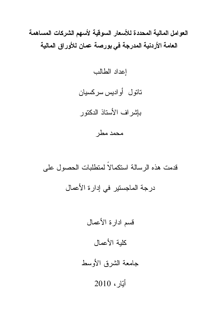العوامل المالية المحددة للأسعار السوقية لأسهم الشركات المساهمة العامة الأردنية المدرجة في بورصة عمان للأوراق المالية

إعداد الطالب

تاتول أواديس سركسيان

بإشراف الأستاذ الدكتور

محمد مطر

قدمت هذه الرسالة استكمالاً لمتطلبات الحصول على درجة الماجستير في إدارة الأعمال

> قسم ادارة الأعمال كلية الأعمال جامعة الشرق الأوسط أَيَّارِ ، 2010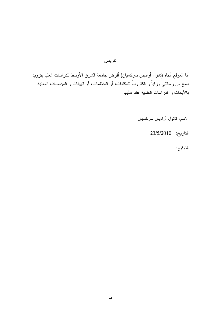### تفويض

أنا الموقع أدناه (ناتول أواديس سركسيان) أفوض جامعة الشرق الأوسط للدراسات العليا بنزويد نسخ من رسالتي ورقياً و الكترونياً للمكتبات، أو المنظمات، أو الهيئات و المؤسسات المعنية بالأبحاث و الدراسات العلمية عند طلبها.

الاسم: ناتول أواديس سركسيان

التاريخ: 23/5/2010

التوقيع: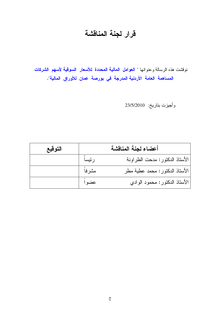# قرار لجنة المناقشة

نوقشت هذه الرسالة وعنوانها " ا<mark>لعوامل المالية المحددة للأسعار السوقية لأسهم الشركات</mark> المساهمة العامة الأردنية المدرجة في بورصة عمان للأوراق المالية".

وأجيزت بتاريخ: 23/5/2010

| التوقيع |        | أعضاء لجنة المناقشة            |
|---------|--------|--------------------------------|
|         | رئيساً | الأستاذ الدكتور: مدحت الطراونة |
|         | مشرفاً | الأستاذ الدكتور: محمد عطية مطر |
|         | عضواً  | الأستاذ الدكتور: محمود الوادي  |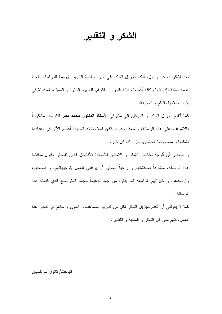## الشكر و التقدير

بعد الشكر لله عز و جل، أنقدم بجزيل الشكر الـي أسرة جامعة الشرق الأوسط للدراسات العليا عامة ممثلة بإداراتها وكافة أعضاء هيئة الندريس الكرام، للجهود الخيَّرة و المميَّزة المبذولة في إثراء طلابها بالعلم و المعرفة.

كما أتقدم بجزيل الشكر و العرفان الى مشرفى **الأستاذ الدكتور محمد مطر** لتكرمه مشكوراً بِالإِشْرِ اف على هذه الرسالة، ولسعة صدر ه، فكان لملاحظاته السديدة أعظم الأثر ً في اعدادها بشكلها و مضمونها الحاليين، جزاه الله كل خير.

و يسعدني أن أتوجه بخالص الشكر و الامتنان للأساتذة الأفاضل الذين تفضلوا بقبول مناقشة هذه الرسالة، متشرّفاً بمناقشتهم و راجياً المولى أن يوفقني للعمل بتوجيهاتهم، و نصحهم، وإرشادهم، و خبراتهم الواسعة لما بذلوه من جهد ندعيماً للجهد المتواضع الذي قدمته هذه الرسالة.

كما لا يفونتـي أن أنقدم بجزيل الشكر لكل من قدم يد المساعدة و العون و ساهم في إنجاز هذا العمل، فلهم منبي كل الشكر و المحبة و النقدير.

#### الباحث/ تاتو ل سر كسيان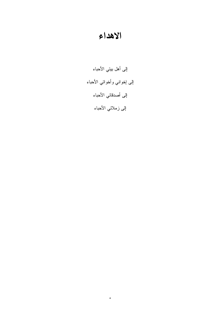## الاهداء

إلى أهل بيتي الأحباء إلى إخواني وأخواتي الأحباء إلى أصدقائي الأحباء إلى زملائي الأحباء

 $\bullet$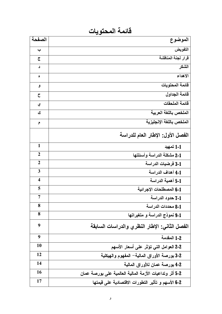فائمة المحتويات

| الصفحة                  | الموضوع                                                 |
|-------------------------|---------------------------------------------------------|
| پ                       | التفويض                                                 |
| $\overline{c}$          | قرار لجنة المناقشة                                      |
| د                       | الشكر                                                   |
| ٥                       | الاهداء                                                 |
| و                       | قائمة المحتويات                                         |
| $\overline{\mathsf{C}}$ | فائمة الجداول                                           |
| ي                       | قائمة الملحقات                                          |
| ك                       | الملخص باللغة العربية                                   |
| م                       | الملخص باللغة الإنجليزية                                |
|                         | الفصل الأول: الإطار العام للدراسة                       |
| $\mathbf{1}$            | 1-1 تمهيد                                               |
| $\mathbf{2}$            | 2-1 مشكلة الدراسة وأسئلتها                              |
| $\overline{2}$          | 3-1 فرضيات الدراسة                                      |
| 3                       | 4-1 أهداف الدراسة                                       |
| $\overline{\mathbf{4}}$ | 5-1 أهمية الدراسة                                       |
| 5                       | 6-1 المصطلحات الإجرائية                                 |
| 7                       | 7-1 حدود الدراسة                                        |
| 8                       | 8-1 محددات الدراسة                                      |
| 8                       | 9-1 نموذج الدراسة و متغيراتها                           |
| 9                       | الفصل الثاني: الإطار النظري والدراسات السابقة           |
| 9                       | 1-2 المقدمة                                             |
| 10                      | 2-2 العوامل التي تؤثر على أسعار الأسهم                  |
| 12                      | 2-3 بورصة الأوراق المالية– المفهوم والهيكلية            |
| 14                      | 2-4 بورصة عمان للأوراق المالية                          |
| 16                      | 2-5 أثر وتداعيات الأزمة المالية العالمية على بورصة عمان |
| 17                      | 2-6 الأسهم و تأثير التطورات الاقتصادية على قيمتها       |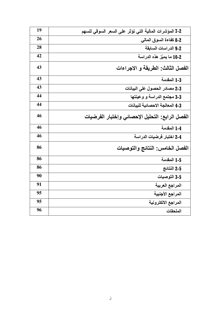| 19 | 2-7 المؤشرات المالية التي تؤثر على السعر السوقي للسهم |
|----|-------------------------------------------------------|
| 26 | 2-8 كفاءة السوق المالي                                |
| 28 | 2-9 الدراسات السابقة                                  |
| 42 | 2-10 ما يميّز هذه الدراسة                             |
| 43 | الفصل الثالث: الطريقة و الاجراءات                     |
| 43 | 1-3 المقدمة                                           |
| 43 | 2-3 مصادر الحصول على البيانات                         |
| 44 | 3-3 مجتمع الدراسة و وعينتها                           |
| 44 | 4-3 المعالجة الاحصائية للبيانات                       |
| 46 | الفصل الرابع: التحليل الإحصائى وإختبار الفرضيات       |
| 46 | 1-4 المقدمة                                           |
| 46 | 2-4 اختبار فرضيات الدراسة                             |
| 86 | الفصل الخامس: النتائج والتوصيات                       |
| 86 | 1-5 المقدمة                                           |
| 86 | 2-5 النتائج                                           |
| 90 | 3-5 التوصيات                                          |
| 91 | المراجع العربية                                       |
| 95 | المراجع الأجنبية                                      |
| 95 | المراجع الالكترونية                                   |
| 96 | الملحقات                                              |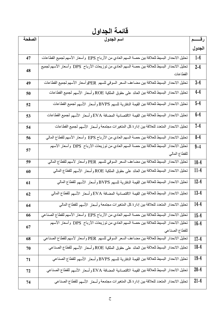قائمة الجداول

| الصفحة | اسم الجدول                                                                                                   | رقـــــم |
|--------|--------------------------------------------------------------------------------------------------------------|----------|
|        |                                                                                                              | الجدول   |
| 47     | تحليل الانحدار البسيط للعلاقة بين حصة السهم العادي من الأرباح EPS  وأسعار الأسهم لجميع القطاعات              | $1-4$    |
| 48     | تحليل الانحدار البسيط للعلاقة بين حصة السهم العادي من توزيعات الأرباح  DPS  وأسعار الأسهم لجميع              | $2 - 4$  |
|        | القطاعات                                                                                                     |          |
| 49     | تحليل الانحدار البسيط للعلاقة بين مضاعف السعر السوقي للسهم  PERوأسعار الأسهم لجميع القطاعات                  | $3 - 4$  |
| 50     | تحليل الانحدار البسيط للعلاقة بين العائد على حقوق الملكية ROE وأسعار الأسهم لجميع القطاعات                   | $4-4$    |
| 52     | تحليل الانحدار البسيط للعلاقة بين القيمة الدفترية للسهم BVPS و أسعار الأسهم لجميع القطاعات                   | $5-4$    |
| 53     | تحليل الانحدار البسيط للعلاقة بين القيمة الاقتصادية المضافة EVA وأسعار الأسهم لجميع القطاعات                 | $6-4$    |
| 54     | تحليل الانحدار المتعدد للعلاقة بين إدارة كل المتغيرات مجتمعة وأسعار الأسهم لجميع القطاعات                    | $7-4$    |
| 56     | تحليل الانحدار البسيط للعلاقة بين حصة السهم العادي من الأرباح EPS  وأسعار الأسهم للقطاع المالي               | $8 - 4$  |
| 57     | تحليل الانحدار البسيط للعلاقة بين حصنة السهم العادي من توزيعات الأرباح  DPS وأسعار الأسهم                    | $9 - 4$  |
|        | للقطاع المالي                                                                                                |          |
| 59     | تحليل الانحدار البسيط للعلاقة بين مضاعف السعر السوقي للسهم  PER و أسعار لأسهم للقطاع المالي                  | $10 - 4$ |
| 60     | تحليل الانحدار البسيط للعلاقة بين العائد على حقوق الملكية ROE و أسعار  الأسهم للقطاع المالي                  | $11 - 4$ |
| 61     | تحليل الانحدار البسيط للعلاقة بين القيمة الدفترية للسهم BVPS و أسعار  الأسهم للقطاع المالي                   | $12 - 4$ |
| 62     | تحليل الانحدار البسيط للعلاقة بين القيمة الاقتصادية المضافة EVA و أسعار الأسهم للقطاع المالي                 | $13 - 4$ |
| 64     | تحليل الانحدار المتعدد للعلاقة بين إدارة كل المتغيرات مجتمعة و أسعار الأسهم للقطاع المالي                    | $14-4$   |
| 66     | تحليل الانحدار البسيط للعلاقة بين حصـة السهم العادي من الأرباح EPS وأسعار الأسهم للقطاع الصناعي              | $15 - 4$ |
| 67     | تحليل الانحدار البسيط للعلاقة بين حصـة السهم العادي من توزيعات الأرباح  DPS  وأسعار الأسهم<br>للقطاع الصناعي | $16 - 4$ |
| 68     | تحليل الانحدار البسيط للعلاقة بين مضاعف السعر السوقي للسهم PER وأسعار لأسهم للقطاع الصناعي                   | $17-4$   |
| 70     | تحليل الانحدار البسيط للعلاقة بين العائد على حقوق الملكية ROE و أسعار  الأسهم للقطاع الصناعي                 | $18 - 4$ |
|        |                                                                                                              |          |
| 71     | تحليل الانحدار البسيط للعلاقة بين القيمة الدفترية للسهم BVPS و أسعار  الأسهم للقطاع الصناعي                  | $19-4$   |
| 72     | تحليل الانحدار البسيط للعلاقة بين القيمة الاقتصادية المضافة EVA و أسعار الأسهم للقطاع الصناعي                | $20 - 4$ |
| 74     | تحليل الانحدار المتعدد للعلاقة بين إدارة كل المتغيرات مجتمعة وأسعار الأسهم للقطاع الصناعي                    | $21 - 4$ |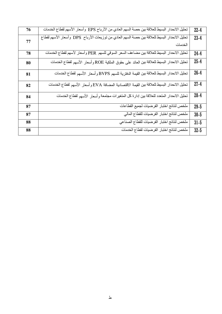| 76 | تحليل الانحدار البسيط للعلاقة بين حصة السهم العادي من الأرباح EPS وأسعار الأسهم لقطاع الخدمات   | $22 - 4$ |
|----|-------------------------------------------------------------------------------------------------|----------|
| 77 | تحليل الانحدار البسيط للعلاقة بين حصة السهم العادي من توزيعات الأرباح  DPS  وأسعار الأسهم لقطاع | $23-4$   |
|    | الخدمات                                                                                         |          |
| 78 | تحليل الانحدار البسيط للعلاقة بين مضاعف السعر السوقي للسهم PER وأسعار لأسهم لقطاع الخدمات       | $24-4$   |
| 80 | تحليل الانحدار البسيط للعلاقة بين العائد على حقوق الملكية ROE وأسعار الأسهم لقطاع الخدمات       | $25 - 4$ |
| 81 | تحليل الانحدار البسيط للعلاقة بين القيمة الدفترية للسهم BVPS وأسعار الأسهم لقطاع الخدمات        | $26 - 4$ |
| 82 | تحليل الانحدار البسيط للعلاقة بين القيمة الاقتصادية المضافة EVA وأسعار الأسهم لقطاع الخدمات     | $27-4$   |
| 84 | تحليل الانحدار المنعدد للعلاقة بين إدارة كل المنغيرات مجتمعة وأسعار الأسهم لقطاع الخدمات        | $28 - 4$ |
| 87 | ملخص لنتائج اختبار الفرضيات لجميع القطاعات                                                      | $29 - 5$ |
| 87 | ملخص لنتائج اختبار الفرضيات للقطاع المالي                                                       | $30 - 5$ |
| 88 | ملخص لنتائج اختبار الفرضيات للقطاع الصناعي                                                      | $31 - 5$ |
| 88 | ملخص لنتائج اختبار الفرضيات لقطاع الخدمات                                                       | $32 - 5$ |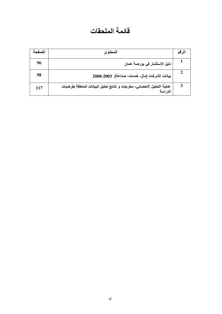## فائمة الملحقات

| الصفحة | المحتوى                                                                            | لرقم |
|--------|------------------------------------------------------------------------------------|------|
| 96     | دليل الاستثمار في بورصة عمان                                                       |      |
| 98     | بيانات الشركات (مال، خدمات، صناعة) 2003-2003                                       |      |
| 117    | عملية التحليل الاحصائي- مخرجات و نتائج تحليل البيانات المتعلقة بفرضيات<br>الدر اسة |      |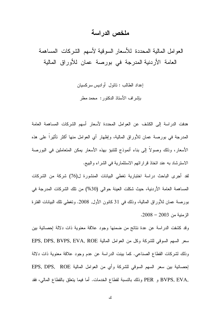### ملخص الدراسة

العوامل المالية المحددة للأسعار السوقية لأسهم الشركات المساهمة العامة الأردنية المدرجة في بورصة عمان للأوراق المالية

> إعداد الطالب : تاتول أواديس سركسيان بإشراف الأستاذ الدكتور: محمد مطر

هدفت الدراسة إلى الكشف عن العوامل المحددة لأسعار أسهم الشركات المساهمة العامة المدرجة في بورصة عمان للأوراق المالية، وإظهار أي العوامل منها أكثر تأثيراً على هذه الأسعار، وذلك وصولا إلى بناء أنموذج للتنبؤ بهذه الأسعار يمكن المتعاملين في البورصة الاسترشاد به عند اتخاذ قراراتهم الاستثمارية في الشراء والبيع.

لفد أجرى الباحث دراسة اختبارية تغطى البيانات المنشورة ل(76) شركة من الشركات المساهمة العامة الأردنية، حيث شكلت العينة حوالي (30%) من تلك الشركات المدرجة في بورصة عمان للأوراق المالية، وذلك في 31 كانون الأول, 2008. وتغطي نلك البيانات الفترة الزمنية من 2003 – 2008.

وقد كشفت الدراسة عن عدة نتائج من ضمنها وجود علاقة معنوية ذات دلالة إحصائية بين سعر السهم السوفي للشركة وكل من العوامل المالية EPS, DPS, BVPS, EVA, ROE وذلك لشركات القطاع الصناعي. كما بينت الدراسة عن عدم وجود علاقة معنوية ذات دلالة لِحصائية بين سعر السهم السوفي للشركة وأي من العوامل المالية EPS, DPS, ROE ,BVPS, EVA و PER وذلك بالنسبة لقطاع الخدمات. أما فيما بتعلق بالقطاع المالي، فقد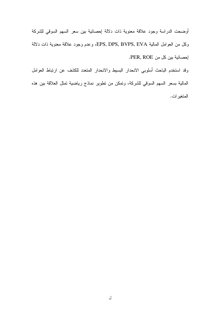أوضحت الدراسة وجود علاقة معنوية ذات دلالة إحصائية بين سعر السهم السوقي للشركة وكل من العوامل المالية EPS, DPS, BVPS, EVA، وعدم وجود علاقة معنوية ذات دلالة إحصائية بين كل من PER, ROE.

وقد استخدم الباحث أسلوبي الانحدار البسيط والانحدار المتعدد للكشف عن ارتباط العوامل المالية بسعر السهم السوقي للشركة، ونمكن من نطوير نماذج رياضية نمثل العلاقة بين هذه المتغير ات.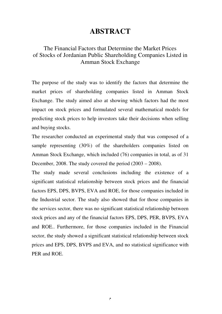### **ABSTRACT**

### The Financial Factors that Determine the Market Prices of Stocks of Jordanian Public Shareholding Companies Listed in Amman Stock Exchange

The purpose of the study was to identify the factors that determine the market prices of shareholding companies listed in Amman Stock Exchange. The study aimed also at showing which factors had the most impact on stock prices and formulated several mathematical models for predicting stock prices to help investors take their decisions when selling and buying stocks.

The researcher conducted an experimental study that was composed of a sample representing (30%) of the shareholders companies listed on Amman Stock Exchange, which included (76) companies in total, as of 31 December, 2008. The study covered the period (2003 – 2008).

The study made several conclusions including the existence of a significant statistical relationship between stock prices and the financial factors EPS, DPS, BVPS, EVA and ROE, for those companies included in the Industrial sector. The study also showed that for those companies in the services sector, there was no significant statistical relationship between stock prices and any of the financial factors EPS, DPS, PER, BVPS, EVA and ROE.. Furthermore, for those companies included in the Financial sector, the study showed a significant statistical relationship between stock prices and EPS, DPS, BVPS and EVA, and no statistical significance with PER and ROE.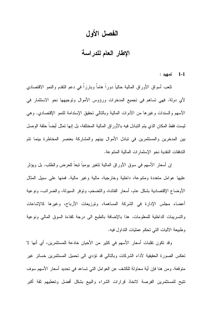### الفصل الأول

الإطار العام للدراسة

 $1 - 1$ تمهيد :

نلعب أسواق الأوراق المالية حالياً دوراً هاماً وبارزاً في دعم النقدم والنمو الاقتصاد*ي* لأي دولة. فهي تساهم في تجميع المدخرات ورؤوس الأموال وتوجيهها نحو الاستثمار في الأسهم والسندات وغيرها من الأدوات المالية وبالنالبي نحقيق الإستدامة للنمو الإقتصادي. وهي ليست فقط المكان الذي يتم التبادل فيه بالأو راق المالية المختلفة، بل إنها تمثل أيضـاً حلقة الوصل بين المدخرين والمستثمرين في نبادل الأموال بينهم والمشاركة بعنصر المخاطرة بينما نتم الندفقات النقدية نحو الإستمارات المالية المننوعة.

إن أسعار الأسهم في سوق الأوراق المالية نتغير يوميا نبعا للعرض والطلب. بل ويؤثر عليها عوامل متعددة ومتنوعة، داخلية وخارجية، مالية وغير مالية. فمنها على سبيل المثال الأوضاع الإقتصادية بشكل عام، أسعار الفائدة، والتضخم، وتوفر السيولة، والضرائب، ونوعية أعضاء مجلس الإدارة في الشركة المساهمة، وتوزيعات الأرباح، وغيرها كالإشاعات والتسريبات الداخلية للمعلومات. هذا بالإضافة بالطبع الى درجة كفاءة السوق المالي ونوعية وطبيعة الأليات التي تحكم عمليات النداول فيه.

وقد تكون تقلبات أسعار الأسهم في كثير من الأحيان خادعة للمستثمرين، أي أنها لا تعكس الصورة الحقيقية لأداء الشركات وبالتالي قد نؤدي الى تحميل المستثمرين خسائر غير متوقعة. ومن هنا فإن أية محاولة للكشف عن العوامل التي نساعد في نحديد أسعار الأسهم سوف نتيح للمستثمرين الفرصة لاتخاذ قرارات الشراء والبيع بشكل أفضل وتعطيهم ثقة أكبر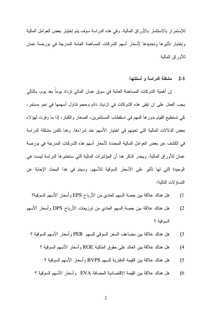للإستمرار بالاستثمار بالأوراق المالية. وفي هذه الدراسة سوف يتم إختيار بعض العوامل المالية وإختبار تأثيرها وتحديدها لأسعار أسهم الشركات المساهمة العامة المدرجة في بورصة عمان للأوراق المالية

#### 2-1 مشكلة الدراسة و أسئلتها:

إن أهمية الشركات المساهمة العامة في سوقٍ عمان المالي نزداد بوما بعد بوم. بالنالي يجب العمل على ان نبقى هذه الشركات فى ازدياد دائم وحجم نداول أسهمها فى نمو مستمرٍ ، كي تستطيع القيام بدورها المهم في استقطاب المستثمرين، الصغار والكبار، إذا ما وفرت لهؤلاء بعض الدلالات المالية التي تعينهم في اختيار الأسهم عند شراءها. وهنا تكمن مشكلة الدراسة في الكشف عن بعض العوامل المالية المحددة لأسعار أسهم هذه الشركات المدرجة في بورصة عمان للأوراق المالية. ويجدر الذكر هنا أن المؤشرات المالية التي ستختبرها الدراسة ليست هي الوحيدة التي لها تأثير على الأسعار السوقية للأسهم. وسيتم في هذا البحث الإجابة عن النساؤ لات التالية:

- هل هناك علاقة بين حصة السهم العادي من الأرباح EPS وأسعار الأسهم السوقية؟  $(1)$
- هل هناك علاقة بين حصة السهم العادي من نوزيعات الأرباح DPS وأسعار الأسهم  $(2)$ السوقية ؟
	- هل هناك علاقة بين مضاعف السعر السوقي للسهم PER وأسعار الأسهم السوقية ؟  $(3)$ 
		- هل هناك علاقة بين العائد على حقوق الملكية ROE وأسعار الأسهم السوقية ؟  $(4)$ 
			- هل هناك علاقة بين القيمة الدفترية للسهم BVPS و أسعار الأسهم السوفية ؟  $(5)$
		- هل هناك علاقة بين القيمة الاقتصادية المضافة EVA وأسعار الأسهم السوقية ؟  $(6)$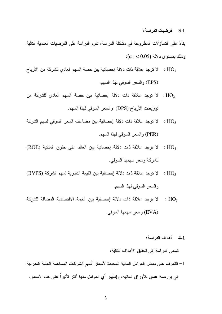### 3-1 فرضيات الدر اسة:

بناءً على التساؤ لات المطروحة في مشكلة الدر اسة، تقوم الدر اسة على الفرضيات العدمية التالية  $\alpha = < 0.05$ وْ ذَلَكَ بِمَسْتَوْعِ دِلالَّة (

- $\rm K_{1}$ لا نوجد علاقة ذات دلالة إحصائية بين حصـة السهم العادي للشركة من الأرباح :  $\rm HO_{1}$ (EPS) والسعر السوقي لهذا السهم.
- ن لا توجد علاقة ذات دلالة إحصائية بين حصة السهم العادي للشركة من  $\rm HO_2$ توزيعات الأرباح (DPS) والسعر السوقي لهذا السهم.
- ا لا توجد علاقة ذات دلالة إحصائية بين مضاعف السعر السوفي لسهم الشركة :  ${\rm HO_3}$ (PER) و السعر السوفي لهذا السهم.
- HO4 : لا توجد علاقة ذات دلالة إحصائية بين العائد على حقوق الملكية (ROE) للشركة وسعر سهمها السوقى.
- ا لا توجد علاقة ذات دلالة إحصائية بين القيمة الدفترية لسهم الشركة (BVPS) :  $\rm HO_{5}$ والسعر السوقى لهذا السهم.
- ا لا توجد علاقة ذات دلالة إحصائية بين القيمة الاقتصادية المضافة للشركة :  ${\rm HO}_6$ (EVA) وسعر سهمها السوفي.
	- 4-1 أهداف الدراسة:

نسعي الدراسة إلى نحقيق الأهداف التالية:

1– النعرف على بعض العوامل المالية المحددة لأسعار أسهم الشركات المساهمة العامة المدرجة في بورصـة عمـان للأوراق المـالية، وإظـهار أي الـعوامل منـها أكثر تأثيرا علـي هذه الأسعار .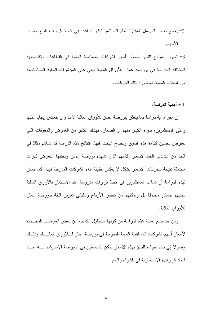## 2- وضع بعض العوامل المؤثرة أمام المستثمر لعلها نساعده في اتخاذ قرارات البيع وشراء الأسهم.

3– نطوير نموذج للتنبؤ بأسعار أسهم الشركات المساهمة العامة في القطاعات الاقتصادية المختلفة المدرجة في بورصة عمان للأوراق المالية مبني على المؤشرات المالية المستخلصة من البيانات المالية المنشورة لنلك الشركات.

### 5-1 أهمية الدراسة:

إن إجراء أية دراسة بما يتعلق ببورصة عمان للأوراق المالية لا بد وأن ينعكس إيجابا عليها وعلى المستثمرين، سواء الكبار منهم أو الصغار. فهناك الكثير من الغموض والمعوقات التبي تعترض تحسين كفاءة هذه السوق وتحتاج البحث فيها. فنتائج هذه الدراسة قد تساهم مثلا في الحد من التذبذب الحاد لأسعار الأسهم الذي نشهده بورصة عمان ونجنبها النعرض لهزات محتملة نتيجة لتحركات الأسعار بشكل لا يعكس حقيقة أداء الشركات المدرجة فيها. كما يمكن لهذه الدراسة أن تساعد المستثمرين في اتخاذ قرارات مدروسة عند الاستثمار بالأوراق المالية تجنبهم خسائر محتملة بل وتمكنهم من تحقيق الأرباح وبالتالي تعزيز الثقة ببورصة عمان للأور اق المالية.

ومن هنا نتبع أهمية هذه الدراسة من كونها ستحاول الكشف عن بعض العوامـــل المحــــددة لأسعار أسهم الشركات المساهمة العامة المدرجة في بورصة عمان لــــلأوراق الماليــــة، وذلـــك وصولاً إلى بناء نموذجَ للنتبوَ بهذه الأسعار يمكن للمتعاملين في البورصة الاسترشاد بــــه عنـــد اتخاذ قرار اتهم الاستثمارية في الشراء والبيع.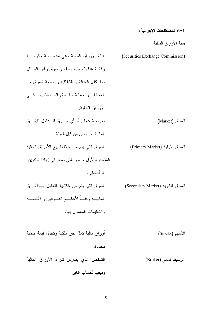### 6-1 المصطلحات الإجرائية:

هيئة الأوراق المالية

| هيئة الأوراق المالية وهي مؤســسة حكوميـــة    | (Securities Exchange Commission)  |
|-----------------------------------------------|-----------------------------------|
| رقابية هدفها نتظيم ونطوير سوق رأس المسال      |                                   |
| بما يكفل العدالة و الشفافية و حماية السوق من  |                                   |
| المخاطر و حماية حقـــوق المـــستثمرين فــــى  |                                   |
| الأوراق المالية.                              |                                   |
| بورصة عمان أو أي ســـوق لتـــداول الأوراق     | السوق (Market)                    |
| المالية مرخص من قبل الهيئة.                   |                                   |
| السوق التبي يتم من خلالها بيع الأوراق المالية | السوق الأولية (Primary Market)    |
| المصدرة لأول مرة و التي تسهم في زيادة التكوين |                                   |
| الر أسمالي.                                   |                                   |
| السوق النبي يتم من خلالها النعامل بـــالأوراق | السوق الثانوية (Secondary Market) |
| المالبسة وفقسا لأحكسام القسوانين والأنظمسة    |                                   |
| و النعليمات المعمول بها.                      |                                   |
|                                               |                                   |
| أوراق مالية نمثل حق ملكية ونحمل قيمة اسمية    | الأسهم (Stocks)                   |
| محددة.                                        |                                   |
| الشخص الذي بمارس شراء الأوراق المالية         | الوسيط المالي (Broker)            |
| وببعها لحساب الغير .                          |                                   |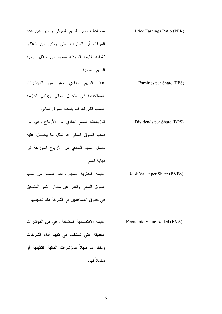| ے ہمـ | L       |
|-------|---------|
|       | ملاً له |
|       |         |
|       |         |
|       |         |

6

المرات أو السنوات التي يمكن من خلالها السهم السنوية عائد السهم العادي وهو من المؤشرات Earnings per Share (EPS) النسب النبي نعرف بنسب السوق المالبي نسب السوق المالي إذ نمثل ما يحصل عليه حامل السهم العادي من الأرباح الموزعة في نهاية العام القيمة الدفترية للسهم وهذه النسبة من نسب Book Value per Share (BVPS) السوق المالي وتعبر عن مقدار النمو المتحقق في حقوق المساهمين في الشركة منذ نأسيسها

للقيمة الاقتصادية المضافة وهي من المؤشرات Economic Value Added (EVA) الحديثة التي تستخدم في تقييم أداء الشركات و ذلك إما بدبلاً للمؤشر ات المالبة التقلبدبة أو مكملا لما.

مضاعف سعر السهم السوفي ويعبر عن عدد Price Earnings Ratio (PER) تغطية القيمة السوقية للسهم من خلال ربحية

المستخدمة في التحليل المالي وينتمي لحزمة

توزيعات السهم العادي من الأرباح وهي من  $\hspace{1em}$  Dividends per Share (DPS)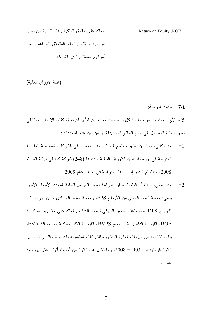العائد على حقوق الملكية وهذه النسبة من نسب الربحية إذ تقيس العائد المتحقق للمساهمين من أمو البهم المستثمر ة في الشركة

(هيئة الأوراق المالية)

7-1 حدود الدراسة:

Return on Equity (ROE)

لا بد لأي باحث من مو اجهة مشاكل ومحددات معينة من شأنها أن تعيق كفاءة الانجاز ، وبالتالي تعيق عملية الوصول الى جمع النتائج المستهدفة، و من بين هذه المحددات:

- حد مكاني، حيث أن نطاق مجتمع البحث سوف ينحصر في الشركات المساهمة العامــــة  $-1$ المدرجة في بورصة عمان للأوراق المالية وعددها (248) شركة كما في نهاية العسام 2008، حيث تم البدء بإجراء هذه الدراسة في صيف عام 2009.
- حد زماني، حيث أن الباحث سيقوم بدراسة بعض العوامل المالية المحددة لأسعار الأسهم  $-2$ وهي: حصة السهم العادي من الأرباح EPS، وحصة السهم العـــادي مـــن توزيعـــات الأرباح DPS، ومضاعف السعر السوقي للسهم PER، والعائد على حقــوق الملكيـــة ROE والقيمـــة الدفتريــــة للـــسهم BVPS والقيمـــة الاقتـــصادية المـــضافة EVA، والمستخلصة من البيانات المالية المنشورة للشركات المشمولة بالدراسة والتسى تغطسي الفترة الزمنية بين 2003– 2008، وما تخلل هذه الفترة من أحداث أثرّت على بورصة عمان.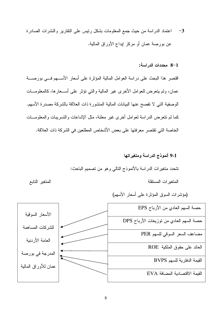3– اعتماد الدراسة من حيث جمع المعلومات بشكل رئيس على النقارير والنشرات الصادرة عن بورصة عمان أو مركز إيداع الأوراق المالية.

8-1 محددات الدراسة:

اقتصر هذا البحث على دراسة العوامل المالية المؤثرة على أسعار الأســـهم فـــى بورصــــة عمان، ولم يتعرض للعوامل الأخرى غير المالية والتبي نؤثر على أســـعارها، كالمعلومـــات الوصفية التي لا تفصح عنها البيانات المالية المنشورة ذات العلاقة بالشركة مصدرة الأسهم. كما لم نتعرض الدراسة لعوامل أخرى غير معلنة، مثل الإشاعات والتسريبات والمعلومـــات الخاصة التي تقتصر معرفتها على بعض الأشخاص المطلعين في الشركة ذات العلاقة.

> 9-1 أنموذج الدراسة ومتغيراتها نتحدد متغيرات الدراسة بالأنموذج النالبي وهو من نصميم الباحث: المتغبر ات المستقلة

(مؤشرات السوق المؤثرة على أسعار الأسهم)

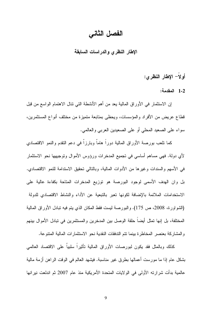### الفصل الثاني

الإطار النظرى والدراسات السابقة

أولاً– الإطار النظرى:

1-2 المقدمة:

إن الاستثمار في الأوراق المالية يعد من أهم الأنشطة التي نتال الاهتمام الواسع من قبل قطاع عريض من الأفراد والمؤسسات، ويحظى بمتابعة متميزة من مختلف أنواع المستثمرين، سواء على الصعيد المحلي أو على الصعيدين العربي والعالمي.

كما نلعب بورصة الأوراق المالية دوراً هاماً وبارزاً في دعم النقدم والنمو الاقتصادي لأي دولة. فهي مساهم أساسي في تجميع المدخرات ورؤوس الأموال وتوجيهها نحو الاستثمار في الأسهم والسندات وغيرها من الأدوات المالية، وبالنالي تحقيق الاستدامة للنمو الاقتصادي. بل وان الهدف الأسمى لوجود البورصة هو توزيع المدخرات المتاحة بكفاءة عالية على الاستخدامات الملائمة بالإضافة لكونها تعبر بالتبعية عن الأداء والنشاط الاقتصادي للدولة (الشواورة، 2008، ص 175). والبورصة ليست فقط المكان الذي يتم فيه تبادل الأوراق المالية المختلفة، بل إنها تمثِّل أيضا حلقة الوصل بين المدخرين والمستثمرين في تبادل الأموال بينهم والمشاركة بعنصر المخاطرة بينما نتم التدفقات النقدية نحو الاستثمارات المالية المنتوعة.

كذلك وبالمثل فقد يكون لبورصات الأوراق المالية نأثيراً سلبياً على الاقتصاد العالمي بشكل عام إذا ما مورست أعمالها بطرق غير مناسبة. فيشهد العالم في الوقت الراهن أزمة مالية عالمية بدأت شرارته الأولى في الولايات المتحدة الأمريكية منذ عام 2007 ثم اندلعت نيرانها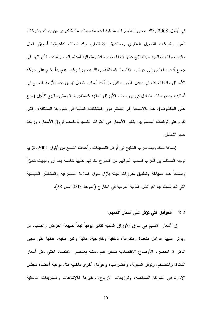في أيلول 2008 وذلك بصورة انهيارات متتالية لعدة مؤسسات مالية كبرى من بنوك وشركات تأمين وشركات للتمويل العقاري وصناديق الاستثمار. وقد شملت نداعياتها أسواق المال و البور صات العالمية حيث نتج عنها انخفاضات حادة ومتوالية لمؤشر اتها. وامتدت تأثير اتها إلى جميع أنحاء العالم وإلى جوانب الاقتصاد المختلفة، وذلك بصورة ركود عام بدأ يخيم على حركة الأسواق وانخفاضات في معدل النمو . وكان من أحد أسباب إشعال نيران هذه الأزمة التوسع في أساليب وممارسات النعامل في بورصات الأوراق المالية كالمناجرة بالمهامش والبيع الاجل (البيع على المكشوف)، هذا بالإضافة إلى تعاظم دور المشتقات المالية في صورها المختلفة، والتي تقوم على توقعات المضاربين بتغير الأسعار في الفترات القصيرة لكسب فروق الأسعار، وزيادة حجم التعامل.

إضـافة لذلك وبـعد حرب الـخليج فـي أوائل النسعينـات وأحداث النـاسـع من أيلول 2001، نز ايد توجه المستثمرين العرب لسحب أموالهم من الخارج لخوفهم عليها خاصة بعد أن واجهت تحيزا واضحاً عند صباغة ونطبيق مقررات لجنة بازل حول الملاءة المصرفية والمخاطر السياسية التي تعرضت لها الفوائض المالية العربية في الخارج (الموعد 2005 ص 28).

#### العوامل التي تؤثر على أسعار الأسهم:  $2 - 2$

إن أسعار الأسهم في سوق الأوراق المالية نتغير يومياً نبعاً لطبيعة العرض والطلب. بل ويؤثِّر عليها عوامل متعددة ومتنوعة، داخلية وخارجية، مالية وغير مالية. فمنها على سبيل الذكر لا الحصر، الأوضاع الاقتصادية بشكل عام ممثلة بعناصر الاقتصاد الكلي مثل أسعار الفائدة، والنضخم، ونوفر السيولة، والضرائب، وعوامل أخرى داخلية مثل نوعية أعضاء مجلس الإدارة في الشركة المساهمة، وتوزيعات الأرباح، وغيرها كالإشاعات والتسريبات الداخلية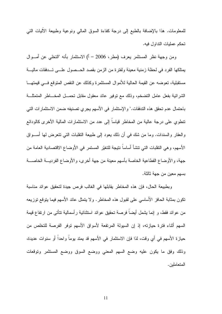للمعلومات. هذا بالإضافة بالطبع إلى درجة كفاءة السوق المالي ونوعية وطبيعة الاليات التي تحكم عمليات النداول فيه.

ومن وجهة نظر المستثمر يعرف (مطر، 2006 – أ) الاستثمار بأنه "التخلي عن أمــوال يمتلكها الفرد في لحظة زمنية معينة ولفترة من الزمن بقصد الحـــصول علـــي تـــدفقات ماليـــة مستقبلية، تعوضه عن القيمة الحالية للأموال المستثمرة وكذلك عن النقص المتوقع فسي قيمتهـــا الشرائية بفعل عامل التضخم، وذلك مع نوفير عائد معقول مقابل تحمـــل المخــــاطر المتمثلــــة باحتمال عدم تحقق هذه التدفقات." والإستثمار في الأسهم يجرى تصنيفه ضمن الاستثمارات التي نتطوي على درجة عالية من المخاطر قياسا إلى عدد من الاستثمارات المالية الأخرى كالودائع والعقار والسندات. وما من شك في أن ذلك يعود إلى طبيعة النقلبات التي نتعرض لها أســـواق الأسهم، وهي النقلبات التي نتشأ أساساً نتيجة للتغيّر المستمر في الأوضاع الاقتصادية العامة من جهة، والأوضاع القطاعية الخاصة بأسهم معينة من جهة أخرى، والأوضاع الفرديسة الخاصسة بسهم معين من جهة ثالثة.

وبطبيعة الحال، فإن هذه المخاطر يقابلها في الغالب فرص جيدة لتحقيق عوائد مناسبة نكون بمثابة الحافز الأساسي على لقبول هذه المخاطر . و لا يتمثَّل عائد الأسهم فيما يتوقع توزيعه من عوائد فقط، و إنما يشمل أيضاً فرصة تحقيق عوائد استثنائية ر أسمالية تتأتى من ارتفاع قيمة السهم أثناء فترة حيازته، إذ إن السيولة المرتفعة لأسواق الأسهم نوفر الفرصة للتخلص من حياز ة الأسهم في أي وقت، لذا فإن الاستثمار في الأسهم قد يمتد يوماً واحداً أو سنوات عديدة، وذلك وفق ما يكون عليه وضع السهم المعنى ووضع السوق ووضع المستثمر ونوقعات المتعاملين.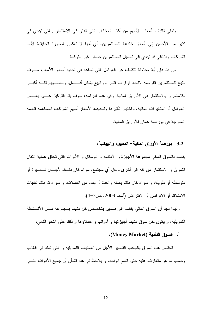ونبقى نقلبات أسعار الأسهم من أكثر المخاطر التي نؤثر في الاستثمار والتي نؤدي في كثير من الأحيان إلى أسعار خادعة للمستثمرين، أي أنها لا تعكس الصورة الحقيقية لأداء الشركات وبالتالي قد نؤدي إلى تحميل المستثمرين خسائر غير متوقعة.

من هنا فإن أية محاولة للكشف عن العوامل التي تساعد في تحديد أسعار الأسهم، ســـوف نتيح للمستثمرين الفرصة لاتخاذ قرارات الشراء والبيع بشكل أفسضل، وتعطسيهم ثقسة أكبسر للاستمرار بالاستثمار في الأوراق المالية. وفي هذه الدراسة، سوف يتم التركيز علـــي بعــض العوامل أو المتغيرات المالية، واختبار نأثيرها وتحديدها لأسعار أسهم الشركات المساهمة العامة المدرجة في بورصة عمان للأوراق المالية.

### 3-2 بورصة الأوراق المالية– المفهوم والهيكلية:

يقصد بالسوق المالـي مجموعة الأجهزة و الأنظمة و الوسائل و الأدوات التـي تحقق عملية انتقال النَّمويل و الاستثمار من فئة الى أخرى داخل أي مجتمع، سواء كان ذلــك لآجـــال قـــصيرة أو منوسطة أو طويلة، و سواء كان ذلك بعملة واحدة أو بعدد من العملات، و سواء نم ذلك لغايات الامتلاك أو الاقراض أو الاقتراض (أسعد 2003، ص2-4).

ولهذا نجد أن السوق المالي بنقسم الى قسمين بتخصص كل منهما بمجموعة مـــن الأنـــشطة النَّمويلية، و يكون لكل سوقٍ منهما أجهزتها و أدواتها و عملاؤها و ذلك على النحو التالي:

#### أ. السوق النقدية (Money Market):

تختص هذه السوق بالجانب القصبر الأجل من العمليات التمويلية و التي تمتد في الغالب وحسب ما هو متعارف عليه حتى العام الواحد. و يلاحظ في هذا الشأن أن جميع الأدوات التـــي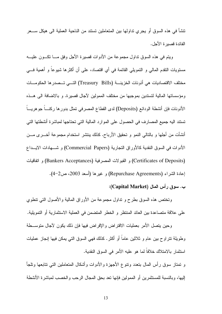تشأ في هذه السوق أو يجري نداولها بين المتعاملين نستند من الناحية العملية الى هيكل ســـعر الفائدة قصبر ة الأجل.

ويتم في هذه السوق نداول مجموعة من الأدوات قصيرة الأجل وفق مـــا نكـــون عليــــه مستويات النقدم المالي و التمويلي القائمة في أي اقتصاد، على أن أكثرها شيوعاً و أهمية فـــي مختلف الاقتصاديات هي أذونات الخزينـــة (Treasury Bills) التـــي تـــصدر ها الحكومــــات ومؤسساتها المالية لتستدين بموجبها من مختلف الممولين لأجال قصيرة. و بالاضافة الى هــذه الأذونات فإن أنشطة الودائع (Deposits) لدى القطاع المصرفيي تمثل بدورها ركنــــا جوهريــــا تستند اليه جميع المصـارف في الـحصـول علـي الموارد المالية النبي تحتاجها لمباشرة أنشطتها التبي أنشأت من أجلها و بالنالبي النمو و تحقيق الأرباح. كذلك بنتشر استخدام مجموعة أخــــرى مــــن الأدوات في السوق النقدية كالأوراق التجارية (Commercial Papers) و شـــهادات الايـــداع (Certificates of Deposits) و القبو لات المصر فية (Bankers Acceptances) و اتفاقيات إعادة الشراء (Repurchase Agreements) و غيرها (أسعد 2003، ص2–4).

ب. سوق رأس المال (Capital Market):

وتختص هذه السوق بطرح و تداول مجموعة من الأوراق المالية والأصول التي نتطوي على علاقة منصاعدة بين العائد المنتظر و الخطر المنضمن في العملية الاستثمارية أو النمويلية.

وحين يتصل الأمر بعمليات الاقتراض والإقراض فيها فإن ذلك يكون لأجال متوســطة وطويلة نتراوح بين عام و ثلاثين عاماً أو أكثر . كذلك فهي السوق التي يمكن فيها إنجاز عمليات استثمار بالامتلاك خلافاً لما هو عليه الأمر في السوق النقدية.

و نمتاز سوق رأس المال بنعدد ونتوع الأجهزة والأدوات وأشكال المنعاملين النبي نتابعها ونلجأ إليها، وبالنسبة للمستثمرين أو الممولين فإنها نعد بحق المجال الرحب والخصب لمباشرة الأنشطة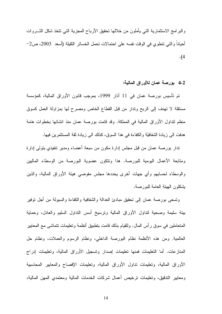والبرامج الاستثمارية التبي يأملون من خلالها تحقيق الأرباح المجزية التبي نتخذ شكل الشـــروات أُحياناً والتي نتطوى في الوقت نفسه على احتمالات تحمل الخسائر الثقيلة (أسعد 2003، ص2–  $\cdot$ (4

4-2 بورصة عمان للأوراق المالية:

تم تأسيس بورصة عمان في 11 آذار 1999، بموجب قانون الأوراق المالية، كمؤسسة مستقلة لا نهدف إلى الربح وندار من قبل القطاع الخاص ومصرح لها بمزاولة العمل كسوق منظم لنداول الأوراق المالية في المملكة. وقد قامت بورصة عمان منذ انشائها بخطوات هامة هدفت الى زيادة الشفافيَّة والكفاءة في هذا السوق، كذلك الى زيادة ثقة المستثمرين فيها.

ندار بورصة عمان من قبل مجلس إدارة مكون من سبعة أعضاء ومدير نتفيذي يتولى إدارة ومتابعة الأعمال اليومية للبورصة. هذا ونتكون عضوية البورصة من الوسطاء الماليين والوسطاء لحسابهم وأى جهات أخرى بحددها مجلس مفوضبي هيئة الأوراق المالية، والذين يشكلون الهيئة العامة للبورصة.

ونسعى بورصة عمان إلىي تحقيق مبادئ العدالة والشفافية والكفاءة والسيولة من أجل نوفير بيئة سليمة وصحية لنداول الأوراق المالية ونرسيخ أسس النداول السليم والعادل، وحماية المتعاملين في سوقٍ رأس المال. وللقيام بذلك قامت بتطبيق أنظمة وتعليمات نتماشى مع المعايير العالمية. ومن هذه الأنظمة نظام البورصة الداخلي، ونظام الرسوم والعملات، ونظام حل المنازعات. أما التعليمات فمنها تعليمات إصدار وتسجيل الأوراق المالية، وتعليمات إدراج الأوراق المالية، وتعليمات نداول الأوراق المالية، وتعليمات الإفصاح والمعايير المحاسبية ومعايير الندفيق، وتعليمات نرخيص أعمال شركات الخدمات المالية ومعتمدى المهن المالية،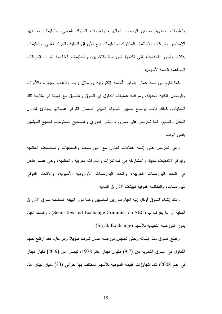ونعليمات صندوق ضمان الوسطاء الماليين، ونعليمات السلوك المهنى، ونعليمات صناديق الإستثمار وشركات الإستثمار المشترك، وتعليمات بيع الأوراق المالية بالمزاد العلنبي، وتعليمات بدلات وأجور الخدمات التي تقدمها البورصة للأخرين، والتعليمات الخاصة بشراء الشركات المساهمة العامة لأسهمها.

كما نقوم بورصة عمان بنوفير أنظمة إلكترونية ووسائل ربط وقاعات مجهزة بالأدوات والوسائل النقنية الحديثة. ومراقبة عمليات النداول في السوق والننسيق مع الهيئة في متابعة تلك العمليات. كذلك قامت بوضع معايير للسلوك المهنى لضمان التزام أعضائها بمبادئ التداول العادل والسليم، كما نحرص على ضرورة النشر الفوري والصحيح للمعلومات لجميع المهتمين بنفس الوقت .

وهي نحرص على إقامة علاقات نعاون مع البورصات والجمعيات والمنظمات العالمية وإبرام الاتفاقيات معها، والمشاركة في المؤتمرات والندوات العربية والعالمية، وهي عضو فاعل في اتحاد البورصات العربية، واتحاد البورصات الأوروبية الآسيوية، والاتحاد الدولي للبورصات، والمنظمة الدولية لمهيئات الأوراق المالية.

ومنذ إنشاء السوق أوكل إليه القيام بدورين أساسبين وهما دور الهيئة المنظمة لسوق الأوراق العالية أو ما يعرف ب (Securities and Exchange Commission SEC) ، وكذلك القيام بدور البورصة التقليدية للأسهم (Stock Exchange) .

وقطع السوق منذ إنشائه وحتى تأسيس بورصة عمان شوطا طويلا ومراحل، فقد ارتفع حجم النداول في السوق الثانوية من (9.7) مليون دينار عام 1978، ليصل الى (20.9) مليار دينار في عام 2008، كما تجاوزت القيمة السوقية للأسهم المكتتب بها حوالي (23) مليار دينار عام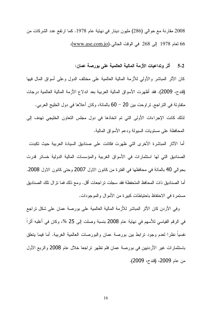2008 مقارنة مع حوالي (286) مليون دينار في نهاية عام 1978. كما ارتفع عدد الشركات من 66 لعام 1978 إلى 268 في الوقت الحالي.(www.ase.com.jo).

5-2 أثر وتداعيات الأزمة المالية العالمية على بورصة عمان:

كان الأثر المباشر والأولمي للأزمة المالية العالمية على مختلف الدول وعلى أسواق المال فيها (قندح، 2009). فقد أظهرت الأسواق المالية العربية بعد اندلاع الأزمة المالية العالمية درجات متفاوتة في النر اجع, نر اوحت بين 20 – 60 بالمائة، وكان أعلاها في دول الخليج العربي. لذلك كانت الإجراءات الأولى التي تم اتخاذها في دول مجلس التعاون الخليجي تهدف إلى المحافظة على مستويات السيولة ودعم الأسواق المالية.

أما الآثار المباشرة الأخرى التي ظهرت فكانت على صناديق السيادة العربية حيث تكبدت الصناديق التي لها استثمارات في الأسواق الغربية والمؤسسات المالية الدولية خسائر قدرت بحوالي 40 بالمائة في محافظها في الفترة من كانون الاول 2007 وحتى كانون الاول 2008. أما الصناديق ذات المحافظ المتحفظة فقد سجلت تر اجعات أقل. ومع ذلك فما نز ال نلك الصناديق مستمرة في الاحتفاظ باحتياطات كبيرة من الأموال والموجودات.

وفي الأردن كان الأثر المباشر للأزمة المالية العالمية على بورصة عمان على شكل تراجع في الرقم القياسي للأسهم في نهاية عام 2008 بنسبة وصلت إلى 25 %، وكان في أغلبه أثرًا نفسيا نظرًا لعدم وجود نرابط بين بورصة عمان والبورصات العالمية الغربية. أما فيما يتعلق باستثمارات غير الأردنبين في بورصة عمان فلم تظهر تراجعا خلال عام 2008 والربع الأول من عام 2009، (قندح، 2009).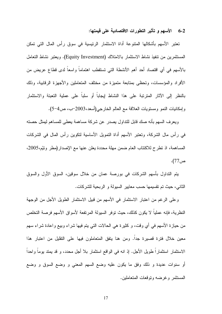6-2 الأسهم و تأثير التطورات الاقتصادية على قيمتها:

تعتبر الأسهم بأشكالها المتنوعة أداة الاستثمار الرئيسية في سوق رأس المال التي تمكن المستثمرين من نتفيذ نشاط الاستثمار بالامتلاك (Equity Investment). ويعتبر نشاط النعامل بالأسهم في أي اقتصاد أحد أهم الأنشطة التي تستقطب اهتماماً واسعاً لدى قطاع عريض من الأفراد والمؤسسات، وتحظى بمتابعة متميزة من مختلف المتعاملين والأجهزة الرقابية، وذلك بالنظر إلى الآثار المتربَّبة على هذا النشاط إيجابا أو سلبا على عملية التعبئة والاستثمار وإمكانيات النمو ومستويات العلاقة مع العالم الخارجي(أسعد،2003–ب، ص4–5).

ويعرف السهم بأنه صك قابل للنداول يصدر ٍ عن شركة مساهمة يعطي للمساهم ليمثل حصنه في رأس مال الشركة، وتعتبر الأسهم أداة التمويل الأساسية لتكوين رأس المال في الشركات المساهمة، اذ نطرح للاكتتاب العام ضمن مهلة محددة يعلن عنها مع الإصدار (مطر ونتّم،2005، ص77).

يتم النداول بأسهم الشركات في بورصة عمان من خلال سوقين، السوق الأول والسوق الثاني، حيث نم نقسيمها حسب معايير السيولة و الربحية للشركات.

وعلى الرغم من اعتبار الاستثمار في الأسهم من قبيل الاستثمار الطويل الأجل من الوجهة النظرية، فإنه عمليا لا يكون كذلك، حيث نوفر السيولة المرتفعة لأسواق الأسهم فرصة التخلص من حيازة الأسهم في أي وقت، و كثيرة هي الحالات التي يتم فيها شراء وبيع واعادة شراء سهم معين خلال فترة قصيرة جدا. ومن هنا يتفق المتعاملون فيها على التقليل من اعتبار هذا الاستثمار استثماراً طويل الأجل. إذ انه في الواقع استثمار بلا أجل محدد، و قد يمتد يوما واحدا أو سنوات عديدة و ذلك وفق ما يكون عليه وضع السهم المعني و وضع السوق و وضع المستثمر وغرضه وتوقعات المتعاملين.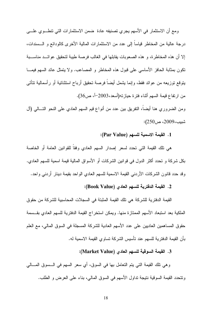ومع أن الاستثمار في الأسهم يجري تصنيفه عادة ضمن الاستثمارات التي نتطـــوي علــــي درجة عالية من المخاطر قياساً إلى عدد من الاستثمارات المالية الأخرى كالودائع و الـــسندات، إلا أن هذه المخاطرة، و هذه الصعوبات يقابلها في الغالب فرصة طيبة لتحقيق عوائـــد مناســـبة نكون بمثابة الحافز الأساسي على قبول هذه المخاطر و المصاعب. ولا ينمثل عائد السهم فيمـــا يتوقع توزيعه من عوائد فقط، وإنما يشمل أيضا فرصة تحقيق أرباح استثنائية أو رأسمالية تتأتـي من ارتفاع قيمة السهم أثناء فترة حياز ته(أسعد،2003<sup>ـــ)</sup>، ص36).

ومن الضروري هنا أيضا، النفريق بين عدد من أنواع قيم السهم العادي على النحو التـــالـي (أل شبيب،2009، ص250):

### 1. القيمة الاسمية لل*س*هم (Par Value):

هي نلك القيمة التي تحدد لسعر إصدار السهم العادي وفقاً للقوانين العامة أو الخاصة بكل شركة و تحدد أكثر الدول في قوانين الشركات أو الأسواق المالية قيمة اسمية للسهم العادي. وقد حدد قانون الشركات الأردني القيمة الاسمية للسهم العادي الواحد بقيمة دينار أردني واحد.

### 2. القيمة الدفترية للسهم العادي (Book Value):

القيمة الدفترية للشركة هي تلك القيمة المثبتة في السجلات المحاسبية للشركة من حقوق الملكية بعد استبعاد الأسهم الممتازة منها. ويمكن استخراج القيمة الدفترية للسهم العادي بقــسمة حقوق المساهمين العاديين على عدد الأسهم العادية للشركة المسجلة في السوق المالي، مع العلم بأن القيمة الدفتر ية للسهم عند تأسيس الشركة تساو ي القيمة الاسمية له.

### 3. القيمة السوقية للسهم العادي (Market Value):

و هي نلك القيمة التبي يتم التعامل بها في السوق، أي سعر السهم في الــــسوق المــــالـي ونتحدد القيمة السوقية نتيجة نداول الأسهم في السوق المالي، بناء على العرض و الطلب.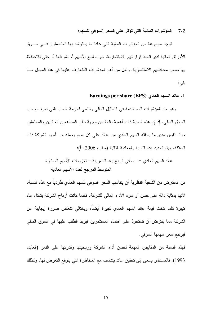المؤشرات المالية التي تؤثر على السعر السوقي للسهم:  $7 - 2$ 

نوجد مجموعة من المؤشرات المالية التي عادة ما يسترشد بها المتعاملون فسي سـوق الأوراق المالية لدى اتخاذ قراراتهم الاستثمارية، سواء لبيع الأسهم أو لشرائها أو حتى للاحتفاظ بها ضمن محافظهم الاستثمارية. ولعل من أهم المؤشرات المتعارف عليها في هذا المجال مـــا يلى:

1. عائد السهم العادي (EPS) Earnings per share

وهو من المؤشرات المستخدمة في التحليل المالي وتنتمي لحزمة النسب التي تعرف بنسب السوق المالـي. إذ إن هذه النسبة ذات أهمية بالغة من وجهة نظر المساهمين الحالبين والمحتملين حيث نقيس مدى ما يحققه السهم العادي من عائد على كل سهم يحمله من أسهم الشركة ذات العلاقة. ويتم نحديد هذه النسبة بالمعادلة النالية (مطر، 2006 –أ):

> عائد السهم العادي = صافى الربح بعد الضريبة – توزيعات الأسهم الممتازة المنوسط المرجح لعدد الأسهم العادية

من المفتر ض من الناحية النظرية أن يتناسب السعر السوقي للسهم العادي طردياً مع هذه النسبة، لأنها بمثابة دالة على حسن أو سوء الأداء المالي للشركة. فكلما كانت أرباح الشركة بشكل عام كبيرة كلما كانت قيمة عائد السهم العادي كبيرة أيضاً، وبالتالي نتعكس صورة إيجابية عن الشركة مما يفترض أن تستحوذ على اهتمام المستثمرين فيزيد الطلب عليها في السوق المالي فير نفع سعر -سهمها السو قي.

فهذه النسبة من المقاييس المهمة لحسن أداء الشركة وربحيتها وقدرتها على النمو (العابد، 1993). فالمستثمر يسعى إلى تحقيق عائد يتناسب مع المخاطرة التي يتوقع التعرض لها، وكذلك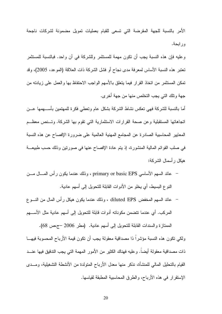الأمر بالنسبة للجهة المقرضة التي تسعى للقبام بعمليات تمويل مضمونة لشركات ناجحة ور ابحة.

وعليه فإن هذه النسبة يجب أن نكون مهمة للمستثمر وللشركة في آن واحد. فبالنسبة للمستثمر نعتبر هذه النسبة الأساس لمعرفة مدى نجاح أو فشل الشركة ذات العلاقة (الموعد، 2005)، وقد تمكن المستثمر من اتخاذ القرار فيما يتعلق بالأسهم الواجب الاحتفاظ بها والعمل على زيادته من جهة ونلك التي يجب التخلص منها من جهة أخرى.

أما بالنسبة للشركة فهي تعكس نشاط الشركة بشكل عام وتعطى فكرة للمهتمين بأســـهمها عـــن اتجاهاتها المستقبلية وعن صحة القرارات الاستثمارية التي نقوم بها الشركة. وتسنص معظــم المعايير المحاسبية الصادرة عن المجامع المهنية العالمية على ضرورة الإفصاح عن هذه النسبة في صلب القوائم المالية المنشورة، إذ يتم عادة الإفصاح عنها في صورتين وذلك حسب طبيعـــة هيكل ر أسمال الشر كة:

- عائد السهم الأساسي primary or basic EPS ، وذلك عندما يكون رأس المسال مسن النوع البسيط، أي يخلو من الأدوات القابلة للتحويل إلى أسهم عادية.
- عائد السهم المخفض diluted EPS ، وذلك عندما يكون هيكل رأس المال من النسوع المركب. أي عندما نتضمن مكوناته أدوات قابلة للنحويل إلى أسهم عادية مثل الأســـهم

الممتازة والسندات القابلة للتحويل إلى أسهم عادية. (مطر 2006 –جمص 68). ولكي نكون هذه النسبة مؤشراً ذا مصداقية معقولة يجب أن نكون قيمة الأرباح المحسوبة فيهــا ذات مصداقية معقولة أيضاً. وعليه فهناك الكثير من الأمور المهمة التي يجب التدقيق فيها عنـــد القيام بالتحليل المالي للمنشأة، نذكر منها معدل الأرباح المتولدة من الأنشطة التشغيلية، ومــدى الإستقرار في هذه الأرباح، والطرق المحاسبية المطبقة لقياسها.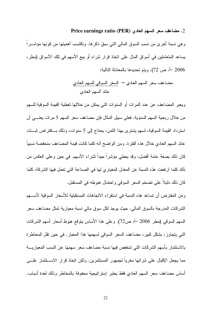#### 2. مضاعف سعر السهم العادي Price earnings ratio (PER)

و هي نسبة أخرى من نسب السوق المالي التي سبق ذكر ها. وتكتسب أهميتها من كونها مؤشـــراً يساعد المتعاملين في أسواق المال على اتخاذ قرار شراء أو بيع الأسهم في نلك الأسواق (مطر، 2006 –أ، ص 72). ويتم تحديدها بالمعادلة التالية:

ويعبر المضاعف عن عدد المرات أو السنوات التي يمكن من خلالها تغطية القيمة السوقية للسهم من خلال ربحية السهم السنوية. فعلى سبيل المثال فإن مضاعف سعر السهم 5 مرات يعنـــي أن استرداد القيمة السوقية، لسهم يشتري بهذا النَّمن، يحتاج إلى 5 سنوات، وذلك بــافتراض ثبــات عائد السهم العادي خلال هذه الفترة. ومن الواضح أنه كلما كانت قيمة المضاعف منخفضة نسبياً كان ذلك بصفة عامة أفضل، وقد يعطي مؤشراً جيداً لشراء الأسهم. في حين وعلى العكس من ذلك كلما ارتفعت هذه النسبة عن المعدل المعياري لها في الصناعة التي تعمل فيها الشركة، كلما كان ذلك دليلاً على تضخم السعر السوفي واحتمال هبوطه في المستقبل.

ومن المفترض أن تساعد هذه النسبة في استقراء الاتجاهات المستقبلية للأسعار السوقية لأســـهم الشركات المدرجة بالسوق المالي. حيث يوجد لكل سوق مالي نسبة معيارية تمثل مضاعف سعر السهم السوقي (مطر 2006 –أ، ص72). وعلى هذا الأساس بنوقع هبوط أسعار أسهم الشركات التي يتجاوز، بشكل كبير، مضاعف السعر السوقي لسهمها هذا المعيار. في حين نقل المخاطرة بالاستثمار بأسهم الشركات التي تتخفض فيها نسبة مضاعف سعر سهمها عن النسب المعياريــــة مما يجعل الإقبال على شرائها مغرياً لجمهور المستثمرين. ولكن اتخاذ قرار الاســـنثمار علــــي أساس مضاعف سعر السهم العادي فقط يعتبر إستراتيجية محفوفة بالمخاطر وذلك لعدة أسباب.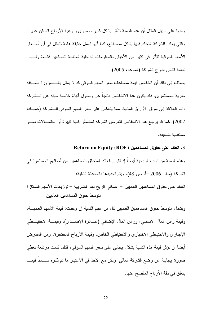ومنها على سبيل المثال أن هذه النسبة نتأثر بشكل كبير بمستوى ونوعية الأرباح المعلن عنهـــا والتي يمكن للشركة التحكم فيها بشكل مصطنع، كما أنها تهمل حقيقة هامة تتمثل في أن أســـعار الأسهم السوقية نتأثر في كثير من الأحيان بالمعلومات الداخلية المتاحة للمطلعين فقــط ولـــيس لعامة الناس خارج الشركة (الموعد، 2005).

يضاف إلى ذلك أن انخفاض قيمة مضاعف سعر السهم السوقي قد لا يمثل بالـــضرورة صــــفقة مغرية للمستثمرين. فقد يكون هذا الانخفاض ناتجا عن وصول أنباءً خاصة سيئة عن الـــشركة ذات العلاقة إلى سوق الأوراق المالية، مما ينعكس على سعر السهم السوقي للــشركة (حمـــاد، 2002). كما قد برجع هذا الانخفاض لتعرض الشركة لمخاطر كلية كبيرة أو احتمـــالات نمـــو مستقلبة ضعبفة.

#### 3. العائد على حقوق المساهمين (Return on Equity (ROE)

و هذه النسبة من نسب الربحية أيضاً إذ تقيس العائد المتحقق للمساهمين من أموالهم المستثمرة في الشركة (مطر 2006 –أ، ص 48). ويتم تحديدها بالمعادلة النالية:

العائد على حقوق المساهمين العاديين = صافى الربح بعد الضريبة – توزيعات الأسهم الممتازة متوسط حقوق المساهمين العاديين

ويشمل متوسط حقوق المساهمين العاديين كل من القيم التالية إن وجدت: قيمة الأسهم العاديـــة، وقيمة رأس المال الأساسي، ورأس المال الإضافي (عـــلاوة الإصـــدار)، وقيمـــة الاحتيـــاطـي الإجباري والاحتياطي الاختياري والاحتياطي الخاص، وقيمة الأرباح المحتجزة. ومن المفترض أيضا أن تؤثر قيمة هذه النسبة بشكل إيجابي على سعر السهم السوقي، فكلما كانت مرتفعة تعطي صورة إيجابية عن وضع الشركة المالي. ولكن مع الأخذ في الاعتبار ما نم ذكره ســـابقاً فيمـــا يتعلق في دقة الأرباح المفصح عنها.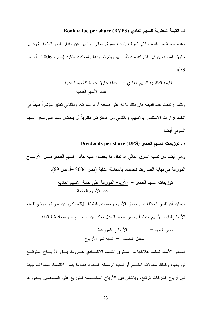### 4. القيمة الدفترية للسهم العادي (BVPS) Book value per share

وهذه النسبة من النسب التي تعرف بنسب السوق المالي. وتعبر عن مقدار النمو المتحقــق فـــي حقوق المساهمين في الشركة منذ تأسيسها ويتم تحديدها بالمعادلة النالية (مطر، 2006 –أ، ص  $:(73)$ 

> القيمة الدفترية للسهم العادي = جملة حقوق حملة الأسهم العادية عدد الأسهم العادية

وكلما ارنفعت هذه القيمة كان ذلك دلالة على صحة أداء الشركة، وبالنالي نعتبر مؤشراً مهماً في اتخاذ قرارات الاستثمار بالأسهم. وبالتالي من المفترض نظرياً أن ينعكس ذلك على سعر السهم السوقي أيضاً.

#### 5. توزيعات السهم العادي (Dividends per share (DPS

و هي أيضًا من نسب السوق المالي إذ تمثَّل ما يحصل عليه حامل السهم العادي مـــن الأربــــاح الموزعة في نهاية العام ويتم تحديدها بالمعادلة التالية (مطر 2006 –أ، ص 69):

 ", \*9 " "5 X = @, \*9 ,5 ", \*9

ويمكن أن نفسر العلاقة بين أسعار الأسهم ومستوى النشاط الاقتصادي عن طريق نموذج نقسيم الأرباح لتقييم الأسهم حيث أن سعر السهم العادل يمكن أن يستخر ج من المعادلة التالية:

 "5 X = \*9 , X 1 "1 ^ \*F ,

فأسعار الأسهم تستمد علاقتها من مستوى النشاط الاقتصادي عــن طريـــق الأربــــاح المتوقــــع توزيعها، وكذلك معدلات الخصم أو نسب الرسملة السائدة. فعندما بنمو الاقتصاد بمعدلات جيدة فإن أرباح الشركات نرنفع، وبالنالي فإن الأرباح المخصصة للنوزيع على المساهمين بـــدورها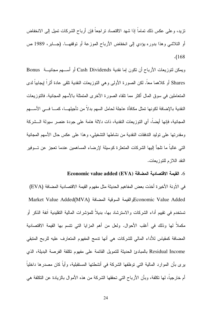تزيد، وعلى عكس ذلك تماما إذا شهد الاقتصاد تراجعا فإن أرباح الشركات تميل إلىي الانخفاض أو التلاشي وهذا بدوره يؤدي إلى انخفاض الأرباح الموزعة أو نوففهـــا. (جـــابر، 1989 ص .( 168

ويمكن لتوزيعات الأرباح أن نكون إما نقدية Cash Dividends أو أســـهم مجانيـــة Bonus Shares أو كلاهما معاً. لكن الصورة الأولى وهي النوزيعات النقدية نلقى عادة أثراً إيجابياً لدى المتعاملين في سوق المال أكثر مما نلقاه الصورة الأخرى المتمثلة بالأسهم المجانية. فالتوزيعات النقدية بالإضافة لكونها تمثل مكافأة عاجلة لحامل السهم بدلا من تأجيلهــــا، كمــــا فـــي الأســــهم المجانية، فإنها أيضاً، أي النوزيعات النقدية، ذات دلالة هامة على جودة عنصر سبولة الــشركة ومقدرتها على توليد التدفقات النقدية من نشاطها التشغيلي، وهذا على عكس حال الأسهم المجانية التي غالباً ما نلجأ إليها الشركات المتعثر ة كوسيلة لإرضاء المساهمين عندما تعجز ٍ عن تسوفير النقد اللازم للتوز بعات.

### 6. القيمة الاقتصادية المضافة Economic value added (EVA)

في الاونة الأخيرة أخذت بعض المفاهيم الحديثة مثل مفهوم القيمة الاقتصادية المضافة (EVA) Market Value Added(MVA) والقيمة السوقية المضافة Economic Value Added(MVA) تستخدم في نقييم أداء الشركات والاسترشاد بها، بديلا للمؤشرات المالية التقليدية انفة الذكر أو مكملا لمها وذلك في أغلب الأحوال. ولعل من أهم المزايا التي نتسم بها القيمة الاقتصادية المضافة كمقياس للأداء المالي للشركات هي أنها ندمج المفهوم المتعارف عليه للربح المنبقي Residual Income بالمبادئ الحديثة للتمويل القائمة على مفهوم نكلفة الفرصة البديلة، الذي ير ي بأن الموارد المالية التي توظفها الشركة في أنشطتها المستقبلية، وأياً كان مصدر ها داخلياً أم خارجيا، لـها نكلفة، وبأن الأرباح التـي نحققها الشركة من هذه الأموال بالزيادة عن النكلفة هي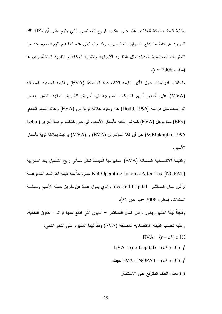بمثابة قيمة مضافة للملاك. هذا على عكس الربح المحاسبي الذي يقوم على أن تكلفة تلك الموارد هو فقط ما يدفع للممولين الخارجيين. وقد جاء نبني هذه المفاهيم نتيجة لمجموعة من النظريات المحاسبية الحديثة مثل النظرية الإيجابية ونظرية الوكالة و نظرية المنشأة وغيرها (مطر، 2006 -ب).

وتختلف الدراسات حول تأثير القيمة الاقتصادية المضافة (EVA) والقيمة السوقية المضافة (MVA) على أسعار أسهم الشركات المدرجة في أسواق الأوراق المالية. فتشير بعض الدر اسات مثل در اسة (Dodd, 1996) عن وجود علاقة قوية بين (EVA) وعائد السهم العادي (EPS) مما يؤهل (EVA) كمؤشر للتتبؤ بأسعار الأسهم. في حين كشفت دراسة أخرى ( Lehn ك, كلا المؤشران (EVA) و (MVA) برنبط بعلاقة قوية بأسعار (WVA) الأسهم.

والقيمة الاقتصادية المضافة (EVA) بمفهومها المبسط تمثل صافي ربح التشغيل بعد الضريبة Net Operating Income After Tax (NOPAT) مطروحاً منه قيمة الفوائــد المدفوعـــة لرأس الممال المستثمر Invested Capital والذي يمول عادة عن طربق حملة الأسهم وحملـــة السندات. (مطر ، 2006 –ب، ص 24).

وطبقا لهذا المفهوم يكون رأس المال المستثمر = الديون التي تدفع عنها فوائد + حقوق الملكية. و عليه تحسب القيمة الاقتصادية المضافة (EVA) وفقا لهذا المفهوم على النحو التالي:  $EVA = (r - c^*)$  x IC EVA = (r x Capital) – (c\* x IC) : ; EVA = NOPAT – (c\* x IC)

r) معدل العائد المتوقع على الاستثمار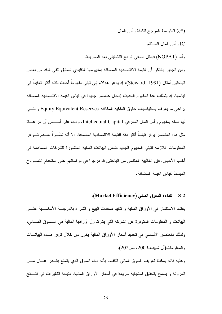- (°C) المتوسط المرجح لتكلفة رأس المال
	- IC ر أس المال المستثمر
- وأما (NOPAT) فيمثل صافي الربح التشغيلي بعد الضريبة.

ومن الجدير بالذكر أن القيمة الاقتصادية المضافة بمفهومها التقليدي السابق تلقى النقد من بعض الباحثين أمثال (Steward, 1991)، إذ يدعو هؤلاء إلى تبني مفهوماً أحدث لكنه أكثر تعقيداً في قياسها. إذ يتطلب هذا المفهوم الحديث إدخال عناصر جديدة في قياس القيمة الاقتصادية المضافة يراعي ما يعرف باحتياطيات حقوق الملكية المكافئة Equity Equivalent Reserves والتسى لمها صلة بمفهوم رأس المال المعرفي Intellectual Capital، وذلك على أســـاس أن مراعـــاة مثل هذه العناصر يوفر قياساً أكثر دقة للقيمة الاقتصادية المضافة. إلا أنه نظـــراً لعـــدم تـــوافر المعلومات اللازمة لتبني المفهوم الجديد ضمن البيانات المالية المنشورة للشركات المساهمة في أغلب الأحيان، فإن الغالبية العظمى من الباحثين قد درجوا في دراساتهم على استخدام النمـــوذج المبسط لقباس القبمة المضافة.

#### كفاءة السوق المالي (Market Efficiency):  $8 - 2$

يعتمد الاستثمار في الأوراق المالية و نتفيذ صفقات البيع و الشراء بالدرجـــة الأساســـية علــــي البيانات و المعلومات المتوفرة عن الشركة التي يتم نداول أوراقها المالية في الـــسوق المــــالي، ولذلك فالعنصر الأساسي في تحديد أسعار الأوراق المالية يكون من خلال توفر هــذه البيانـــات و المعلومات(آل شبيب،2009، ص202).

وعليه فانه بمكننا تعريف السوق المالى الكفء بأنه ذلك السوق الذي يتمتع بقـــدر عـــال مـــن المرونة و يسمح بنحقيق استجابة سريعة في أسعار الأوراق المالية، نتيجة النغيرات في نتـــائج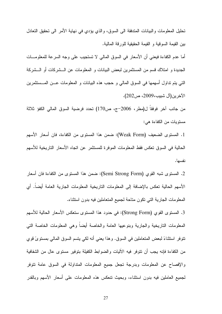تحليل المعلومات والبيانات المندفقة الى السوق، والذي يؤدي في نهاية الأمر الى تحقيق التعادل بين القيمة السوقية و القيمة الحقيقية للورقة المالية.

أما عدم الكفاءة فيعني أن الأسعار في السوق المالي لا تستجيب على وجه السرعة للمعلومـــات الجديدة و امتلاك قسم من المستثمرين لبعض البيانات و المعلومات عن الـــشركات أو الـــشركة التبي يتم نداول أسهمها في السوق المالي و حجب هذه البيانات و المعلومات عـــن المــــستثمرين الآخر ين(ال شبيب،2009، ص202).

من جانب آخر فوفقا ل(مطر، 2006–ج، ص170) تحدد فرضية السوق المالي الكفؤ ثلاثة مستويات من الكفاءة هي:

1. المستوى الضعيف (Weak Form): ضمن هذا المستوى من الكفاءة، فان أسعار الأسهم الحالية في السوق تعكس فقط المعلومات الموفرة للمستثمر عن اتجاه الأسعار التاريخية للأسهم نفسها.

2. المستوى شبه القوى (Semi Strong Form): ضمن هذا المستوى من الكفاءة فان أسعار الأسهم الحالية نعكس بالإضافة إلى المعلومات الناريخية المعلومات الجارية العامة أيضا. أي المعلومات الجارية التي نكون مناحة لجميع المتعاملين فيه بدون استثناء.

3. المستوى القوى (Strong Form): في حدود هذا المستوى ستعكس الأسعار الحالية للأسهم المعلومات الناريخية والجارية وبنوعيها العامة والخاصة أيضا وهي المعلومات الخاصة التي نتوفر استثناءً لبعض المتعاملين في السوق. وهذا يعني أنه لكي يتسم السوق المالي بمستوىً قوى من الكفاءة فإنه يجب أن نتوفر فيه الآليات والضوابط الكفيلة بتوفير مستوى عال من الشفافية والإفصاح عن المعلومات وبدرجة تجعل جميع المعلومات المنداولة في السوق عامة نتوفر لجميع العاملين فيه بدون استثناء، وبحيث تنعكس هذه المعلومات علىي أسعار الأسهم وبالقدر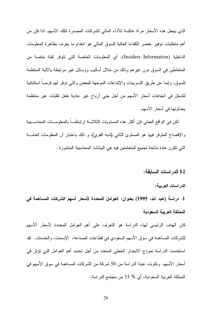الذي يجعل هذه الأسعار مرآة عاكسة للأداء المالي للشركات المصدرة لنلك الأسهم. لذا فإن من أهم متطلبات نوفير عنصر الكفاءة العالية للسوق المالي هو انعدام ما يعرف بظاهرة المعلومات الداخلية (Insiders Information)، أي المعلومات الخاصة التي نتوفر لفئة خاصة من المتعاملين في السوق دون غيرهم وذلك من خلال أساليب ووسائل غير مرتبطة بالآلية المنتظمة للسوق، وإنما عن طريق التسريبات والإشاعات الموجهة للبعض والتبي نوفر لمهم فرصا استثنائية للندخل في اتجاهات أسعار الأسهم من أجل جني أرباح غير عادية بفعل تقلبات غير منتظمة يحدثونها في أسعار الأسهم.

لكن في الواقع العملي فإن أكثر هذه المستويات الثلاثـــة ارتباطــــا بالمعلومــــات المحاســـبية والإفصاح المنوفر فيها هو المستوى الثانبي (شبه القوي)، و ذلك باعتبار أن المعلومات العامــــة التي تكون عادة متاحة لجميع المتعاملين فيه هي البيانات المحاسبية المنشورة .

### 9-2 الدر اسات السابقة:

الدراسات العربية:

1. دراسة (عبد الله، 1995) بعنوان: العوامل المحددة لأسعار أسهم الشركات المساهمة في المملكة العريبة السعودية

كان الهدف الرئيسي لهذه الدراسة هو التعرف على أهم العوامل المحددة لأسعار الأسهم للشركات المساهمة في سوق الأسهم السعودي في قطاعات الصناعة، الإسمنت، والخدمات. لقد استخدمت الدر اسة نموذج الانحدار الخطي المتعدد من أجل تحديد أهم العوامل التي تؤثر في أسعار الأسهم. وتكونت عينة الدراسة من 50 شركة من الشركات المساهمة في سوق الأسهم في المملكة العربية السعودية، أي % 33 من مجتمع الدر اسة.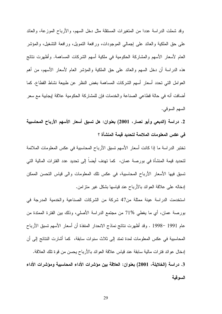وقد شملت الدراسة عددا من المتغيرات المستقلة مثل دخل السهم، والأرباح الموزعة، والعائد على حق الملكية والعائد على إجمالي الموجودات، ورافعة النمويل، ورافعة التشغيل، والمؤشر العام لأسعار الأسهم والمشاركة الحكومية في ملكية أسهم الشركات المساهمة. وأظهرت نتائج هذه الدراسة أن دخل السهم والعائد على حق الملكية والمؤشر العام لأسعار الأسهم، من أهم العوامل التي تحدد أسعار أسهم الشركات المساهمة بغض النظر عن طبيعة نشاط القطاع. كما أضافت أنه في حالة قطاعي الصناعة والخدمات فإن للمشاركة الحكومية علاقة إيجابية مع سعر السهم السوقي.

2. دراسة (الدبعي وأبو نصار، 2001) بعنوان: هل تسبق أسعار الأسهم الأرباح المحاسبية في عكس المعلومات الملائمة لتحديد قيمة المنشأة ؟

تختبر الدراسة ما إذا كانت أسعار الأسهم تسبق الأرباح المحاسبية في عكس المعلومات الملائمة لتحديد قيمة المنشأة في بورصة عمان، كما تهدف أيضاً إلى تحديد عدد الفترات المالية التي تسبق فيها الأسعار الأرباح المحاسبية، في عكس تلك المعلومات والى قياس التحسن الممكن إدخاله على علاقة العوائد بالأرباح عند قياسها بشكل غير متزامن.

استخدمت الدراسة عينة ممثلة من47 شركة من الشركات الصناعية والخدمية المدرجة في بورصة عمان، أي ما يغطي %71 من مجتمع الدراسة الأصلي، وذلك بين الفترة الممتدة من عام 1991 –1998 . وقد أظهرت نتائج نماذج الانحدار المنفذة أن أسعار الأسهم تسبق الأرباح المحاسبية في عكس المعلومات لمدة تمتد إلى ثلاث سنوات سابقة، كما أشارت النتائج إلى أن إدخال عوائد فترات مالية سابقة عند قياس علاقة العوائد بالأرباح يحسن من قوة تلك العلاقة. 3. دراسة (الخلايلة، 2001) بعنوان: العلاقة بين مؤشرات الأداء المحاسبية ومؤشرات الأداء السو قبة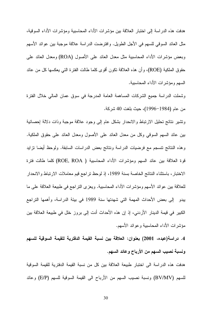هدفت هذه الدراسة إلى اختبار العلاقة بين مؤشرات الأداء المحاسبية ومؤشرات الأداء السوقية، مثل العائد السوفي للسهم في الأجل الطويل. وافترضت الدراسة علاقة موجبة بين عوائد الأسهم وبعض مؤشِّرات الأداء المحاسبية مثل معدل العائد على الأصول (ROA) ومعدل العائد على حقوق الملكية (ROE)، وأن هذه العلاقة نكون أقوى كلما طالت الفترة التي يعكسها كل من عائد السهم ومؤشرات الأداء المحاسبية.

وشملت الدراسة جميع الشركات المساهمة العامة المدرجة في سوق عمان المالي خلال الفترة من عام (1984–1996)، حيث بلغت 40 شركة.

ونتثبير نتائج نحليل الارتباط والانحدار بشكل عام إلىي وجود علاقة موجبة وذات دلالة إحصائية بين عائد السهم السوقبي وكل من معدل العائد على الأصول ومعدل العائد على حقوق الملكية. وهذه النتائج نتسجم مع فرضيات الدراسة ونتائج بعض الدراسات السابقة. ولوحظ أيضا نزايد قوة العلاقة بين عائد السهم ومؤشرات الأداء المحاسبية ( ROE, ROA) كلما طالت فنزة الاختبار، باستثناء النتائج الخاصة بسنة 1989، إذ لوحظ تراجع قيم معاملات الارتباط والانحدار للعلاقة بين عوائد الأسهم ومؤشرات الأداء المحاسبية. ويعزى النراجع في طبيعة العلاقة على ما بيدو إلى بعض الأحداث المهمة التي شهدتها سنة 1989 في بيئة الدراسة، وأهمها التراجع الكبير في قيمة الدينار الأردني، إذ إن هذه الأحداث أدت إلى بروز خلل في طبيعة العلاقة بين مؤشرات الأداء المحاسبية وعوائد الأسهم.

4. دراسة(عبده، 2001) بعنوان: العلاقة بين نسبة القيمة الدفترية للقيمة السوقية للسهم ونسبة نصيب السهم من الأرباح وعائد السهم.

هدفت هذه الدراسة الى اختبار طبيعة العلاقة بين كل من نسبة القيمة الدفترية للقيمة السوقية للسهم (BV/MV) ونسبة نصيب السهم من الأرباح الى القيمة السوقية للسهم (E/P) وعائد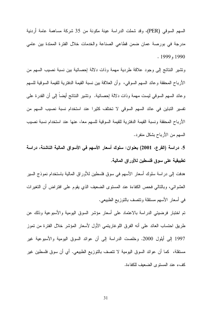السهم السوفي (PER)، وقد شملت الدراسة عينة مكونة من 35 شركة مساهمة عامة أردنية مدرجة في بورصة عمان ضمن قطاعي الصناعة والخدمات خلال الفترة الممتدة بين عامي  $.1999, 1990$ 

ونَشْيَرِ النَّنَائجُ إلى وجود علاقة طردية مهمةً وذات دلالة إحصائية بين نسبة نصيب السهم من الأرباح المحققة وعائد السهم السوقي، ۖ وأن العلاقة بين نسبة القيمة الدفترية للقيمة السوقية للسهم وعائد السهم السوقي ليست مهمة وذات دلالة إحصائية. ۖ وتشير النتائج أيضا إلى أن القدرة على تفسير التباين في عائد السهم السوقي لا تختلف كثيرا عند استخدام نسبة نصيب السهم من الأرباح المحققة ونسبة القيمة الدفترية للقيمة السوقية للسهم معا، عنها عند استخدام نسبة نصبب السهم من الأرباح بشكل منفرد.

5. دراسة (القرع، 2001) بعنوان: سلوك أسعار الأسهم في الأسواق المالية الناشئة، دراسة تطبيقية على سوق فلسطين للأوراق المالية.

هدفت إلى دراسة سلوك أسعار الأسهم في سوق فلسطين للأوراق المالية باستخدام نموذج السير العشوائـي، وبالنالـي فحص الكفاءة عند المسنوى الضعيف الذي يقوم علـي افتراض أن النخيرات في أسعار الأسهم مستقلة ونتصف بالتوزيع الطبيعي.

تم اختبار فرضيتي الدراسة بالاعتماد على أسعار مؤشر السوق اليومية والأسبوعية وذلك عن طريق احتساب العائد على أنه الفرق اللوغاريتمي الأول لأسعار المؤشر خلال الفترة من تموز 1997 إلى أيلول 2000. وخلصت الدراسة إلى أن عوائد السوق اليومية والأسبوعية غير مستقلة، كما أن عوائد السوق اليومية لا تتصف بالتوزيع الطبيعي. أي أن سوق فلسطين غير كفء عند المستوى الضعيف للكفاءة.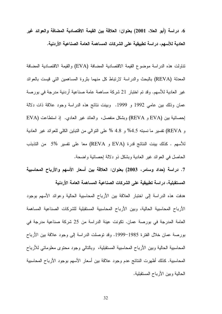6. در اسة (أبو العلا، 2001) بعنوان: العلاقة بين القيمة الاقتصادية المضافة والعوائد غير العادية للأسهم، در اسة تطبيقية على الشركات المساهمة العامة الصناعية الأردنية.

تناولت هذه الدراسة موضوع القيمة الاقتصادية المضافة (EVA) والقيمة الاقتصادية المضافة المعدلة (REVA) بالبحث والدراسة لارتباط كل منهما بثروة المساهمين التبي فيست بالعوائد غير العادية للأسهم. وقد تم اختبار 21 شركة مساهمة عامة صناعية أردنية مدرجة في بورصة عمان وذلك بين عامي 1992 و 1999. وبينت نتائج هذه الدراسة وجود علاقة ذات دلالة إحصائية بين (EVA و REVA) وبشكل منفصل، والعائد غير العادي. إذ استطاعت (EVA و REVA) نفسير ما نسبته 4.5% و 4.8 % على التوالي من التباين الكلي للعوائد غير العادية للأسهم . كذلك بينت النتائج قدرة (EVA و REVA) معا على تفسير 5% من التذبذب الحاصل في العوائد غير العادية وبشكل ذو دلالة إحصائية واضحة.

7. دراسة (حداد وسامر، 2003) بعنوان: العلاقة بين أسعار الأسهم والأرباح المحاسبية المستقبلية، دراسة تطبيقية على الشركات الصناعية المساهمة العامة الأردنية

هدفت هذه الدراسة إلى اختبار العلاقة بين الأرباح المحاسبية الحالية وعوائد الأسهم بوجود الأرباح المحاسبية الحالية، وبين الأرباح المحاسبية المستقبلية للشركات الصناعية المساهمة العامة المدرجة في بورصة عمان. تكونت عينة الدراسة من 25 شركة صناعية مدرجة في بورصة عمان خلال الفترة 1985–1999. وقد توصلت الدراسة إلى وجود علاقة بين الأرباح المحاسبية الحالية وبين الأرباح المحاسبية المستقبلية، وبالنالي وجود محنوى معلوماتي للأرباح المحاسبية. كذلك أظهرت النتائج عدم وجود علاقة بين أسعار الأسهم بوجود الأرباح المحاسبية الحالبة وبين الأرباح المستقبلية.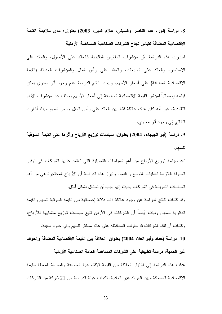8. دراسة (نور، عبد الناصر والسبتي، علاء الدين، 2003) بعنوان: مدى ملاءمة القيمة الاقتصادية المضافة لقياس نجاح الشركات الصناعية المساهمة الأردنية

اختبرت هذه الدراسة أثر مؤشرات المقاييس النقليدية كالعائد على الأصول، والعائد على الاستثمار، والعائد على المبيعات، والعائد على رأس المال والمؤشرات الحديثة (القيمة الاقتصادية المضافة) على أسعار الأسهم. وبينت نتائج الدراسة عدم وجود أثر معنوي يمكن قياسه إحصائيا لمؤشر القيمة الاقتصادية المضافة إلى أسعار الأسهم يختلف عن مؤشرات الأداء النقليدية، غير أنه كان هناك علاقة فقط بين العائد على رأس المال وسعر السهم حيث أشارت النتائج إلى وجود أثر معنوي.

9. دراسة (أبو الـهيجاء، 2004) بعنوان: سياسات توزيع الأرباح وأثرها على القيمة السوقية للسهم.

تعد سياسة توزيع الأرباح من أهم السياسات التمويلية التي تعتمد عليها الشركات في توفير السيولة اللازمة لعمليات النوسع و النمو. ونبرز هذه الدراسة أن الأرباح المحتجزة هي من أهم السياسات التمويلية في الشركات بحيث إنها يجب أن تستغل بشكل أمثل.

وقد كشفت نتائج الدراسة عن وجود علاقة ذات دلالة إحصائية بين القيمة السوقية للسهم والقيمة الدفترية للسهم, وبينت أيضا أن الشركات في الأردن نتبع سياسات توزيع متشابهة للأرباح، وكشفت أن نلك الشركات قد حاولت المحافظة على عائد مستقر للسهم وفي حدود معينة.

10 . دراسة (حداد وأبو العلا، 2004) بعنوان: العلاقة بين القيمة الاقتصادية المضافة والعوائد غير العادية، در اسة تطبيقية على الشركات المساهمة العامة الصناعية الأردنية هدفت هذه الدراسة إلى اختيار العلاقة بين القيمة الاقتصادية المضافة والصيغة المعدلة للقيمة

الاقتصادية المضافة وبين العوائد غير العادية. تكونت عينة الدراسة من 21 شركة من الشركات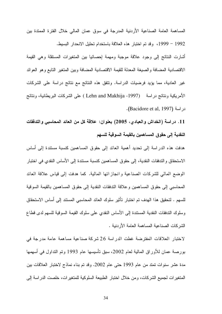المساهمة العامة الصناعية الأردنية المدرجة في سوق عمان المالي خلال الفترة الممتدة بين 1992 – 1999، وقد تم اختبار هذه العلاقة باستخدام تحليل الانحدار البسيط.

أشارت النتائج إلى وجود علاقة موجبة ومهمة إحصائيا بين المتغيرات المستقلة وهي القيمة الاقتصادية المضافة والصيغة المعدلة للقيمة الاقتصادية المضافة وبين المنغير التابع وهو العوائد غير العادية، مما يؤيد فرضيات الدراسة. ونتفق هذه النتائج مع نتائج دراسة على الشركات الأمريكية ونتائج دراسة (Lehn and Makhija -1997) على الشركات البريطانية، ونتائج دراسة (Bacidore et al, 1997).

11. دراسة (الخداش والعبادي، 2005) بعنوان: علاقة كل من العائد المحاسبي والتدفقات النقدية إلى حقوق المساهمين بالقيمة السوقية للسهم

هدفت هذه الدر اسة إلى تحديد أهمية العائد إلى حقوق المساهمين كنسبة مستندة إلى أساس الاستحقاق والتدفقات النقدية، إلى حقوق المساهمين كنسبة مستندة إلى الأساس النقدى في اختبار الوضع المالي للشركات الصناعية وانجاز اتها المالية. كما هدفت إلى قياس علاقة العائد المحاسبي إلى حقوق المساهمين وعلاقة التدفقات النقدية إلى حقوق المساهمين بالقيمة السوقية للسهم . لتحقيق هذا الهدف تم اختبار تأثير سلوك العائد المحاسبي المستند إلى أساس الاستحقاق وسلوك التدفقات النقدية المستندة إلى الأساس النقدي على سلوك القيمة السوقية للسهم لدى قطاع الشر كات الصناعية المساهمة العامة الأر دنية .

لاختبار العلاقات المفترضة غطت الدر اسة 26 شركة صناعية مساهمة عامة مدرجة في بورصة عمان للأوراق المالية لعام 2002، سبق تأسيسها عام 1993 وتم النداول في أسهمها مدة عشر سنوات تمتد من عام 1993 حتى عام 2002. وقد تم بناء نماذج لاختبار العلاقات بين المتغير ات لجميع الشركات، ومن خلال اختبار الطبيعة السلوكية للمتغير ات، خلصت الدر اسة إلى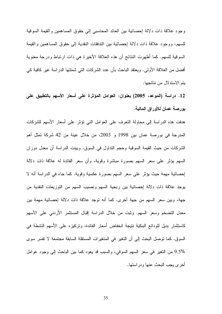وجود علاقة ذات دلالة إحصائية بين العائد المحاسبي إلى حقوق المساهمين والقيمة السوقية للسهم، ووجود علاقة ذات دلالة إحصائية بين الندفقات النقدية إلى حقوق المساهمين والقيمة السوقية للسهم. كما أظهرت النتائج أن هذه العلاقة الأخير ة هي ذات ارتباط ودرجة معنوية أفضل من العلاقة الأولى. ويعتقد الباحث بأن عدد الشركات التي شملتها الدراسة غير كافية كي يتم الاستدلال من نتائجها.

12. دراسة (الموعد، 2005) بعنوان: العوامل المؤثرة على أسعار الأسهم بالتطبيق على بورصة عمان للأوراق المالية.

هدفت هذه الدراسة إلى محاولة التعرف على العوامل التي تؤثر على أسعار الأسهم للشركات المدرجة في بورصة عمان بين 1998 و 2003، من خلال عينة من 42 شركة تمثل أهم الشركات من حيث القيمة السوقية وحجم النداول في السوق. وبينت الدراسة أن معدل دوران السهم بؤثر على سعر السهم بصورة مباشرة وقوية، وأن سعر الفائدة له علاقة ذات دلالة إحصائية مهمة حيث يؤثِّر على سعر السهم بصورة عكسية وقوية. كما جاء في الدراسة أنه لا يوجد علاقة ذات دلالة إحصائية بين ربحية السهم ونصيب السهم من النوزيعات النقدية من جهة، وبين سعر السهم من جهة أخرى. كما أنه نوجد علاقة ذات دلالة إحصائية مهمة بين معدل التضخم وسعر السهم. وثبت من خلال الدراسة إقبال المستثمر الأردنبي علم الأسهم كاستثمار بديل للودائع البنكية نتيجة انخفاض أسعار الفائدة، وتركيزه على الأسهم النشطة في السوق. كما توصل البحث إلى أن التغير في المتغيرات المستقلة السابقة مجتمعة لا تفسر سوى 9.5% من التغير في سعر السهم السوقي، والسبب قد يعود كما بين الباحث إلى وجود عوامل أخرى يجب البحث عنها ودر استها.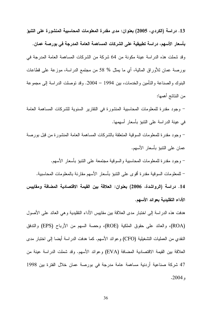13. دراسة (الكردي، 2005) بعنوان: مدى مقدرة المعلومات المحاسبية المنشورة على التنبؤ بأسعار الأسهم، دراسة تطبيقية على الشركات المساهمة العامة المدرجة في بورصة عمان. وقد شملت هذه الدراسة عينة مكونة من 64 شركة من الشركات المساهمة العامة المدرجة في بورصة عمان للأوراق المالية، أي ما يمثل % 58 من مجتمع الدراسة، موزعة على قطاعات البنوك و الصناعة و التأمين و الخدمات، بين 1994 – 2004. وقد توصلت الدر اسة إلى مجموعة من النتائج أهمها:

– وجود مقدرة للمعلومات المحاسبية المنشورة في النقارير السنوية للشركات المساهمة العامة في عينة الدر اسة على النتبو بأسعار أسهمها.

– وجود مقدرة للمعلومات السوقية المتعلقة بالشركات المساهمة العامة المنشورة من قبل بورصة عمان على النتبؤ بأسعار الأسهم.

– وجود مقدرة للمعلومات المحاسبية والسوقية مجتمعة على التتبؤ بأسعار الأسهم. – للمعلومات السوقية مقدرة أقوى على النتبؤ بأسعار الأسهم مقارنة بالمعلومات المحاسبية. 14. دراسة (الرواشدة، 2006) بعنوان: العلاقة بين القيمة الاقتصادية المضافة ومقاييس الأداع التقليدية بعوائد الأسهم.

هدفت هذه الدر اسة إلى اختبار مدى العلاقة بين مقابيس الأداء التقليدية و هي العائد على الأصول (ROA)، والعائد على حقوق الملكية (ROE)، وحصة السهم من الأرباح (EPS) والتدفق النقدي من العمليات التشغيلية (CFO) وعوائد الأسهم. كما هدفت الدراسة أيضا إلى اختبار مدى العلاقة بين القيمة الاقتصادية المضافة (EVA) وعوائد الأسهم. وقد شملت الدراسة عينة من 47 شركة صناعية أردنية مساهمة عامة مدرجة في بورصة عمان خلال الفترة بين 1998  $.2004,$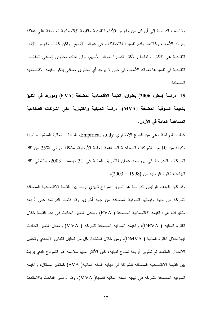وخلصت الدراسة إلى أن كل من مقابيس الأداء التقليدية والقيمة الاقتصادية المضافة على علاقة بعوائد الأسهم، وكلاهما يقدم تفسيرا للاختلافات في عوائد الأسهم. ولكن كانت مقاييس الأداء النقليدية هي الأكثر ارتباطا والأكثر تفسيرا لعوائد الأسهم، وإن هناك محتوى إضافي للمقاييس التقليدية في تفسير ها لعوائد الأسهم، في حين لا يوجد أي محتوى إضافي يذكر للقيمة الاقتصادية المضافة.

15. دراسة (مطر، 2006) بعنوان: القيمة الاقتصادية المضافة (EVA) ودورها في التنبؤ بالقيمة السوقية المضافة (MVA)، دراسة تحليلية واختبارية على الشركات الصناعية المساهمة العامة في الأردن.

غطت الدراسة وهي من النوع الاختباري Empirical study، البيانات المالية المنشورة لعينة مكونة من 10 من الشركات الصناعية المساهمة العامة الأردنية، مشكلة حوالي %25 من تلك الشركات المدرجة في بورصة عمان للأوراق المالية في 31 ديسمبر 2003، وتغطى تلك البيانات الفترة الزمنية من (1998 – 2003).

وقد كان الهدف الرئيس للدراسة هو نطوير نموذج نتبؤي يربط بين القيمة الاقتصادية المضافة للشركة من جهة وقيمتها السوقية المضافة من جهة أخرى. وقد قامت الدراسة على أربعة متغيرات هي: القيمة الاقتصادية المضافة ( EVA) ومعدل التغير الحادث في هذه القيمة خلال الفترة المالية ( DEVA)، والقيمة السوقية المضافة للشركة ( MVA) ومعدل التغير الحادث فيها خلال الفترة المالية ( DMVA). ومن خلال استخدام كل من تحليل التباين الأحادي وتحليل الانحدار المتعدد تم تطوير أربعة نماذج تتبئية، كان الأكثر منها ملاءمة هو النموذج الذي يربط بين القيمة الاقتصادية المضافة للشركة في نهاية السنة المالية( EVA) كمتغير مستقل، والقيمة السوقية المضافة للشركة في نهاية السنة المالية نفسها( MVA). وقد أوصـي الباحث بالاستفادة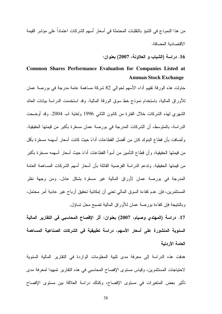من هذا النموذج في النتبوَ بالنقلبات المحتملة في أسعار أسهم الشركات اعتمادا على موَشر القيمة الاقتصادية المضافة.

16. دراسة (الشياب و العلاونـة، 2007) بعنوان:

## Common Shares Performance Evaluation for Companies Listed at **Amman Stock Exchange**

حاولت هذه الورقة تقييم أداء الأسهم لحوالي 82 شركة مساهمة عامة مدرجة في بورصة عمان للأوراق المالية، باستخدام نموذج خط سوق الورقة المالية. وقد استخدمت الدراسة بيانات العائد الشهري لهذه الشركات خلال الفترة من كانون الثاني 1996 ولغاية آب 2004. وقد أوضحت الدراسة، بالمنوسط، أن الشركات المدرجة في بورصة عمان مسعّرة بأكبر من قيمتها الحقيقية. وأضافت بأن قطاع البنوك كان من أفضل القطاعات أداءً حيث كانت أسعار أسهمه مسعّرة بأقل من قيمتها الحقيقية، وأن قطاع التأمين من أسوأ القطاعات أداءً حيث أسعار أسهمه مسعّرة بأكبر من قيمتها الحقيقية. وتدعم الدراسة الفرضية القائلة بأن أسعار أسهم الشركات المساهمة العامة المدرجة في بورصة عمان لأوراق المالية غير مسعَّرة بشكل عادل. ومن وجهة نظر المستثمرين، فإن عدم كفاءة السوق المالي تعني أن إمكانية تحقيق أرباح غير عادية أمر محتمل، وبالنتيجة فإن كفاءة بور صنة عمان للأور اق المالية تصبح محل تساؤل.

17. دراسة (المهتدى وصيام، 2007) بعنوان: أثر الإفصاح المحاسبي في التقارير المالية السنوية المنشورة على أسعار الأسهم، دراسة تطبيقية في الشركات الصناعية المساهمة العامة الأردنبة

هدفت هذه الدراسة إلى معرفة مدى تلبية المعلومات الواردة في النقارير المالية السنوية لاحتياجات المستثمرين، وقياس مستوى الإفصاح المحاسبي في هذه التقارير تمهيدا لمعرفة مدى تأثير بعض المتغيرات في مستوى الإفصاح، وكذلك دراسة العلاقة بين مستوى الإفصاح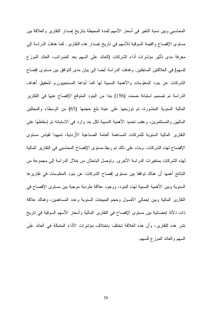المحاسبي وبين نسبة النغير في أسعار الأسهم للمدة المحيطة بناريخ إصدار النقارير والعلاقة بين مستوى الإفصاح والقيمة السوقية للأسهم في ناريخ إصدار هذه التقارير . كما هدفت الدراسة إلى معرفة مدى تأثير مؤشرات أداء الشركات (العائد على السهم بعد الضرائب، العائد الموزع للسهم) في العلاقتين السابقتين. وهدفت الدراسة أيضا إلى بيان مدى التوافق بين مستوى إفصاح الشركات عن بنود المعلومات والأهمية النسبية لها كما أبداها المستجيبون.و لتحقيق أهداف الدراسة تم تصميم استبانة ضمت (156) بندا من البنود المتوقع الإفصاح عنها في التقارير المالية السنوية المنشورة، تم توزيعها على عينة بلغ حجمها (65) من الوسطاء والمحللين الماليين والمستثمرين، وعقب تحديد الأهمية النسبية لكل بند وارد في الاستبانة تم إسقاطها على النقارير المالية السنوية للشركات المساهمة العامة الصناعية الأردنية، تمهيدا لقياس مستوى الإفصاح لهذه الشركات. وبناء على ذلك نم ربط مسنوى الإفصاح المحاسبي في النقارير المالية لهذه الشركات بمنغير ات الدر اسة الأخر ي. وتوصل الباحثان من خلال الدر اسة إلى مجموعة من النتائج أهمها أن هناك توافقا بين مستوى إفصاح الشركات عن بنود المعلومات في تقاريرها السنوية وبين الأهمية النسبية لهذه البنود، ووجود علاقة طردية موجبة بين مستوى الإفصاح في النقارير المالية وببن إجمالي الأصول وحجم المبيعات السنوية وعدد المساهمين، وهناك علاقة ذات دلالة إحصائية بين مستوى الإفصاح في النقارير المالية وأسعار الأسهم السوقية في ناريخ نشر هذه النقارير ، وأن هذه العلاقة تختلف باختلاف مؤشرات الأداء المتمثلة في العائد على السهم والعائد الموزع للسهم.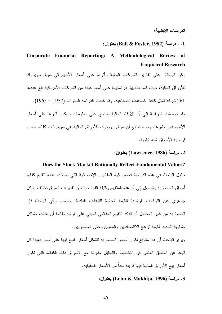1. . دراسة (Ball & Foster, 1982) بعنوان:

# Corporate Financial Reporting: A Methodological Review of **Empirical Research**

ركز الباحثان على نقارير الشركات المالية وأثرها على أسعار الأسهم في سوق نيويورك للأور اق المالية، حيث قاما بتطبيق در استهما على أسهم عينة من الشر كات الأمر بكية بلغ عددها 261 شركة تمثل كافة القطاعات الصناعية. وقد غطت الدراسة السنوات (1957 – 1965). وقد نوصلت الدراسة إلى أن الأرقام المالية نحتوي على معلومات نتعكس أثارها على أسعار الأسهم فور نشرها. وتم استتتاج أن سوق نيويورك للأوراق المالية هي سوق ذات كفاءة حسب فر ضبة الأسواق شبه القوبة.

## 2. در اسة (Lawrence, 1986) بعنوان:

## Does the Stock Market Rationally Reflect Fundamental Values?

حاول الباحث في هذه الدراسة فحص قوة المقاييس الإحصائية التي تستخدم عادة لتقييم كفاءة أسواق المضاربة وتوصل إلى أن هذه المقاييس قليلة القوة حيث أن تقدير ات السوق تختلف بشكل جوهري عن التوقعات الرشيدة للقيمة الحالية للتدفقات النقدية. وحسب رأى الباحث فإن المضاربة من غير المحتمل أن نؤكد النقيبم العقلاني المبنى على الرشد طالما أن هنالك مشاكل مشابهة لتحديد القيمة نزعج الاقتصاديين والماليين وحتى المضاربين.

وير ي الباحث أن هذا متوقع لكون أسعار المضاربة تتشكل أسعار البيع فيها على أسس بعيدة كل البعد عن المنطق العلمي في التخطيط والتحليل مقارنة مع الأسواق ذات الكفاءة التي تكون أسعار بيع الأوراق المالية فيها قريبة جداً من الأسعار الحقبقبة.

3. دراسة (Lehn & Makhija, 1996) بعنوان: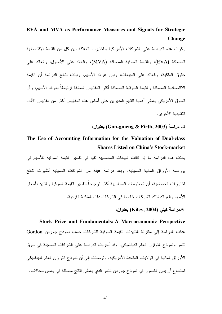EVA and MVA as Performance Measures and Signals for Strategic **Change** 

ركزت هذه الدراسة على الشركات الأمريكية واختبرت العلاقة بين كل من القيمة الاقتصادية المضافة (EVA)، والقيمة السوقية المضافة (MVA)، والعائد على الأصول، والعائد على حقوق الملكية، والعائد على المبيعات، وبين عوائد الأسهم. وبينت نتائج الدراسة أن القيمة الاقتصادية المضافة و القيمة السوقية المضافة أكثر المقابيس السابقة ار تباطاً بعوائد الأسهم، وأن السوق الأمريكي يعطي أهمية لتقييم المديرين على أساس هذه المقاييس أكثر من مقاييس الأداء التقليدية الأخر ي.

4. دراسة (Gon-gmeng & Firth, 2003) بعنوان:

# The Use of Accounting Information for the Valuation of Dual-class **Shares Listed on China's Stock-market**

بحثت هذه الدراسة ما إذا كانت البيانات المحاسبية تفيد في نفسير القيمة السوقية للأسهم في بور صنة الأوراق المالية الصبنية. وبعد دراسة عينة من الشركات الصبنية أظهرت نتائج اختبارات الحساسية، أن المعلومات المحاسبية أكثر ترجيحاً لتفسير القيمة السوقية والتتبؤ بأسعار الأسهم والعوائد لنلك الشركات خاصة في الشركات ذات الملكية الفر دبة.

## 5.دراسة كيلي (Kiley, 2004) بعنوان:

**Stock Price and Fundamentals: A Macroeconomic Perspective** هدفت الدراسة إلى مقارنة التتبؤات للقيمة السوقية للشركات حسب نموذج جوردن Gordon للنمو ونموذج النوازن العام الديناميكي. وقد أجريت الدراسة على الشركات المسجلة في سوق الأوراق المالية في الولايات المتحدة الأمريكية. وتوصلت إلى أن نموذج التوازن العام الديناميكي استطاع أن يبين القصور في نموذج جوردن للنمو الذي يعطي نتائج مضللة في بعض للحالات.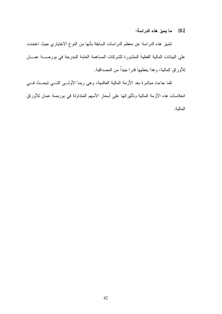2-10٪ ما يميز هذه الدراسة:

نتميز هذه الدراسة عن معظم الدراسات السابقة بأنها من النوع الاختباري حيث اعتمدت على البيانات المالية الفعلية المنشورة للشركات المساهمة العامة المدرجة في بورصــــة عمــــان للأوراق المالية، وهذا يعطيها قدرا جيداً من المصداقية.

كما جاءت مباشرة بعد الأزمة المالية العالمية، وهي ربما الأولـــي التـــي تبحـــث فـــي انعكاسات هذه الأزمة المالية ونأثيراتها على أسعار الأسهم المنداولة في بورصة عمان للأوراق المالية.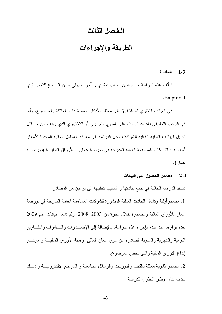## الـفـصل الثـالث

# الطريقة والإجراءات

#### المقدمة:  $1 - 3$

نتألف هذه الدراسة من جانبين؛ جانب نظري و آخر نطبيقي مـــن النـــوع الاختبـــاري .Empirical

في الجانب النظري تم النطرق الى معظم الأفكار العلمية ذات العلاقة بالموضوع. وأما في الجانب النطبيقي فاعتمد الباحث على المنهج التجريبي أو الاختباري الذي يهدف من خــــلال تحليل البيانات المالية الفعلية للشركات محل الدر اسة إلى معرفة العوامل المالية المحددة لأسعار أسهم هذه الشركات المساهمة العامة المدرجة في بورصة عمان لــــلأوراق الماليــــة (بورصـــــة عمان).

### 2-3 مصادر الحصول على البيانات:

تستند الدراسة الحالية في جمع بياناتها و أساليب تحليلها الى نوعين من المصادر : 1. مصادر أولية وتشمل البيانات المالية المنشورة للشركات المساهمة العامة المدرجة في بورصة عمان للأوراق المالية والصادر ة خلال الفتر ة من 2003–2008، ولم تشمل بيانات عام 2009 لعدم نوفرها عند البدء بإجراء هذه الدراسة. بالإضافة إلى الإصــدارات والنـــشرات والنقـــارير اليومية والشهرية والسنوية الصادرة عن سوق عمان المالبي، وهيئة الأوراق الماليــــة و مركــــز إيداع الأوراق المالية والتبي تخص الموضوع.

2. مصادر ثانوية ممثلة بالكتب والدوريات والرسائل الجامعية و المراجع الالكترونيـــة و ذلـــك بهدف بناء الإطار النظري للدر اسة.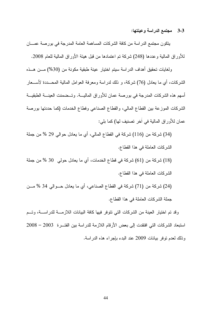### 3-3 مجتمع الدراسة وعينتها:

يتكون مجتمع الدر اسة من كافة الشركات المساهمة العامة المدرجة في بورصة عمـــان للأوراق المالية وعددها (248) شركة نم اعتمادها من قبل هيئة الأوراق المالية للعام 2008.

ولغايات تحقيق أهداف الدراسة سيتم اختيار عينة طبقية مكونة من (30%) مـــن هـــذه الشركات، أي ما يعادل (76) شركة، و ذلك لدراسة ومعرفة العوامل المالية المحـــددة لأســـعار أسهم هذه الشركات المدرجة في بورصة عمان للأوراق الماليـــة. وتـــضمنت العينــــة الطبقيـــة الشركات الموزعة بين القطاع المالي، والقطاع الصناعي وفطاع الخدمات (كما حددتها بورصة عمان للأوراق المالية في اَخر تصنيف لها) كما بلي:

(34) شركة من (116) شركة في القطاع المالي، أي ما يعادل حوالي 29 % من جملة الشركات العاملة في هذا القطاع. (18) شركة من (61) شركة في قطاع الخدمات، أي ما يعادل حولمي 30 % من جملة الشركات العاملة في هذا القطاع. (24) شركة من (71) شركة في القطاع الصناعي، أي ما يعادل حـــوالي 34 % مـــن

جملة الشركات العاملة في هذا القطاع.

وقد تم اختيار العينة من الشركات التي نتوفر فيها كافة البيانات اللازمـــة للدراســـة، وتـــم استبعاد الشركات التي افتقدت إلى بعض الأرقام اللازمة للدراسة بين الفتـرة 2003 – 2008 وذلك لعدم توفر بيانات 2009 عند البدء بإجراء هذه الدر اسة.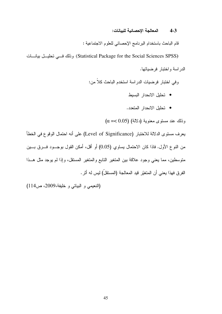#### المعالجة الإحصائية للبيانات:  $4 - 3$

قام الباحث باستخدام البرنامج الإحصائي للعلوم الاجتماعية :

(Statistical Package for the Social Sciences SPSS) وذلك فسي تحليسل بيانسات الدر اسة و اختبار فرضباتها.

وفي اختبار فرضيات الدراسة استخدم الباحث كلاً من:

- تحليل الانحدار البسيط
- تحليل الانحدار المتعدد.

 $(\alpha = 0.05)$  وَ ذَلَكَ عَنْدَ مَسْتَوَى مَعْنُوبِيَّةِ (دَلالَةَ)

يعرف مستوى الدلالة للاختبار (Level of Significance) على أنه احتمال الوقوع في الخطأ من النوع الأول. فاذا كان الاحتمال يساوي (0.05) أو أقل، أمكن القول بوجــود فــرق بـــين منوسطين، مما يعني وجود علاقة بين المتغير النابع والمتغير المستقل، وإذا لم يوجد مثل هــذا الفرق فهذا يعني أن المتغيّر قيد المعالجة (المستقلّ) ليس له أثر .

(النعيمي و البياتي و خليفة،2009، ص114)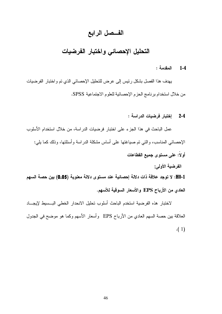## الفسصل الرابع

# التحليل الإحصائى واختبار الفرضيات

#### المقدمة :  $1 - 4$

يهدف هذا الفصل بشكل رئيس إلى عرض للتحليل الإحصائي الذي تم واختبار الفرضيات من خلال استخدام برنامج الحزم الإحصائية للعلوم الاجتماعية SPSS.

2-4 - اختبار فرضبات الدراسة :

عمل الباحث في هذا الجزء على اختبار فرضيات الدراسة، من خلال استخدام الأسلوب الإحصائبي المناسب، والتبي تم صبياغتها على أساس مشكلة الدراسة وأسئلتها، وذلك كما بلبي: أو لاً: علم مستوى جميع القطاعات

الفرضية الأولى:

H0-1: لا توجد علاقة ذات دلالة إحصائية عند مستوى دلالة معنوية (0.05) بين حصة السهم العادي من الأرباح EPS والأسعار السوقية للأسهم.

لاختبار هذه الفرضية استخدم الباحث أسلوب تحليل الانحدار الخطى البسبيط لإيجـــاد العلاقة بين حصـة السهم العادي من الأرباح EPS وأسعار الأسهم وكما هو موضـح في الجدول  $(1)$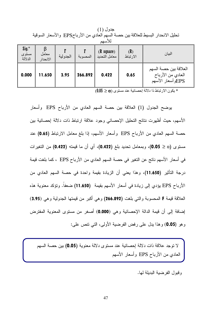|                                     | تعتين أدبعتار البسيط للعلاقة بين عصبة السهم العادي من الأرب LFSC ، والأسعار السوفية<br>للأسهم |          |          |                                      |                 |                                                                |  |  |  |
|-------------------------------------|-----------------------------------------------------------------------------------------------|----------|----------|--------------------------------------|-----------------|----------------------------------------------------------------|--|--|--|
| $\int$ sig. $*$<br>مستوى<br>الدلالة | معامل<br>الانحدار                                                                             | الجدولية | المحسوبة | $(R \space square)$<br>معامل التحديد | (R)<br>الارتباط | البيان                                                         |  |  |  |
| 0.000                               | 11.650                                                                                        | 3.95     | 266.892  | 0.422                                | 0.65            | العلاقة بين حصة السهم<br>العادي من الأرباح<br>EPSوأسعار الأسهم |  |  |  |

جدول (1) تعادل الإنحداد الدوردط للعلاقة درن حصرة السوم لأعلاه رون الأد راح FPS والأسعاد السوقرة

 $(0.05 \geq \alpha)$  بكون الارتباط ذا دلالة إحصائية عند مستوى (

يوضح الجدول (1) العلاقة بين حصة السهم العادي من الأرباح EPS وأسعار الأسهم، حيث أظهرت نتائج التحليل الإحصائي وجود علاقة ارتباط ذات دلالة إحصائية بين حصة السهم العادي من الأرباح EPS وأسعار الأسهم، إذا بلغ معامل الارتباط (0.65) عند مستوى (0.05 ≥ 0.05)، وبمعامل تحديد بلغ (0.422)، أي أن ما قيمته (0.422) من التغيرات في أسعار الأسهم ناتج عن التغير في حصة السهم العادي من الأرباح EPS ، كما بلغت قيمة درجة التأثير (11.650)، وهذا يعني أن الزيادة بقيمة واحدة في حصة السهم العادي من الأرباح EPS يؤدي إلى زيادة في أسعار الأسهم بقيمة (11.650) ضعفاً. وتؤكد معنوية هذه العلاقة قيمة F المحسوبة والتي بلغت (266.892) وهي أكبر من فيمتها الجدولية وهي (3.95) إضافة إلى أن قيمة الدالة الإحصائية وهي (0.000) أصغر من مستوى المعنوية المفترض وهو (0.05) وهذا يدل على رفض الفرضية الأولى، التي نتص على:

لا نوجد علاقة ذات دلالة إحصائية عند مستوى دلالة معنوية (0.05) بين حصة السهم العادي من الأرباح EPS وأسعار الأسهم

وقبول الفرضية البديلة لها.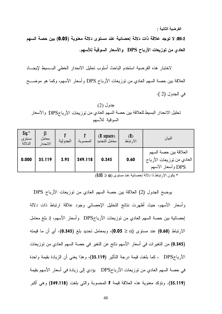الفرضية الثانية :

H0-2: لا توجد علاقة ذات دلالة إحصائية عند مستوى دلالة معنوية (0.05) بين حصة السهم العادي من توزيعات الأرباح DPS والأسعار السوقية للأسهم.

لاختبار هذه الفرضية استخدم الباحث أسلوب تحليل الانحدار الخطى البـــسيط لإيجــــاد العلاقة بين حصة السهم العادي من توزيعات الأرباح DPS وأسعار الأسهم، وكما هو موضـــح في الجدول (2 ).

جدول (2) تحليل الانحدار البسيط للعلاقة بين حصة السهم العادي من توزيعات الأرباحDPS والأسعار السوقية للأسهم

| $\int$ sig. $*$<br>مستوى<br>الدلالة | معامل<br>الانحدار | الجدولية | المحسوبة | $(R \space square)$<br>معامل التحديد | (R)<br>الارتباط | البيان                                                                  |
|-------------------------------------|-------------------|----------|----------|--------------------------------------|-----------------|-------------------------------------------------------------------------|
| 0.000                               | 35.119            | 3.95     | 249.118  | 0.345                                | 0.60            | العلاقة بين حصة السهم<br>العادي من نوزيعات الأرباح<br>DPS وأسعار الأسهم |

 $(0.05 \geq \alpha)$  بكون الارتباط ذا دلالة إحصائية عند مستوى  $\alpha$ 

يوضح الجدول (2) العلاقة بين حصة السهم العادي من نوزيعات الأرباح DPS وأسعار الأسهم، حيث أظهرت نتائج التحليل الإحصائي وجود علاقة ارتباط ذات دلالة لِحصائية بين حصة السهم العادي من توزيعات الأرباحDPS وأسعار الأسهم، إذ بلغ معامل الارتباط (0.60) عند مستوى (0.05 < 0.05)، وبمعامل تحديد بلغ (0.345)، أي أن ما قيمته (0.345) من التغير ات في أسعار الأسهم ناتج عن التغير في حصة السهم العادي من توزيعات الأرباحDPS ، كما بلغت قيمة درجة النأثير (35.119)، وهذا يعني أن الزيادة بقيمة واحدة في حصنة السهم العادي من توزيعات الأرباحDPS يؤدي إلى زيادة في أسعار الأسهم بقيمة (35.119). وتؤكد معنوية هذه العلاقة قيمة F المحسوبة والتي بلغت (249.118) وهي أكبر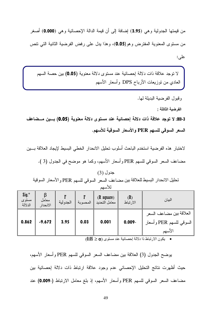من قيمتها الجدولية وهي (3.95) إضافة إلى أن قيمة الدالة الإحصائية وهي (0.000) أصغر من مستوى المعنوية المفترض وهو(0.05)، وهذا يدل على رفض الفرضية الثانية التي نتص علي:

لا نوجد علاقة ذات دلالة إحصائية عند مستوى دلالة معنوية (0.05) بين حصة السهم العادي من نوزيعات الأرباح DPS وأسعار الأسهم

وقبول الفرضية البديلة لها.

الفرضية الثالثة :

H0-3: لا توجد علاقة ذات دلالة إحصائية عند مستوى دلالة معنوية (0.05) بـــين مـــضاعف السعر السوقي للسهم PER والأسعار السوقية للأسهم.

لاختبار هذه الفرضية استخدم الباحث أسلوب تحليل الانحدار الخطي البسيط لإيجاد العلاقة بسين مضاعف السعر السوقي للسهم PER وأسعار الأسهم، وكما هو موضح في الجدول (3 ).

## جدول (3) تحليل الانحدار البسيط للعلاقة بين مضاعف السعر السوقي للسهم PER والأسعار السوقية للأسهم

| $\int$ sig. $*$<br>مستوى<br>الدلالة | معامل<br>الانحدار | الجدولية | المحسوبة | $(R \space square)$<br>معامل التحديد | (R)<br>الارتباط | البيان                                                       |
|-------------------------------------|-------------------|----------|----------|--------------------------------------|-----------------|--------------------------------------------------------------|
| 0.862                               | $-9.672$          | 3.95     | 0.03     | 0.001                                | $0.009 -$       | العلاقة بين مضاعف السعر<br>السوقي للسهم PER وأسعار<br>الأسهم |

 $(0.05 \geq \alpha)$  و يكون الارتباط ذا دلالة إحصائية عند مستوى  $\alpha$ 

يوضح الجدول (3) العلاقة بين مضاعف السعر السوقي للسهم PER وأسعار الأسهم، حيث أظهرت نتائج التحليل الإحصائي عدم وجود علاقة ارتباط ذات دلالة إحصائية بين مضاعف السعر السوقي للسهم PER وأسعار الأسهم، إذ بلغ معامل الارتباط (-0.009) عند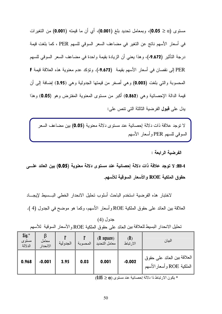مستوى (0.0 ≤ 0.05)، وبمعامل تحديد بلغ (0.001)، أي أن ما قيمته (0.001) من التغيرات في أسعار الأسهم ناتج عن التغير في مضاعف السعر السوقي للسهم PER ، كما بلغت قيمة درجة التأثير (9.672-)، وهذا يعني أن الزيادة بقيمة واحدة في مضاعف السعر السوقي للسهم PER إلى نقصان في أسعار الأسهم بقيمة (9.672-). وتؤكد عدم معنوية هذه العلاقة قيمة F المحسوبة والنَّبي بلغت (0.003) وهي أصغر من قيمتها الجدولية وهي (3.95) إضافة إلى أن قيمة الدالة الإحصائية وهي (0.862) أكبر من مستوى المعنوية المفترض وهو (0.05) وهذا بدل على **قبول** الفر ضبة الثالثة التي تتص على:

لا نوجد علاقة ذات دلالة إحصائية عند مستوى دلالة معنوية (0.05) بين مضاعف السعر السوفي للسهم PER وأسعار الأسهم

الفرضبة الرابعة :

H0-4: لا توجد علاقة ذات دلالة إحصائية عند مستوى دلالة معنوية (0.05) بين العائد علــــى حقوق الملكية ROE والأسعار السوقية للأسهم.

لاختبار هذه الفرضية استخدم الباحث أسلوب تحليل الانحدار الخطى البسبيط لإيجساد العلاقة بين العائد على حقوق الملكية ROE وأسعار الأسهم، وكما هو موضح في الجدول (4 ).

### جدول (4)

تحليل الانحدار البسيط للعلاقة بين العائد على حقوق الملكية ROE و الأسعار السوقية للأسهم

| $\int$ sig. $*$<br>مستوى<br>الدلالة | معامل<br>الانحدار | الجدولية | المحسوبة | $(R \space square)$<br>معامل التحديد | (R)<br>الارتباط | البيان                                                   |
|-------------------------------------|-------------------|----------|----------|--------------------------------------|-----------------|----------------------------------------------------------|
| 0.968                               | $-0.001$          | 3.95     | 0.03     | 0.001                                | $-0.002$        | العلاقة بين العائد على حقوق<br>الملكية ROE وأسعار الأسهم |

 $(0.05 \geq \alpha)$  يكون الارتباط ذا دلالة إحصائية عند مستوى  $\alpha$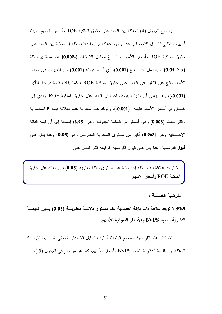بوضح الجدول (4) العلاقة بين العائد على حقوق الملكية ROE وأسعار الأسهم، حيث أظهرت نتائج التحليل الإحصائبي عدم وجود علاقة ارتباط ذات دلالة إحصائية بين العائد على حقوق الملكية ROE وأسعار الأسهم ، إذ بلغ معامل الارتباط (-0.002) عند مستوى دلالة (0.05 ≥ 0.05)، وبمعامل تحديد بلغ (0.001)، أي أن ما قيمته (0.001) من التغيرات في أسعار الأسهم ناتج عن التغير في العائد على حقوق الملكية ROE ، كما بلغت قيمة درجة التأثير **(0.001-)**، وهذا يعني أن الزيادة بقيمة واحدة في العائد على حقوق الملكية ROE يؤدي إلى نقصان في أسعار الأسهم بقيمة (0.001-). وتؤكد عدم معنوية هذه العلاقة قيمة F المحسوبة والتي بلغت (0.003) وهي أصغر من قيمتها الجدولية وهي (3.95) إضافة إلى أن قيمة الدالة الإحصائية وهي (0.968) أكبر من مستوى المعنوية المفترض وهو (0.05) وهذا يدل على **قبول** الفرضية وهذا يدل على قبول الفرضية الرابعة التي تنص على:

لا نوجد علاقة ذات دلالة إحصائية عند مستوى دلالة معنوية (0.05) بين العائد على حقوق الملكية ROE و أسعار الأسهم

الفرضية الخامسة :

H0-5: لا توجد علاقة ذات دلالة إحصائية عند مستوى دلالـــة معنويـــة (0.05) بـــين القيمـــة الدفترية للسهم BVPS والأسعار السوقية للأسهم.

لاختبار هذه الفرضية استخدم الباحث أسلوب تحليل الانحدار الخطى البـــسيط لإيجــــاد العلاقة بين القيمة الدفترية للسهم BVPS وأسعار الأسهم، كما هو موضح في الجدول (5 ).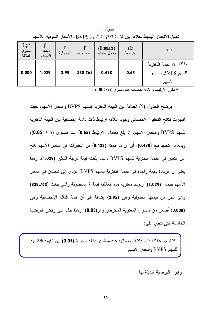جدول (5) تحليل الانحدار البسيط للعلاقة بين القيمة الدفترية للسهم BVPS و الأسعار السوقية للأسهم

| $\int$ sig. $*$<br>مستوى<br>الدلالة | معامل<br>الانحدار | الجدولية | المحسوبة | $(R \space square)$<br>معامل التحديد | (R)<br>الارتباط | البيان                                                      |
|-------------------------------------|-------------------|----------|----------|--------------------------------------|-----------------|-------------------------------------------------------------|
| 0.000                               | 1.029             | 3.95     | 338.763  | 0.428                                | 0.65            | العلاقة بين القيمة الدفتر بة<br>للسهم BVPS وأسعار<br>الأسهم |

 $(0.05 \geq \alpha)$  بكون الارتباط ذا دلالة إحصائية عند مستوى  $\alpha$ 

يوضح الجدول (5) العلاقة بين القيمة الدفترية للسهم BVPS وأسعار الأسهم، حيث أظهرت نتائج التحليل الإحصائي وجود علاقة ارتباط ذات دلالة إحصائية بين القيمة الدفترية للسهم BVPS وأسعار الأسهم، إذ بلغ معامل الارتباط (0.65) عند مستوى (α ≤ 0.05)، وبمعامل تحديد بلغ (0.428)، أي أن ما قيمته (0.428) من التغيرات في أسعار الأسهم ناتج عن التغير في القيمة الدفترية للسهم BVPS ، كما بلغت قيمة درجة التأثير (1.029)، وهذا يعني أن الزيادة بقيمة واحدة في القيمة الدفترية للسهم BVPS يؤدي إلى نقصان في أسعار الأسهم بقيمة (1.029). وتؤكد معنوية هذه العلاقة قيمة F المحسوبة والتي بلغت (338.763) وهي أكبر من قيمتها الجدولية وهي (3.95) إضافة إلى أن قيمة الدالة الإحصائية وهي (0.000) أصغر من مستوى المعنوية المفترض وهو(0.05)، وهذا يدل على رفض الفرضية الخامسة التي نتص على:

لا توجد علاقة ذات دلالة إحصائية عند مستوى دلالة معنوية (0.05) بين القيمة الدفترية للسهم BVPS وأسعار الأسهم

وقبول الفرضبة البدبلة لها.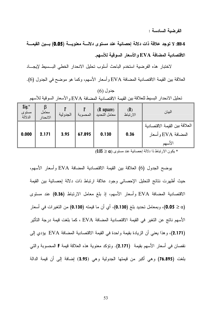الفرضية السادسة :

H0-6: لا توجد علاقة ذات دلالة إحصائية عند مستوى دلالة معنوية (0.05) بسين القيمـــة الاقتصادية المضافة EVA والأسعار السوقية للأسهم.

لاختبار هذه الفرضية استخدم الباحث أسلوب تحليل الانحدار الخطي البسبط لإيجاد العلاقة بين القيمة الاقتصادية المضافة EVA وأسعار الأسهم، وكما هو موضح في الجدول (6).

جدول (6) تحليل الانحدار البسيط للعلاقة بين القيمة الاقتصادية المضافة EVA و الأسعار السوقية للأسهم

| $\int$ sig. $*$<br>مستوى<br>الدلالة | معامل<br>الانحدار | الجدولية | المحسوبة | $(R \space square)$<br> معامل التحديد | (R)<br>الارتباط | البيان                                                        |
|-------------------------------------|-------------------|----------|----------|---------------------------------------|-----------------|---------------------------------------------------------------|
| 0.000                               | 2.171             | 3.95     | 67.895   | 0.130                                 | 0.36            | العلاقة بين القيمة الاقتصادية<br>المضافة EVA وأسعار<br>الأسهم |

 $(0.05 \geq \alpha)$  يكون الارتباط ذا دلالة إحصائية عند مستوى  $\alpha$ 

يوضح الجدول (6) العلاقة بين القيمة الاقتصادية المضافة EVA وأسعار الأسهم، حيث أظهرت نتائج التحليل الإحصائي وجود علاقة ارتباط ذات دلالة إحصائية بين القيمة الاقتصادية المضافة EVA وأسعار الأسهم، إذ بلغ معامل الارتباط (0.36) عند مستوى (0.05 ≥ 0.05)، وبمعامل تحديد بلغ (0.130)، أي أن ما قيمته (0.130) من التغيرات في أسعار الأسهم ناتج عن التغير في القيمة الاقتصادية المضافة EVA ، كما بلغت قيمة درجة التأثير (2.171)، وهذا يعني أن الزيادة بقيمة واحدة في القيمة الاقتصادية المضافة EVA يؤدي إلى نقصان في أسعار الأسهم بقيمة (2.171). ونؤكد معنوية هذه العلاقة قيمة F المحسوبة والتي بلغت (76.895) وهي أكبر من قيمتها الجدولية وهي (3.95) إضافة إلى أن قيمة الدالة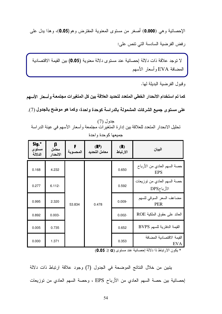الإحصائية وهي (0.000) أصغر من مستوى المعنوية المفترض وهو(0.05)، وهذا بدل علمي رفض الفرضية السادسة التي نتص على:

لا توجد علاقة ذات دلالة إحصائية عند مستوى دلالة معنوية (0.05) بين القيمة الاقتصادية المضافة EVA وأسعار الأسهم

وقبول الفر ضبة البدبلة لها.

كما تم استخدام الانحدار الخطى المتعدد لتحديد العلاقة بين كل المتغيرات مجتمعة و أسعار الأسهم

على مستوى جميع الشركات المشمولة بالدراسة كوحدة واحدة، وكما هو موضح بالجدول (7).

| Sig.*<br>مستوى<br>الدلالة | β<br>معامل<br>الانحدار | المحسوية | (R <sup>2</sup> )<br>معامل التحديد | (R)<br>الارتباط | البيان                                     |
|---------------------------|------------------------|----------|------------------------------------|-----------------|--------------------------------------------|
| 0.168                     | 4.232                  |          | 0.478                              | 0.650           | حصنة السهم العادي من الأرباح<br><b>EPS</b> |
| 0.277                     | $6.112 -$              |          |                                    | 0.592           | حصة السهم العادي من توزيعات<br>الأرباحDPS  |
| 0.995                     | 2.320                  | 53.834   |                                    | $0.009 -$       | مضاعف السعر السوقي للسهم<br><b>PER</b>     |
| 0.892                     | $0.003 -$              |          |                                    | $0.002 -$       | العائد على حقوق الملكية ROE                |
| 0.005                     | 0.735                  |          |                                    | 0.652           | القيمة الدفترية للسهم BVPS                 |
| 0.000                     | 1.371                  |          |                                    | 0.353           | القيمة الاقتصادية المضافة<br>EVA           |

جدول (7) تحليل الانحدار المتعدد للعلاقة بين إدارة المتغيرات مجتمعة وأسعار الأسهم في عينة الدراسة جمبعها كوحدة واحدة

\* يكون الارتباط ذا دلالة إحصائية عند مستوى (0.05 ≥ 0.05)

يتبين من خلال النتائج الموضحة في الجدول (7) وجود علاقة ارتباط ذات دلالة إحصائية بين حصة السهم العادي من الأرباح EPS ، وحصة السهم العادي من توزيعات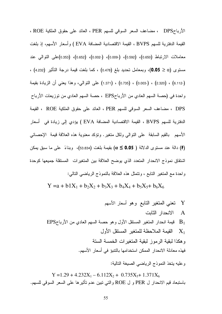الأرباحDPS ، مضاعف السعر السوقي للسهم PER ، العائد على حقوق الملكية ROE ، القيمة الدفترية للسهم BVPS ، القيمة الاقتصادية المضافة EVA ) وأسعار الأسهم، إذ بلغت معاملات الارتباط (0.650)، (0.592)، (0.009)، (0.002)، (0.652)، (0.353)على التوالي عند . مستوى (20 ≤ 0.05)، وبمعامل تحديد بلغ (0.478) ، كما بلغت قيمة درجة التأثير (4.232) (6.112-) ، (0.003-) ، (0.003-) ، (1.371) على النوالي، وهذا يعني أن الزيادة بقيمة واحدة في (حصة السهم العادي من الأرباحEPS ، حصة السهم العادي من توزيعات الأرباح DPS ، مضاعف السعر السوقي للسهم PER ، العائد على حقوق الملكية ROE ، القيمة (ROE ) الدفترية للسهم BVPS ، القيمة الاقتصادية المضافة EVA ) يؤدي إلى زيادة في أسعار الأسهم بالقيم السابقة على النوالي ولكل متغير . ونؤكد معنوية هذه العلاقة قيمة الإحصائي (F) دالة عند مستوى الدلالة ( 0.05 € ) بقيمة بلغت (53.834)، وبناءً على ما سبق يمكن اشتقاق نموذج الانحدار المتعدد الذي يوضح العلاقة بين المتغيرات المستقلة جميعها كوحدة واحدة مع المتغير التابع ، وتتمثَّل هذه العلاقة بالنموذج الرياضي التالي:

 $Y = a + b1X_1 + b_2X_2 + b_3X_3 + b_4X_4 + b_5X_5 + b_6X_6$ 

وعليه يتخذ النموذج الرياضي الصيغة التالية:

 $Y = 1.29 + 4.232X_1 - 6.112X_2 + 0.735X_5 + 1.371X_6$ باستبعاد قيم الانحدار ل PER و ل ROE والتبي نبين عدم نأثيرها على السعر السوفي للسهم.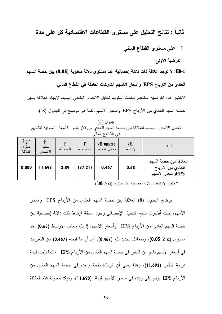## ثانيا : نتائج التحليل على مستوى القطاعات الاقتصادية كل على حدة

1- على مستوى القطاع المالي

الفرضية الأولى:

H0-1: لا توجد علاقة ذات دلالة إحصائية عند مستوى دلالة معنوية (0.05) بين حصة السهم

العادي من الأرباح EPS وأسعار الأسهم الشركات العاملة في القطاع المالي.

لاختبار هذه الفرضية استخدم الباحث أسلوب تحليل الانحدار الخطي البسيط لإيجاد العلاقة بسين حصة السهم العادي من الأرباح EPS وأسعار الأسهم، كما هو موضح في الجدول (8 ).

جدول (8) تحليل الانحدار البسيط للعلاقة بين حصنة السهم العادي من الأرباحو الأسعار السوقية للأسهم في القطاع المالي

| $\int$ sig. $*$<br>مستوى<br>الدلالة | معامل<br>الانحدار | الجدولية | المحسوبة | $(R \space square)$<br>معامل التحديد | (R)<br>الارتباط | البيان                                                         |
|-------------------------------------|-------------------|----------|----------|--------------------------------------|-----------------|----------------------------------------------------------------|
| 0.000                               | 11.693            | 3.89     | 177.217  | 0.467                                | 0.68            | العلاقة بين حصة السهم<br>العادي من الأرباح<br>EPSوأسعار الأسهم |

 $(0.05 \geq \alpha)$  بكون الارتباط ذا دلالة إحصائية عند مستوى  $\alpha$ 

يوضح الجدول (8) العلاقة بين حصة السهم العادي من الأرباح EPS وأسعار الأسهم، حيث أظهرت نتائج التحليل الإحصائي وجود علاقة ارتباط ذات دلالة إحصائية بين حصة السهم العادي من الأرباح EPS وأسعار الأسهم، إذ بلغ معامل الارتباط (0.68) عند مستوى (20 ≤ 0.05)، وبمعامل تحديد بلغ (0.467)، أي أن ما قيمته (0.467) من التغيرات في أسعار الأسهم ناتج عن التغير في حصة السهم العادي من الأرباح EPS ، كما بلغت قيمة درجة التأثير (11.693)، وهذا يعني أن الزيادة بقيمة واحدة في حصـة السهم العادي من الأرباح EPS يؤدي إلى زيادة في أسعار الأسهم بقيمة (11.693). ونؤكد معنوية هذه العلاقة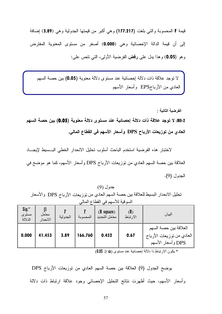قيمة F المحسوبة والتي بلغت (177.217) وهي أكبر من قيمتها الجدولية وهي (3.89) إضافة إلى أن قيمة الدالة الإحصائية وهي (0.000) أصغر من مستوى المعنوية المفترض وهو (**0.05**) وهذا يدل على **رفض** الفرضية الأولى، التي تتص على:

لا نوجد علاقة ذات دلالة إحصائية عند مستوى دلالة معنوية (0.05) بين حصة السهم العادي من الأرباحEPS وأسعار الأسهم

الفرضية الثانية :

H0-2: لا توجد علاقة ذات دلالة إحصائية عند مستوى دلالة معنوية (0.05) بين حصة السهم العادي من توزيعات الأرباح DPS وأسعار الأسهم في القطاع المالي.

لاختبار هذه الفرضية استخدم الباحث أسلوب تحليل الانحدار الخطى البـــسيط لإيجــــاد العلاقة بين حصة السهم العادي من نوزيعات الأرباح DPS وأسعار الأسهم، كما هو موضح في الجدول (9).

جدول (9) تحليل الانحدار البسيط للعلاقة بين حصة السهم العادي من توزيعات الأرباح DPS والأسعار السوقية للأسهم في القطاع المالي

| $\text{Sig.}^*$<br>مستوى<br>الدلالة | معامل<br>الانحدار | الجدولية | المحسوبة | $(R \space square)$<br>معامل التحديد | (R)<br>الارتباط | البيان                                                                  |
|-------------------------------------|-------------------|----------|----------|--------------------------------------|-----------------|-------------------------------------------------------------------------|
| 0.000                               | 41.453            | 3.89     | 166.760  | 0.452                                | 0.67            | العلاقة بين حصة السهم<br>العادي من نوزيعات الأرباح<br>DPS وأسعار الأسهم |

 $(0.05 \geq \alpha)$  يكون الارتباط ذا دلالة إحصائية عند مستوى  $\alpha$ 

يوضح الجدول (9) العلاقة بين حصة السهم العادي من توزيعات الأرباح DPS وأسعار الأسهم، حيث أظهرت نتائج النحليل الإحصائي وجود علاقة ارتباط ذات دلالة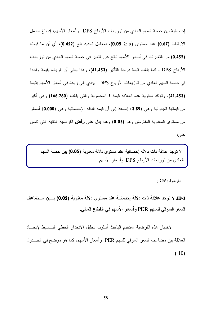إحصائية بين حصة السهم العادي من توزيعات الأرباح DPS وأسعار الأسهم، إذ بلغ معامل الارتباط (0.67) عند مستوى (0.05 0.05)، بمعامل تحديد بلغ (0.452)، أي أن ما قيمته (0.452) من التغيرات في أسعار الأسهم ناتج عن التغير في حصة السهم العادي من توزيعات الأرباح DPS ، كما بلغت قيمة درجة النائثير (41.453)، وهذا يعني أن الزيادة بقيمة واحدة في حصة السهم العادي من توزيعات الأرباح DPS يؤدي إلى زيادة في أسعار الأسهم بقيمة (41.453). وتؤكد معنوية هذه العلاقة قيمة F المحسوبة والتي بلغت (166.760) وهي أكبر من قيمتها الجدولية وهي (3.89) إضافة إلى أن قيمة الدالة الإحصائية وهي (0.000) أصغر من مستوى المعنوية المفترض وهو (**0.05**) وهذا يدل على **رفض** الفرضية الثانية التي نتص على:

العادي من توزيعات الأرباح DPS وأسعار الأسهم لا توجد علاقة ذات دلالة إحصائية عند مستوى دلالة معنوية (0.05) بين حصة السهم

الفرضية الثالثة :

l.

H0-3: لا توجد علاقة ذات دلالة إحصائية عند مستوى دلالة معنوية (0.05) بسين مسضاعف السعر السوقى للسهم PER وأسعار الأسهم ف*ى* القطاع المال*ى*.

لاختبار هذه الفرضية استخدم الباحث أسلوب تحليل الانحدار الخطى البـــسيط لإيجــــاد العلاقة بين مضاعف السعر السوقي للسهم PER وأسعار الأسهم، كما هو موضح في الجـــدول .( 10)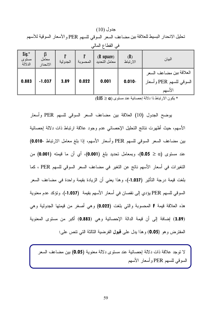|                             | تحليل الانحدار البسيط للعلاقة بين مضاعف السعر السوقي للسهم PER و الأسعار السوقية للأسهم |          |          |                                      |                 |                                                              |  |  |  |  |
|-----------------------------|-----------------------------------------------------------------------------------------|----------|----------|--------------------------------------|-----------------|--------------------------------------------------------------|--|--|--|--|
| في القطاع المالي            |                                                                                         |          |          |                                      |                 |                                                              |  |  |  |  |
| $Sig.*$<br>مستوى<br>الدلالة | β<br>معامل<br>الانحدار                                                                  | الجدولية | المحسوبة | $(R \space square)$<br>معامل التحديد | (R)<br>الارتباط | البيان                                                       |  |  |  |  |
| 0.883                       | $-1.037$                                                                                | 3.89     | 0.022    | 0.001                                | $0.010 -$       | العلاقة بين مضاعف السعر<br>السوقي للسهم PER وأسعار<br>الأسهم |  |  |  |  |

جدول (10)

 $(0.05 \geq \alpha)$  يكون الارتباط ذا دلالة إحصائية عند مستوى  $\alpha$ 

يوضح الجدول (10) العلاقة بين مضاعف السعر السوفي للسهم PER وأسعار الأسهم، حيث أظهرت نتائج التحليل الإحصائي عدم وجود علاقة ارتباط ذات دلالة إحصائية بين مضاعف السعر السوقي للسهم PER وأسعار الأسهم، إذا بلغ معامل الارتباط -0.010) عند مستوى (0.0 ≤ 0.05)، وبمعامل تحديد بلغ (0.001)، أي أن ما قيمته (0.001) من التغيرات في أسعار الأسهم ناتج عن التغير في مضاعف السعر السوقي للسهم PER ، كما بلغت قيمة درجة النَّاثير (1.037-)، وهذا يعني أن الزيادة بقيمة واحدة في مضاعف السعر السوقي للسهم PER يؤدي إلى نقصان في أسعار الأسهم بقيمة (1.037-). وتؤكد عدم معنوية هذه العلاقة قيمة F المحسوبة والتي بلغت (0.022) وهي أصغر من قيمتها الجدولية وهي (3.89) إضافة إلى أن قيمة الدالة الإحصائية وهي (0.883) أكبر من مستوى المعنوية المفترض وهو (0.05) وهذا يدل على قبول الفرضية الثالثة التي نتص على:

لا نوجد علاقة ذات دلالة احصائية عند مستوى دلالة معنوية (0.05) بين مضاعف السعر السوقي للسهم PER وأسعار الأسهم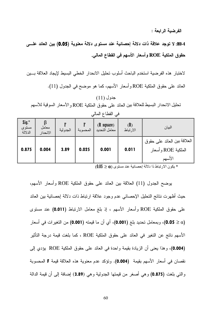الفرضبة الرابعة :

H0-4: لا توجد علاقة ذات دلالة إحصائية عند مستوى دلالة معنوية (0.05) بين العائد علـــ*ى* حقوق الملكية ROE وأسعار الأسهم في القطاع المالي.

لاختبار هذه الفرضية استخدم الباحث أسلوب تحليل الانحدار الخطى البسيط لإيجاد العلاقة بسين العائد على حقوق الملكية ROE وأسعار الأسهم، كما هو موضح في الجدول (11).

# جدول (11) تحليل الانحدار البسيط للعلاقة بين العائد على حقو ق الملكية ROE و الأسعار السوقية للأسهم

| Sig.*<br>مستوى | معامل    |          |          | $(R \space square)$ | (R)      | البيان                      |
|----------------|----------|----------|----------|---------------------|----------|-----------------------------|
| الدلالة        | الانحدار | الجدولية | المحسوبة | معامل التحديد       | الارتباط |                             |
|                |          |          |          |                     |          | العلاقة بين العائد على حقوق |
| 0.875          | 0.004    | 3.89     | 0.025    | 0.001               | 0.011    | الملكية ROE و أسعار         |
|                |          |          |          |                     |          | الأسهم                      |

| Ī۱<br>Δ | c | اأقط |  |
|---------|---|------|--|
|         |   |      |  |
|         |   |      |  |

 $(0.05 \geq \alpha)$  بكون الار تباط ذا دلالة إحصائية عند مستوى  $\alpha$ 

بوضح الجدول (11) العلاقة بين العائد على حقوق الملكية ROE وأسعار الأسهم، حيث أظهرت نتائج التحليل الإحصائي عدم وجود علاقة ارتباط ذات دلالة إحصائية بين العائد على حقوق الملكية ROE وأسعار الأسهم ، إذ بلغ معامل الارنتباط (0.011) عند مستوى (0.05 0.05)، وبمعامل تحديد بلغ (0.001)، أي أن ما قيمته (0.001) من التغيرات في أسعار الأسهم ناتج عن التغير في العائد على حقوق الملكية ROE ، كما بلغت قيمة درجة التأثير (0.004)، وهذا يعني أن الزيادة بقيمة واحدة في العائد على حقوق الملكية ROE يؤدي إلى نقصان في أسعار الأسهم بقيمة (0.004). وتؤكد عدم معنوية هذه العلاقة قيمة F المحسوبة والتي بلغت (0.875) وهي أصغر من قيمتها الجدولية وهي (3.89) إضافة إلىي أن قيمة الدالة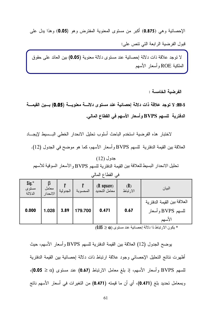الإحصائية وهي (0.875) أكبر من مستوى المعنوية المفترض وهو (0.05) وهذا يدل علي قبول الفر ضية الر ابعة التي نتص علي:

لا توجد علاقة ذات دلالة إحصائية عند مستوى دلالة معنوية (0.05) بين العائد على حقوق الملكية ROE وأسعار الأسهم

الفرضية الخامسة :

H0-5: لا توجد علاقة ذات دلالة إحصائية عند مستوى دلالـــة معنويـــة (0.05) بـــين القيمـــة الدفترية للسهم BVPS وأسعار الأسهم في القطاع المالي.

لاختبار هذه الفرضية استخدم الباحث أسلوب تحليل الانحدار الخطى البسبيط لإيجساد العلاقة بين القيمة الدفترية للسهم BVPS وأسعار الأسهم، كما هو موضح في الجدول (12).

جدول (12) تحليل الانحدار البسيط للعلاقة بين القيمة الدفتر ية للسهم BVPS و الأسعار السوقية للأسهم

| Sig.*<br>مستوى<br>الدلالة | معامل<br>الانحدار | الجدولية | المحسوبة | $(R \space square)$<br>معامل التحديد | (R)<br>الارتباط | البيان                                                     |
|---------------------------|-------------------|----------|----------|--------------------------------------|-----------------|------------------------------------------------------------|
| 0.000                     | 1.028             | 3.89     | 179.700  | 0.471                                | 0.67            | العلاقة بين القيمة الدفترية<br>للسهم BVPS وأسعار<br>الأسهم |

في القطاع المالي

 $(0.05 \geq \alpha)$  بكون الار تباط ذا دلالة إحصائية عند مستوى  $\alpha$ 

يوضح الجدول (12) العلاقة بين القيمة الدفترية للسهم BVPS وأسعار الأسهم، حيث أظهرت نتائج النحليل الإحصائي وجود علاقة ارتباط ذات دلالة إحصائية بين القيمة الدفترية للسهم BVPS وأسعار الأسهم، إذ بلغ معامل الارتباط (0.67) عند مستوى (0.0 ≤ 0.05)، وبمعامل تحديد بلغ (0.471)، أي أن ما قيمته (0.471) من التغيرات في أسعار الأسهم ناتج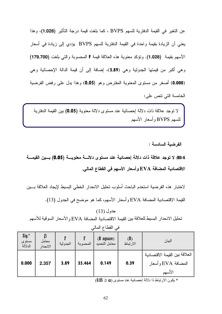عن النغير في القيمة الدفترية للسهم BVPS ، كما بلغت قيمة درجة التأثير (1.028)، وهذا يعني أن الزيادة بقيمة واحدة في القيمة الدفترية للسهم BVPS يؤدي إلى زيادة في أسعار الأسهم بقيمة (1.028). وتؤكد معنوية هذه العلاقة قيمة F المحسوبة والتي بلغت (179.700) وهي أكبر من قيمتها الجدولية وهي (3.89)، إضافة إلى أن قيمة الدالة الإحصائية وهي (0.000) أصغر من مستوى المعنوية المفترض وهو (0.05) وهذا يدل على رفض الفرضية الخامسة التي نتص على:

لا توجد علاقة ذات دلالة إحصائية عند مستوى دلالة معنوية (0.05) بين القيمة الدفترية للسهم BVPS وأسعار الأسهم

الفرضية السادسة :

H0-6: لا توجد علاقة ذات دلالة إحصائية عند مستوى دلالسة معنويسة (0.05) بسين القيمسة الاقتصادية المضافة EVA وأسعار الأسهم في القطاع المالي.

لاختبار هذه الفرضية استخدم الباحث أسلوب تحليل الانحدار الخطى البسيط لإيجاد العلاقة بسين القيمة الاقتصادية المضافة EVA وأسعار الأسهم، كما هو موضح في الجدول (13).

جدول (13) تحليل الانحدار البسيط للعلاقة بين القيمة الاقتصادية المضافة EVA و الأسعار السوقية للأسهم

| $Sig.*$<br>مستوى<br>الدلالة | معامل<br>الانحدار | الجدولية | المحسوبة | $(R \space square)$<br>معامل التحديد | (R)<br>الارتباط | البيان                                                         |
|-----------------------------|-------------------|----------|----------|--------------------------------------|-----------------|----------------------------------------------------------------|
| 0.000                       | 2.357             | 3.89     | 35.464   | 0.149                                | 0.39            | العلاقة بين القيمة الاقتصادية<br>المضافة EVA و أسعار<br>الأسهم |

في القطاع المالي

 $(0.05 \geq \alpha)$  بكون الارتباط ذا دلالة إحصائية عند مستوى  $\alpha$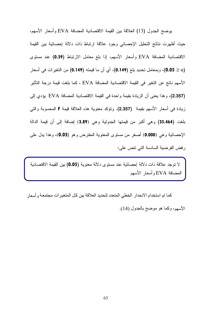يوضح الجدول (13) العلاقة بين القيمة الاقتصادية المضافة EVA وأسعار الأسهم، حيث أظهرت نتائج التحليل الإحصائي وجود علاقة ارتباط ذات دلالة إحصائية بين القيمة الاقتصادية المضافة EVA وأسعار الأسهم، إذا بلغ معامل الارتباط (0.39) عند مستوى (0.05 ≥ 0.05)، وبمعامل تحديد بلغ (0.149)، أي أن ما قيمته (0.149) من التغيرات في أسعار الأسهم ناتج عن التغير في القيمة الاقتصادية المضافة EVA ، كما بلغت قيمة درجة التأثير (2.357)، وهذا يعني أن الزيادة بقيمة واحدة في القيمة الاقتصادية المضافة EVA يؤدي إلى زيادة في أسعار الأسهم بقيمة (2.357). وتؤكد معنوية هذه العلاقة قيمة F المحسوبة والتي بلغت (35.464) وهي أكبر من قيمتها الجدولية وهي (3.89) إضافة إلى أن قيمة الدالة الإحصائية وهي (0.000) أصغر من مستوى المعنوية المفترض وهو (0.05)، وهذا يدل على رِ فض الفرضية السادسة التي نتص علي:

لا نوجد علاقة ذات دلالة إحصائية عند مستوى دلالة معنوية (0.05) بين القيمة الاقتصادية المضافة EVA وأسعار الأسهم

كما تم استخدام الانحدار الخطي المتعدد لتحديد العلاقة بين كل المتغير ات مجتمعة و أسعار الأسهم، وكما هو موضح بالجدول (14).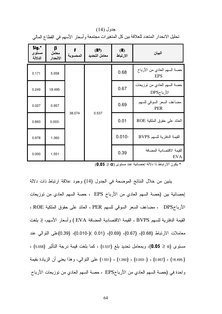| Sig.*<br>مستوى<br>الدلالة | β<br>معامل<br>الانحدار | المحسوبة | (R <sup>2</sup> )<br>معامل التحديد | (R)<br>الارتباط | البيان                                     |
|---------------------------|------------------------|----------|------------------------------------|-----------------|--------------------------------------------|
| 0.171                     | 5.058                  |          |                                    | 0.68            | حصنة السهم العادي من الأرباح<br><b>EPS</b> |
| 0.249                     | 18.495-                |          |                                    | 0.67            | حصنة السهم العادي من نوزيعات<br>الأرباحDPS |
| 0.027                     | 0.957                  |          | 0.537                              | 0.69            | مضاعف السعر السوقي للسهم<br><b>PER</b>     |
| 0.893                     | $0.003 -$              | 38.074   |                                    | 0.01            | العائد على حقوق الملكية ROE                |
| 0.978                     | 1.360                  |          |                                    | $0.010 -$       | القيمة الدفترية للسهم BVPS                 |
| 0.000                     | 1.551                  |          |                                    | 0.39            | القيمة الاقتصادية المضافة<br><b>EVA</b>    |

جدول (14) تحليل الانحدار المتعدد للعلاقة بين كل المتغيرات مجتمعة و أسعار الأسهم في القطاع المالي

 $(0.05 \geq \alpha)$  بكون الار تباط ذا دلالة إحصائية عند مستوى  $\alpha$ 

يتبين من خلال النتائج الموضحة في الجدول (14) وجود علاقة ارتباط ذات دلالة إحصائية بين (حصة السهم العادي من الأرباح EPS ، حصة السهم العادي من توزيعات الأرباحDPS ، مضاعف السعر السوقي للسهم PER ، العائد على حقوق الملكية ROE ، القيمة الدفترية للسهم BVPS ، القيمة الاقتصادية المضافة EVA ) وأسعار الأسهم، إذ بلغت معاملات الارتباط (0.68)، (0.67)، (0.69)، (0.010)(0.01)، (0.39)على التوالي عند . مستوى (0.05  $(0.05 \geq \alpha)$ )، وبمعامل تحديد بلغ (0.537) ، كما بلغت قيمة درجة التأثير (5.058) (-18.495) ، (0.003) ، (0.003) ، (1.360) ، (1.551) على النوالي، وهذا يعني أن الزيادة بقيمة واحدة في (حصة السهم العادي من الأرباحEPS ، حصة السهم العادي من توزيعات الأرباح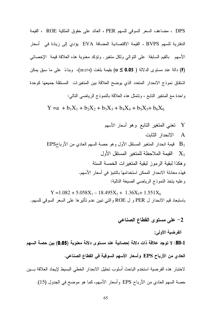DPS ، مضاعف السعر السوقي للسهم PER ، العائد على حقوق الملكية ROE ، القيمة الدفترية للسهم BVPS ، القيمة الاقتصادية المضافة EVA يؤدي إلى زيادة في أسعار الأسهم بالقيم السابقة على النوالي ولكل متغير . ونؤكد معنوية هذه العلاقة قيمة الإحصائي (F) دالة عند مستوى الدلالة ( 0.05 € ) بقيمة بلغت (38.074)، وبناءً على ما سبق يمكن اشتقاق نموذج الانحدار المتعدد الذي يوضح العلاقة بين المتغيرات المستقلة جميعها كوحدة واحدة مع المتغير التابع ، وتتمثَّل هذه العلاقة بالنموذج الرياضي التالي:

 $Y = a + b_1X_1 + b_2X_2 + b_3X_3 + b_4X_4 + b_5X_5 + b_6X_6$ 

 $Y = 1.082 + 5.058X_1 - 18.495X_2 + 1.36X_5 + 1.551X_6$ باستبعاد قيم الانحدار ل PER و ل ROE والتبي تبين عدم تأثيرها على السعر السوقي للسهم.

#### 2- على مستوى القطاع الصناعي

الفرضية الأولى:

H0-1: لا توجد علاقة ذات دلالة إحصائية عند مستوى دلالة معنوية (0.05) بين حصة السهم العادي من الأرباح EPS وأسعار الأسهم السوقية في القطاع الصناعي.

لاختبار هذه الفرضية استخدم الباحث أسلوب تحليل الانحدار الخطي البسيط لإيجاد العلاقة بسين

حصة السهم العادي من الأرباح EPS وأسعار الأسهم، كما هو موضح في الجدول (15).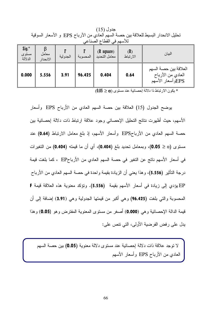|                                     | $\cdot$<br>للأسهم في القطاع الصناعي |          |          |                                      |                 |                                                                |  |  |  |  |
|-------------------------------------|-------------------------------------|----------|----------|--------------------------------------|-----------------|----------------------------------------------------------------|--|--|--|--|
| $\text{Sig.}^*$<br>مستوى<br>الدلالة | β<br>معامل<br>الانحدار              | الجدولية | المحسوبة | $(R \space square)$<br>معامل التحديد | (R)<br>الارتباط | البيان                                                         |  |  |  |  |
| 0.000                               | 5.556                               | 3.91     | 96.425   | 0.404                                | 0.64            | العلاقة بين حصة السهم<br>العادي من الأرباح<br>EPSوأسعار الأسهم |  |  |  |  |

جدول (15) تحليل الانحدار البسيط للعلاقة بين حصة السهم العادي من الأرباح EPS و الأسعار السوفية

 $(0.05 \geq \alpha)$  بكون الارتباط ذا دلالة إحصائية عند مستوى  $\alpha$ 

يوضح الجدول (15) العلاقة بين حصة السهم العادي من الأرباح EPS وأسعار الأسهم، حيث أظهرت نتائج التحليل الإحصائي وجود علاقة ارتباط ذات دلالة إحصائية بين حصة السهم العادي من الأرباحEPS وأسعار الأسهم، إذ بلغ معامل الارتباط (0.64) عند مستوى (0.05 ≥ 0.05)، وبمعامل تحديد بلغ (0.404)، أي أن ما قيمته (0.404) من التغيرات في أسعار الأسهم ناتج عن التغير في حصة السهم العادي من الأرباحEP ، كما بلغت قيمة درجة النَّاثير (5.556)، وهذا يعني أن الزيادة بقيمة واحدة في حصة السهم العادي من الأرباح EP يؤدي إلى زيادة في أسعار الأسهم بقيمة (5.556). وتؤكد معنوية هذه العلاقة قيمة F المحسوبة والتي بلغت (96.425) وهي أكبر من فيمتها الجدولية وهي (3.91) إضافة إلى أن قيمة الدالة الإحصائية وهي (0.000) أصغر من مستوى المعنوية المفترض وهو (0.05) وهذا يدل على رفض الفرضية الأولى، التي نتص على:

لا توجد علاقة ذات دلالة إحصائية عند مستوى دلالة معنوية (0.05) بين حصنة السهم العادي من الأرباح EPS وأسعار الأسهم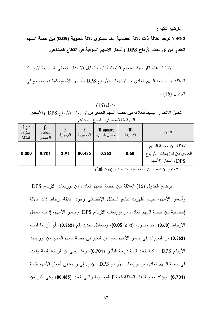الفرضية الثانية :

H0-2: لا توجد علاقة ذات دلالة إحصائية عند مستوى دلالة معنوية (0.05) بين حصة السهم العادي من توزيعات الأرباح DPS وأسعار الأسهم السوقية في القطاع الصناعي.

لاختبار هذه الفرضية استخدم الباحث أسلوب تحليل الانحدار الخطى البسبيط لإيجساد العلاقة بين حصة السهم العادي من توزيعات الأرباح DPS وأسعار الأسهم، كما هو موضح في الجدول (16) .

 $(16)$  جدول تحليل الانحدار البسيط للعلاقة بين حصة السهم العادي من توزيعات الأرباح DPS والأسعار السو قبة للأسهم في القطاع الصناعي

| $\int$ sig. $*$<br>مستوى<br>الدلالة | معامل<br>الانحدار | الجدولية | المحسوبة | $(R \space square)$<br>معامل التحديد | (R)<br>الارتباط | البيان                                                                   |
|-------------------------------------|-------------------|----------|----------|--------------------------------------|-----------------|--------------------------------------------------------------------------|
| 0.000                               | 6.701             | 3.91     | 80.485   | 0.362                                | 0.60            | العلاقة بين حصبة السهم<br>العادي من نوزيعات الأرباح<br>DPS وأسعار الأسهم |

 $(0.05 \geq \alpha)$  يكون الارتباط ذا دلالة إحصائية عند مستوى  $\alpha$ 

يوضح الجدول (16) العلاقة بين حصة السهم العادي من نوزيعات الأرباح DPS وأسعار الأسهم، حيث أظهرت نتائج التحليل الإحصائي وجود علاقة ارتباط ذات دلالة إحصائية بين حصة السهم العادي من نوزيعات الأرباح DPS وأسعار الأسهم، إذ بلغ معامل الارتباط (0.60) عند مستوى (0.0 ≤ 0.05)، وبمعامل تحديد بلغ (0.362)، أي أن ما قيمته (0.362) من التغير ات في أسعار الأسهم ناتج عن التغير في حصة السهم العادي من توزيعات الأرباح DPS ، كما بلغت قيمة درجة التأثير (6.701)، وهذا يعني أن الزيادة بقيمة واحدة في حصنة السهم العادي من توزيعات الأرباح DPS يؤدي إلى زيادة في أسعار الأسهم بقيمة (6.701). ونؤكد معنوية هذه العلاقة قيمة F المحسوبة والتي بلغت (80.485) وهي أكبر من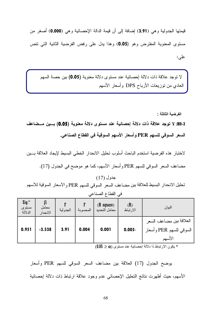قيمتها الجدولية وهي (3.91) إضافة إلى أن قيمة الدالة الإحصائية وهي (0.000) أصغر من مستوى المعنوية المفترض وهو (0.05) وهذا يدل على رفض الفرضية الثانية التي نتص عليے:

لا توجد علاقة ذات دلالة إحصائية عند مستوى دلالة معنوية (0.05) بين حصة السهم العادي من نوزيعات الأرباح DPS وأسعار الأسهم

الفرضية الثالثة :

3-H0: لا توجد علاقة ذات دلالة إحصائية عند مستوى دلالة معنوية (0.05) بسين مسضاعف السعر السوقي للسهم PER وأسعار الأسهم السوقية في القطاع الصناعي.

لاختبار هذه الفرضية استخدم الباحث أسلوب تحليل الانحدار الخطى البسيط لإيجاد العلاقة بسين مضاعف السعر السوقي للسهم PER وأسعار الأسهم، كما هو موضح في الجدول (17).

جدو ل (17) تحليل الانحدار البسيط للعلاقة بين مضاعف السعر السوقي للسهم PER والأسعار السوقية للأسهم في القطاع الصناعي

| $Sig.*$<br>مستوى<br>الدلالة | معامل<br>الانحدار | الجدولية | المحسوبة | $(R \space square)$<br>معامل التحديد | (R)<br>الارتباط | البيان                                                       |
|-----------------------------|-------------------|----------|----------|--------------------------------------|-----------------|--------------------------------------------------------------|
| 0.951                       | $-3.538$          | 3.91     | 0.004    | 0.001                                | $0.005 -$       | العلاقة بين مضاعف السعر<br>السوقي للسهم PER وأسعار<br>الأسهم |

 $(0.05 \geq \alpha)$  يكون الارتباط ذا دلالة إحصائية عند مستوى  $\alpha$ 

يوضح الجدول (17) العلاقة بين مضاعف السعر السوفي للسهم PER وأسعار الأسهم، حيث أظهرت نتائج النحليل الإحصائي عدم وجود علاقة ارتباط ذات دلالة إحصائية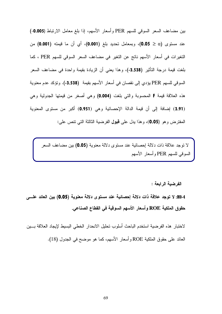بين مضاعف السعر السوقي للسهم PER وأسعار الأسهم، إذا بلغ معامل الارتباط (0.005-) عند مستوى (0.0 ≤ 0.05)، وبمعامل تحديد بلغ (0.001)، أي أن ما قيمته (0.001) من التغيرات في أسعار الأسهم ناتج عن التغير في مضاعف السعر السوفي للسهم PER ، كما بلغت قيمة درجة النأثير (3.538-)، وهذا يعني أن الزيادة بقيمة واحدة في مضاعف السعر السوقي للسهم PER يؤدي إلى نقصان في أسعار الأسهم بقيمة (3.538-). وتؤكد عدم معنوية هذه العلاقة قيمة F المحسوبة والتي بلغت (0.004) وهي أصغر من قيمتها الجدولية وهي (3.91) إضافة إلى أن قيمة الدالة الإحصائية وهي (0.951) أكبر من مستوى المعنوية المفترض وهو (0.05)، وهذا يدل على قبول الفرضية الثالثة التي تتص على:

لا نوجد علاقة ذات دلالة إحصائية عند مستوى دلالة معنوية (0.05) بين مضاعف السعر السوفي للسهم PER وأسعار الأسهم

الفرضبة الرابعة :

H0-4: لا توجد علاقة ذات دلالة إحصائية عند مستوى دلالة معنوية (0.05) بين العائد علسى حقوق الملكية ROE وأسعار الأسهم السوقية في القطاع الصناعي.

لاختبار هذه الفرضية استخدم الباحث أسلوب تحليل الانحدار الخطي البسيط لإيجاد العلاقة بسين العائد على حقوق الملكية ROE وأسعار الأسهم، كما هو موضح في الجدول (18).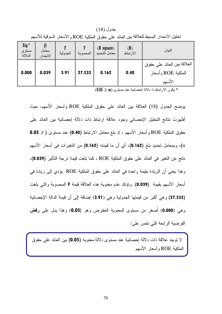جدول (18) تحليل الانحدار البسيط للعلاقة بين العائد على حقو ق الملكية ROE و الأسعار السوقية للأسهم

| $\int$ sig. $*$<br>مستوى<br>الدلالة | ß<br>معامل<br>الانحدار | الجدولية | المحسوبة | $(R \space square)$<br>معامل التحديد | (R)<br>الارتباط | البيان                                                       |
|-------------------------------------|------------------------|----------|----------|--------------------------------------|-----------------|--------------------------------------------------------------|
| 0.000                               | 0.039                  | 3.91     | 27.533   | 0.162                                | 0.40            | العلاقة بين العائد على حقوق<br>الملكية ROE و أسعار<br>الأسهم |

 $(0.05 \geq \alpha)$  يكون الارتباط ذا دلالة إحصائية عند مستوى  $\alpha$ 

بوضح الجدول (18) العلاقة بين العائد على حقوق الملكية ROE وأسعار الأسهم، حيث أظهرت نتائج التحليل الإحصائي وجود علاقة ارتباط ذات دلالة إحصائية بين العائد على حقوق الملكية ROE وأسعار الأسهم ، إذ بلغ معامل الارتباط (0.40) عند مستوى ( ≤ 0.05 α)، وبمعامل تحديد بلغ (0.162)، أي أن ما قيمته (0.162) من التغيرات في أسعار الأسهم ناتج عن التغير في العائد على حقوق الملكية ROE ، كما بلغت قيمة درجة التأثير (0.039)، وهذا يعني أن الزيادة بقيمة واحدة في العائد على حقوق الملكية ROE يؤدي إلى زيادة في أسعار الأسهم بقيمة (0.039). وتؤكد عدم معنوية هذه العلاقة قيمة F المحسوبة والتي بلغت (27.533) وهي أكبر من فيمتها الجدولية وهي (3.91) إضافة إلى أن فيمة الدالة الإحصائية وهي (0.000) أصغر من مستوى المعنوية المفترض وهو (0.05) وهذا يدل على **رفض** الفرضية الرابعة التي نتص على:

لا نوجد علاقة ذات دلالة إحصائية عند مستوى دلالة معنوية (0.05) بين العائد على حقوق الملكية ROE وأسعار الأسهم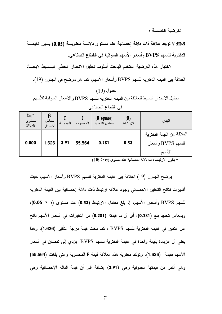الفرضية الخامسة :

H0-5: لا توجد علاقة ذات دلالة إحصائية عند مستوى دلالة معنوية (0.05) بـين القيمـــة الدفترية للسهم BVPS و أسعار الأسهم السوقية في القطاع الصناعي.

لاختبار هذه الفرضية استخدم الباحث أسلوب تحليل الانحدار الخطي البسبيط لإيجاد العلاقة بين القيمة الدفترية للسهم BVPS وأسعار الأسهم، كما هو موضح في الجدول (19).

## جدول (19) تحليل الانحدار البسيط للعلاقة بين القيمة الدفتر ية للسهم BVPS و الأسعار السوقية للأسهم في القطاع الصناعي

| Sig.*<br>مستوى<br>الدلالة | معامل<br>الانحدار | الجدولية | المحسوبة | $(R \space square)$<br>معامل التحديد | (R)<br>الارتباط | البيان                                                      |
|---------------------------|-------------------|----------|----------|--------------------------------------|-----------------|-------------------------------------------------------------|
| 0.000                     | 1.626             | 3.91     | 55.564   | 0.281                                | 0.53            | العلاقة بين القيمة الدفتر ية<br>للسهم BVPS وأسعار<br>الأسهم |

 $0.05 \geq \alpha$ ) يكون الارتباط ذات دلالة إحصائية عند مستوى  $\alpha$ 

بوضح الجدول (19) العلاقة بين القيمة الدفترية للسهم BVPS وأسعار الأسهم، حيث أظهرت نتائج التحليل الإحصائي وجود علاقة ارتباط ذات دلالة إحصائية بين القيمة الدفترية للسهم BVPS وأسعار الأسهم، إذ بلغ معامل الارتباط (0.53) عند مستوى (0.0 ≤ 0.05)، وبمعامل تحديد بلغ (0.281)، أي أن ما قيمته (0.281) من التغيرات في أسعار الأسهم ناتج عن التغير في القيمة الدفترية للسهم BVPS ، كما بلغت قيمة درجة التأثير (1.626)، وهذا يعني أن الزيادة بقيمة واحدة في القيمة الدفترية للسهم BVPS يؤدي إلى نقصان في أسعار الأسهم بقيمة (1.626). وتؤكد معنوية هذه العلاقة قيمة F المحسوبة والتي بلغت (55.564) وهي أكبر من قيمتها الجدولية وهي (3.91) إضافة إلى أن قيمة الدالة الإحصائية وهي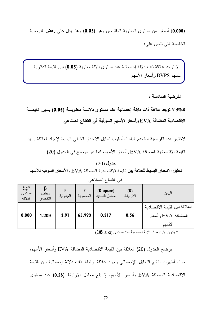(0.000) أصغر من مستوى المعنوية المفترض وهو (0.05) وهذا يدل على رفض الفرضية الخامسة التي نتص على:

لا توجد علاقة ذات دلالة إحصائية عند مستوى دلالة معنوية (0.05) بين القيمة الدفترية للسهم BVPS وأسعار الأسهم

H0-6: لا توجد علاقة ذات دلالة إحصائية عند مستوى دلالـــة معنويـــة (0.05) بـــين القيمـــة الاقتصادية المضافة EVA وأسعار الأسهم السوقية في القطاع الصناعي.

لاختبار هذه الفرضية استخدم الباحث أسلوب تحليل الانحدار الخطى البسيط لإيجاد العلاقة بسين

القيمة الاقتصادية المضافة EVA وأسعار الأسهم، كما هو موضح في الجدول (20).

جدول (20) تحليل الانحدار البسيط للعلاقة بين القيمة الاقتصادية المضافة EVA و الأسعار السوقية للأسهم

| $Sig.*$<br>مستوى<br>الدلالة | معامل<br>الانحدار | الجدولية | المحسوبة | $(R \space square)$<br>معامل التحديد | (R)<br>الارتباط | البيان                                                         |
|-----------------------------|-------------------|----------|----------|--------------------------------------|-----------------|----------------------------------------------------------------|
| 0.000                       | 1.209             | 3.91     | 65.993   | 0.317                                | 0.56            | العلاقة بين القيمة الاقتصادية<br>المضافة EVA و أسعار<br>الأسهم |

في القطاع الصناعي

 $(0.05 \geq \alpha)$  يكون الارتباط ذا دلالة إحصائية عند مستوى  $\alpha$ 

يوضح الجدول (20) العلاقة بين القيمة الاقتصادية المضافة EVA وأسعار الأسهم، حيث أظهرت نتائج التحليل الإحصائي وجود علاقة ارتباط ذات دلالة إحصائية بين القيمة الاقتصادية المضافة EVA وأسعار الأسهم، إذ بلغ معامل الارتباط (0.56) عند مستوى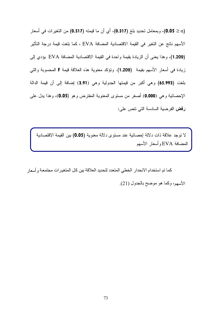(0.05 ≥ 0.05)، وبمعامل تحديد بلغ (0.317)، أي أن ما قيمته (0.317) من التغيرات في أسعار الأسهم ناتج عن التغير في القيمة الاقتصادية المضافة EVA ، كما بلغت قيمة درجة التأثير (1.209)، وهذا يعني أن الزيادة بقيمة و احدة في القيمة الاقتصادية المضافة EVA يؤدي إلى زيادة في أسعار الأسهم بقيمة (1.209). وتؤكد معنوية هذه العلاقة قيمة F المحسوبة والتي بلغت (5.993) وهي أكبر من قيمتها الجدولية وهي (3.91) إضافة إلى أن قيمة الدالة الإحصائية وهي (0.000) أصغر من مستوى المعنوية المفترض وهو (0.05)، وهذا يدل علي **رفض** الفرضية السادسة التي تتص على:

لا توجد علاقة ذات دلالة إحصائية عند مستوى دلالة معنوية (0.05) بين القيمة الاقتصادية المضافة EVA وأسعار الأسهم

كما تم استخدام الانحدار ِ الخطي المتعدد لتحديد العلاقة بين كل المتغير ات مجتمعـة و أسعار الأسهم، وكما هو موضح بالجدول (21).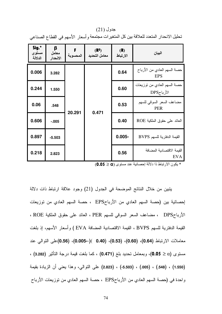| Sig.*<br>مستوى<br>الدلالة | β<br>معامل<br>الانحدار | المحسوبة | (R <sup>2</sup> )<br>معامل التحديد | (R)<br>الارتباط | البيان                                     |
|---------------------------|------------------------|----------|------------------------------------|-----------------|--------------------------------------------|
| 0.006                     | 3.282                  |          |                                    | 0.64            | حصنة السهم العادي من الأرباح<br><b>EPS</b> |
| 0.244                     | 1.550                  |          |                                    | 0.60            | حصة السهم العادي من نوزيعات<br>الأرباحDPS  |
| 0.06                      | .548                   | 20.291   | 0.471                              | 0.53            | مضاعف السعر السوقى للسهم<br><b>PER</b>     |
| 0.606                     | $-0.005$               |          |                                    | 0.40            | العائد على حقوق الملكية ROE                |
| 0.897                     | $-5.503$               |          |                                    | $0.005 -$       | القيمة الدفترية للسهم BVPS                 |
| 0.218                     | 2.823                  |          |                                    | 0.56            | القيمة الاقتصادية المضافة<br><b>EVA</b>    |

جدول (21) تحليل الانحدار المتعدد للعلاقة بين كل المتغيرات مجتمعة وأسعار الأسهم في القطاع الصناعي

 $(0.05 \geq \alpha)$  بكون الار تباط ذا دلالة إحصائية عند مستوى  $\alpha$ 

يتبين من خلال النتائج الموضحة في الجدول (21) وجود علاقة ارتباط ذات دلالة إحصائية بين (حصة السهم العادي من الأرباحEPS ، حصة السهم العادي من توزيعات الأرباحDPS ، مضاعف السعر السوقي للسهم PER ، العائد على حقوق الملكية ROE ، القيمة الدفترية للسهم BVPS ، القيمة الاقتصادية المضافة EVA ) وأسعار الأسهم، إذ بلغت معاملات الارتباط (0.64)، (0.60)، (0.53)، (0.40 )(--0.005)، (0.56)على التوالي عند  $\alpha$  مستوى (20 $\alpha \geq 0.05$ )، وبمعامل تحديد بلغ (0.471) ، كما بلغت قيمة درجة التأثير (3.282) "B )5 &1, \$ -& (**2.823** -) (**-5.503** -) (**.005** -) (**.548** -) (**1.550**) واحدة في (حصة السهم العادي من الأرباحEPS ، حصة السهم العادي من توزيعات الأرباح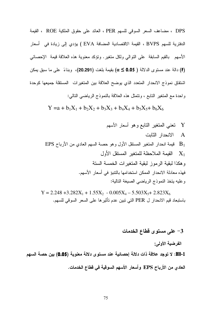DPS ، مضاعف السعر السوقي للسهم PER ، العائد على حقوق الملكية ROE ، القيمة الدفترية للسهم BVPS ، القيمة الاقتصادية المضافة EVA ) يؤدي إلى زيادة في أسعار الأسهم بالقيم السابقة على النوالي ولكل متغير . ونؤكد معنوية هذه العلاقة قيمة الإحصائي (F) دالة عند مستوى الدلالة ( 0.05 € a) بقيمة بلغت (20.291)، وبناءً على ما سبق يمكن اشتقاق نموذج الانحدار المتعدد الذي يوضح العلاقة بين المتغيرات المستقلة جميعها كوحدة واحدة مع المنغير النابع ، ونتمثَّل هذه العلاقة بالنموذج الرياضي النالبي:

 $Y = a + b_1X_1 + b_2X_2 + b_3X_3 + b_4X_4 + b_5X_5 + b_6X_6$ 

 $Y = 2.248 + 3.282X_1 + 1.55X_2 - 0.005X_4 - 5.503X_5 + 2.823X_6$ باستبعاد قيم الانحدار ل PER التي تبين عدم تأثيرها على السعر السوقي للسهم.

#### 3- على مستوى فطاع الخدمات

الفرضبة الأولى:

H0-1: لا توجد علاقة ذات دلالة إحصائية عند مستوى دلالة معنوية (0.05) بين حصة السهم العادى من الأرباح EPS وأسعار الأسهم السوقية في قطاع الخدمات.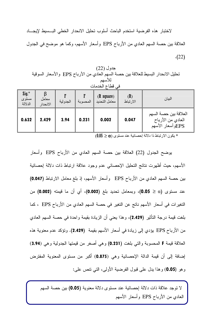لاختبار هذه الفرضية استخدم الباحث أسلوب تحليل الانحدار الخطى البسبيط لإيجساد العلاقة بين حصة السهم العادي من الأرباح EPS وأسعار الأسهم، وكما هو موضح في الجدول  $(22)$ 

جدول (22) تحليل الانحدار البسيط للعلاقة بين حصة السهم العادي من الأرباح EPS والأسعار السوقية للأسهم في قطاع الخدمات

| $\int$ Sig. $*$<br>مستوى<br>الدلالة | معامل<br>الانحدار | الجدولية | المحسوبة | $(R \space square)$<br>معامل التحديد | (R)<br>الارتباط | البيان                                                          |
|-------------------------------------|-------------------|----------|----------|--------------------------------------|-----------------|-----------------------------------------------------------------|
| 0.632                               | 2.429             | 3.94     | 0.231    | 0.002                                | 0.047           | العلاقة بين حصنة السهم<br>العادي من الأرباح<br>EPSوأسعار الأسهم |

 $(0.05 \geq \alpha)$  يكون الارتباط ذا دلالة إحصائية عند مستوى  $\alpha$ 

يوضح الجدول (22) العلاقة بين حصة السهم العادي من الأرباح EPS وأسعار الأسهم، حيث أظهرت نتائج التحليل الإحصائبي عدم وجود علاقة ارتباط ذات دلالة إحصائية بين حصة السهم العادي من الأرباح EPS وأسعار الأسهم، إذ بلغ معامل الارتباط (0.047) عند مستوى (0.0 ≤ 0.05)، وبمعامل تحديد بلغ (0.002)، أي أن ما قيمته (0.002) من التغيرات في أسعار الأسهم ناتج عن التغير في حصة السهم العادي من الأرباح EPS ، كما بلغت قيمة درجة النأثير (2.429)، وهذا يعني أن الزيادة بقيمة واحدة في حصـة السهم العادي من الأرباح EPS يؤدي إلى زيادة في أسعار الأسهم بقيمة (2.429). وتؤكد عدم معنوية هذه العلاقة قيمة F المحسوبة والتي بلغت (0.231) وهي أصغر من قيمتها الجدولية وهي (3.94) إضافة إلى أن قيمة الدالة الإحصائية وهي (0.875) أكبر من مستوى المعنوية المفترض وهو (0.05) وهذا يدل على قبول الفرضية الأولى، التي نتص علم :

لا توجد علاقة ذات دلالة إحصائية عند مستوى دلالة معنوية (0.05) بين حصنة السهم العادي من الأرباح EPS وأسعار الأسهم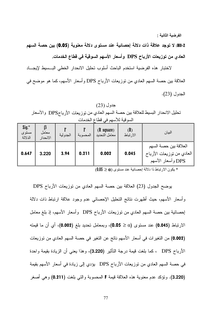الفرضية الثانية :

H0-2: لا توجد علاقة ذات دلالة إحصائية عند مستوى دلالة معنوية (0.05) بين حصة السهم العادي من توزيعات الأرباح DPS وأسعار الأسهم السوقية في قطاع الخدمات.

لاختبار هذه الفرضية استخدم الباحث أسلوب تحليل الانحدار الخطى البسبيط لإيجساد العلاقة بين حصة السهم العادي من توزيعات الأرباح DPS وأسعار الأسهم، كما هو موضح في الجدول (23).

جدول (23) تحليل الانحدار البسيط للعلاقة بين حصة السهم العادي من توزيعات الأرباحDPS والأسعار السو قية للأسهم في قطاع الخدمات

| $\int$ sig. $*$<br>مستوى<br>الدلالة | معامل<br>الانحدار | الجدولية | المحسوبة | $(R \space square)$<br>معامل التحديد | (R)<br>الارتباط | البيان                                                                  |
|-------------------------------------|-------------------|----------|----------|--------------------------------------|-----------------|-------------------------------------------------------------------------|
| 0.647                               | 3.220             | 3.94     | 0.211    | 0.002                                | 0.045           | العلاقة بين حصة السهم<br>العادي من نوزيعات الأرباح<br>DPS وأسعار الأسهم |

 $(0.05 \geq \alpha)$  يكون الارتباط ذا دلالة إحصائية عند مستوى  $\alpha$ 

يوضح الجدول (23) العلاقة بين حصة السهم العادي من توزيعات الأرباح DPS وأسعار الأسهم، حيث أظهرت نتائج التحليل الإحصائي عدم وجود علاقة ارتباط ذات دلالة إحصائية بين حصة السهم العادي من توزيعات الأرباح DPS وأسعار الأسهم، إذ بلغ معامل الارتباط (0.045) عند مستوى (0.0 ≤ 0.05)، وبمعامل تحديد بلغ (0.002)، أي أن ما قيمته (0.002) من التغير ات في أسعار الأسهم ناتج عن التغير في حصة السهم العادي من توزيعات الأرباح DPS ، كما بلغت فيمة درجة النأثير (3.220)، وهذا يعني أن الزيادة بقيمة واحدة في حصنة السهم العادي من توزيعات الأرباح DPS يؤدي إلى زيادة في أسعار الأسهم بقيمة (3.220). وتؤكد عدم معنوية هذه العلاقة قيمة F المحسوبة والتي بلغت (0.211) وهي أصغر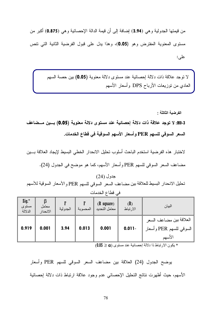من قيمتها الجدولية وهي (3.94) إضافة إلى أن قيمة الدالة الإحصائية وهي (0.875) أكبر من مستوى المعنوية المفترض وهو (0.05)، وهذا يدل على قبول الفرضية الثانية التي نتص عليے:

لا نوجد علاقة ذات دلالة إحصائية عند مستوى دلالة معنوية (0.05) بين حصة السهم العادي من نوزيعات الأرباح DPS وأسعار الأسهم

الفرضبة الثالثة :

3-H0: لا توجد علاقة ذات دلالة إحصائية عند مستوى دلالة معنوية (0.05) بسين مسضاعف السعر السوقي للسهم PER وأسعار الأسهم السوقية في قطاع الخدمات.

لاختبار هذه الفرضية استخدم الباحث أسلوب تحليل الانحدار الخطى البسيط لإيجاد العلاقة بسين مضاعف السعر السوقي للسهم PER وأسعار الأسهم، كما هو موضح في الجدول (24).

جدو ل (24) تحليل الانحدار البسيط للعلاقة بين مضاعف السعر السوقي للسهم PER والأسعار السوقية للأسهم

| $Sig.*$<br>مستوى<br>الدلالة | معامل<br>الانحدار | الجدولية | المحسوبة | $(R \space square)$<br>معامل التحديد | (R)<br>الارتباط | البيان                                                       |
|-----------------------------|-------------------|----------|----------|--------------------------------------|-----------------|--------------------------------------------------------------|
| 0.919                       | 0.001             | 3.94     | 0.013    | 0.001                                | $0.011 -$       | العلاقة بين مضاعف السعر<br>السوقي للسهم PER وأسعار<br>الأسهم |

في قطاع الخدمات

 $(0.05 \geq \alpha)$  يكون الارتباط ذا دلالة إحصائية عند مستوى  $\alpha$ 

يوضح الجدول (24) العلاقة بين مضاعف السعر السوفي للسهم PER وأسعار الأسهم، حيث أظهرت نتائج التحليل الإحصائي عدم وجود علاقة ارتباط ذات دلالة إحصائية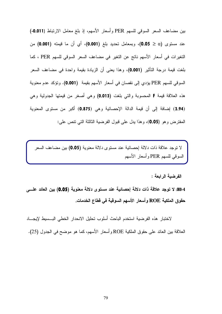بين مضاعف السعر السوقي للسهم PER وأسعار الأسهم، إذ بلغ معامل الارتباط (0.011-) عند مستوى (0.0 ≤ 0.05)، وبمعامل تحديد بلغ (0.001)، أي أن ما قيمته (0.001) من التغيرات في أسعار الأسهم ناتج عن التغير في مضاعف السعر السوفي للسهم PER ، كما بلغت قيمة درجة النأثير (0.001)، وهذا يعني أن الزيادة بقيمة واحدة في مضاعف السعر السوقي للسهم PER يؤدي إلى نقصان في أسعار الأسهم بقيمة (0.001). وتؤكد عدم معنوية هذه العلاقة قيمة F المحسوبة والتي بلغت (0.013) وهي أصغر من قيمتها الجدولية وهي (3.94) إضافة إلى أن قيمة الدالة الإحصائية وهي (0.875) أكبر من مستوى المعنوية المفترض وهو (0.05)، وهذا يدل على قبول الفرضية الثالثة التي نتص على:

لا نوجد علاقة ذات دلالة إحصائية عند مستوى دلالة معنوية (0.05) بين مضاعف السعر السوفي للسهم PER وأسعار الأسهم

الفرضية الرابعة :

H0-4: لا توجد علاقة ذات دلالة إحصائية عند مستوى دلالة معنوية (0.05) بين العائد علـــى حقوق الملكية ROE وأسعار الأسهم السوقية فى قطاع الخدمات.

لاختبار هذه الفرضية استخدم الباحث أسلوب تحليل الانحدار الخطى البسبيط لإيجـــاد العلاقة بين العائد على حقوق الملكية ROE و أسعار الأسهم، كما هو موضح في الجدول (25).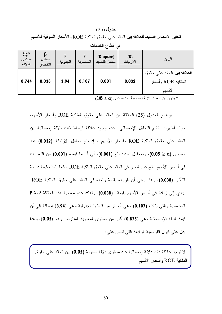جدول (25) تحليل الانحدار البسيط للعلاقة بين العائد على حقوق الملكية ROE و الأسعار السوقية للأسهم

|                             | في فطاع الخدمات   |          |          |                                      |                 |                                                              |  |  |  |
|-----------------------------|-------------------|----------|----------|--------------------------------------|-----------------|--------------------------------------------------------------|--|--|--|
| $Sig.*$<br>مستوى<br>الدلالة | معامل<br>الانحدار | الجدولية | المحسوبة | $(R \space square)$<br>معامل التحديد | (R)<br>الارتباط | البيان                                                       |  |  |  |
| 0.744                       | 0.038             | 3.94     | 0.107    | 0.001                                | 0.032           | العلاقة بين العائد على حقوق<br>الملكية ROE و أسعار<br>الأسهم |  |  |  |

 $(0.05 \geq \alpha)$  بكون الارتباط ذا دلالة إحصائية عند مستوى  $\alpha$ 

يوضح الجدول (25) العلاقة بين العائد على حقوق الملكية ROE وأسعار الأسهم، حيث أظهرت نتائج التحليل الإحصائي عدم وجود علاقة ارتباط ذات دلالة إحصائية بين العائد على حقوق الملكية ROE وأسعار الأسهم ، إذ بلغ معامل الارتباط (0.032) عند مستوى (0.05 0.05)، وبمعامل تحديد بلغ (0.001)، أي أن ما قيمته (0.001) من التغيرات في أسعار الأسهم ناتج عن التغير في العائد على حقوق الملكية ROE ، كما بلغت قيمة درجة التَأْثِيرِ (0.038)، وهذا يعني أن الزيادة بقيمة واحدة في العائد على حقوق الملكية ROE يؤدي إلى زيادة في أسعار الأسهم بقيمة (0.038). وتؤكد عدم معنوية هذه العلاقة قيمة F المحسوبة والتي بلغت (0.107) وهي أصغر من قيمتها الجدولية وهي (3.94) إضافة إلى أن قيمة الدالة الإحصائية وهي (0.875) أكبر من مستوى المعنوية المفترض وهو (0.05)، وهذا بدل على قبول الفر ضبة الر ابعة التي نتص على:

لا نوجد علاقة ذات دلالة إحصائية عند مستوى دلالة معنوية (0.05) بين العائد على حقوق الملكية ROE وأسعار الأسهم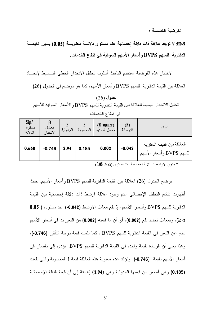الفرضية الخامسة :

H0-5: لا توجد علاقة ذات دلالة إحصائية عند مستوى دلالة معنوية (0.05) بـين القيمـــة الدفترية للسهم BVPS و أسعار الأسهم السوقية في قطاع الخدمات.

لاختبار هذه الفرضية استخدم الباحث أسلوب تحليل الانحدار الخطى البسبط لإيجساد العلاقة بين القيمة الدفترية للسهم BVPS وأسعار الأسهم، كما هو موضح في الجدول (26).

جدول (26) تحليل الانحدار البسيط للعلاقة بين القيمة الدفتر ية للسهم BVPS و الأسعار السوقية للأسهم

| $Sig.*$<br>مستوى<br>الدلالة | معامل<br>الانحدار | الجدولية | المحسوبة | $(R \space square)$<br>معامل التحديد | (R)<br>الارتباط | البيان                                                  |
|-----------------------------|-------------------|----------|----------|--------------------------------------|-----------------|---------------------------------------------------------|
| 0.668                       | $-0.746$          | 3.94     | 0.185    | 0.002                                | $-0.042$        | العلاقة بين القيمة الدفترية<br>للسهم BVPS وأسعار الأسهم |

في قطاع الخدمات

 $(0.05 \geq \alpha)$  يكون الارتباط ذا دلالة إحصائية عند مستوى  $\alpha$ 

يوضح الجدول (26) العلاقة بين القيمة الدفترية للسهم BVPS وأسعار الأسهم، حيث أظهرت نتائج التحليل الإحصائي عدم وجود علاقة ارتباط ذات دلالة إحصائية بين القيمة الدفترية للسهم BVPS وأسعار الأسهم، إذ بلغ معامل الارتباط (0.042-) عند مستوى ( 0.05 ، وبمعامل تحديد بلغ (0.002)، أي أن ما قيمته (0.002) من التغير ات في أسعار الأسهم) > </ ناتج عن التغير في القيمة الدفترية للسهم BVPS ، كما بلغت قيمة درجة التأثير (0.746-)، وهذا يعني أن الزيادة بقيمة واحدة في القيمة الدفترية للسهم BVPS يؤدي إلى نقصان في أسعار الأسهم بقيمة (0.746-). وتؤكد عدم معنوية هذه العلاقة قيمة F المحسوبة والتي بلغت (0.185) وهي أصغر من فيمتها الجدولية وهي (3.94) إضافة إلى أن فيمة الدالة الإحصائية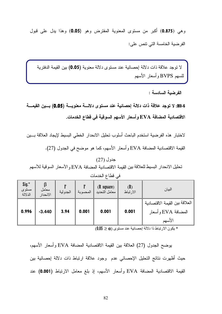وهي (0.875) أكبر من مستوى المعنوية المفترض وهو (0.05) وهذا يدل على قبول الفرضية الخامسة التي تتص على:

لا توجد علاقة ذات دلالة إحصائية عند مستوى دلالة معنوية (0.05) بين القيمة الدفترية للسهم BVPS وأسعار الأسهم

الفرضية السادسة :

H0-6: لا توجد علاقة ذات دلالة إحصائية عند مستوى دلالـــة معنويـــة (0.05) بـــين القيمـــة الاقتصادية المضافة EVA وأسعار الأسهم السوقية في قطاع الخدمات.

لاختبار هذه الفرضية استخدم الباحث أسلوب تحليل الانحدار الخطى البسيط لإيجاد العلاقة بسين

القيمة الاقتصادية المضافة EVA وأسعار الأسهم، كما هو موضح في الجدول (27).

جدول (27) تحليل الانحدار البسيط للعلاقة بين القيمة الاقتصادية المضافة EVA و الأسعار السوقية للأسهم

| $Sig.*$<br>مستوى<br>الدلالة | معامل<br>الانحدار | الجدولية | المحسوبة | $(R \space square)$<br>معامل التحديد | (R)<br>الارتباط | البيان                                                         |
|-----------------------------|-------------------|----------|----------|--------------------------------------|-----------------|----------------------------------------------------------------|
| 0.996                       | $-3.440$          | 3.94     | 0.001    | 0.001                                | 0.001           | العلاقة بين القيمة الاقتصادية<br>المضافة EVA و أسعار<br>الأسهم |

في قطاع الخدمات

 $(0.05 \geq \alpha)$  يكون الارتباط ذا دلالة إحصائية عند مستوى  $\alpha$ 

بوضح الجدول (27) العلاقة بين القيمة الاقتصادية المضافة EVA وأسعار الأسهم، حيث أظهرت نتائج التحليل الإحصائي عدم وجود علاقة ارتباط ذات دلالة إحصائية بين القيمة الاقتصادية المضافة EVA وأسعار الأسهم، إذ بلغ معامل الارتباط (0.001) عند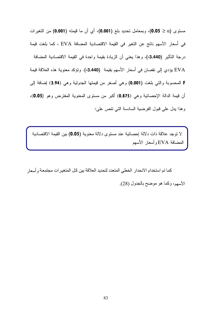مستوى (0.0 ≤ 0.05)، وبمعامل تحديد بلغ (0.001)، أي أن ما قيمته (0.001) من التغيرات في أسعار الأسهم ناتج عن التغير في القيمة الاقتصادية المضافة EVA ، كما بلغت قيمة درجة التأثير (3.440-)، وهذا يعني أن الزيادة بقيمة واحدة في القيمة الاقتصادية المضافة EVA يؤدي إلى نقصان في أسعار الأسهم بقيمة (3.440-). وتؤكد معنوية هذه العلاقة قيمة F المحسوبة والتي بلغت (0.001) وهي أصغر من قيمتها الجدولية وهي (3.94) إضافة إلى أن قيمة الدالة الإحصائية وهي (0.875) أكبر من مستوى المعنوية المفترض وهو (0.05)، وهذا يدل على قبول الفرضية السادسة التي نتص على:

لا توجد علاقة ذات دلالة إحصائية عند مستوى دلالة معنوية (0.05) بين القيمة الاقتصادية المضبافة EVA و أسعار الأسهم

كما تم استخدام الانحدار الخطي المتعدد لتحديد العلاقة بين كل المتغيرات مجتمعة و أسعار الأسهم، وكما هو موضح بالجدول (28).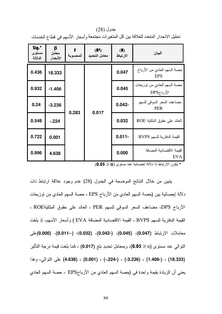جدول (28) تحليل الانحدار المتعدد للعلاقة بين كل المتغيرات مجتمعة و أسعار الأسهم في قطاع الخدمات

| Sig.*<br>مستوى<br>الدلالة | β<br>معامل<br>الانحدار | المحسوبة | (R <sup>2</sup> )<br>معامل التحديد | (R)<br>الارتباط | البيان                                     |           |                            |
|---------------------------|------------------------|----------|------------------------------------|-----------------|--------------------------------------------|-----------|----------------------------|
| 0.436                     | 18.333                 |          |                                    | 0.047           | حصنة السهم العادي من الأرباح<br><b>EPS</b> |           |                            |
| 0.932                     | $-1.406$               |          |                                    | 0.045           | حصة السهم العادي من نوزيعات<br>الأرباحDPS  |           |                            |
| 0.24                      | $-3.236$               | 0.283    |                                    | $0.042 -$       | مضاعف السعر السوقى للسهم<br><b>PER</b>     |           |                            |
| 0.548                     | $-224$                 |          | 0.017                              | 0.032           | العائد على حقوق الملكية ROE                |           |                            |
| 0.722                     | 0.001                  |          |                                    |                 |                                            | $0.011 -$ | القيمة الدفترية للسهم BVPS |
| 0.996                     | 4.638                  |          |                                    | 0.000           | القيمة الاقتصادية المضافة<br><b>EVA</b>    |           |                            |

 $(0.05 \geq \alpha)$  بكون الار تباط ذا دلالة إحصائية عند مستوى  $\alpha$ 

يتبين من خلال النتائج الموضحة في الجدول (28) عدم وجود علاقة ارتباط ذات دلالة إحصائية بين (حصة السهم العادي من الأرباح EPS ، حصة السهم العادي من توزيعات الأرباح DPS، مضاعف السعر السوفي للسهم PER ، العائد على حقوق الملكيةROE ، القيمة الدفترية للسهم BVPS ، القيمة الاقتصادية المضافة EVA ) وأسعار الأسهم، إذ بلغت (**0.000** -) (**0.011-**-) ،(**0.032** -) (**0.042-** -) (**0.045** -) (**0.047**) ! G, النوال<sub>ّ</sub>ى عند مستوى (0.05 **0.05)**، وبمعامل تحديد بلغ (0.017) ، كما بلغت قيمة درجة التأثير \$ -& (**4.638** -) (**0.001** -) (**-.224-** -) (**-3.236** -) (**1.406-** -) (**18.333**) يعني أن الزيادة بقيمة وإحدة في (حصة السهم العادي من الأرباحEPS ، حصة السهم العادي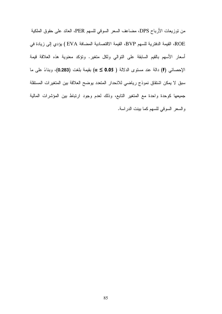من نوزيعات الأرباح DPS، مضاعف السعر السوفي للسهم PER، العائد على حقوق الملكية ROE، القيمة الدفترية للسهم BVP، القيمة الاقتصادية المضافة EVA ) يؤدي إلى زيادة في أسعار الأسهم بالقيم السابقة على النوالي ولكل متغير. وتؤكد معنوية هذه العلاقة قيمة الإحصائي (F) دالة عند مستوى الدلالة ( 0.05 ≥ a) بقيمة بلغت (0.283)، وبناءً على ما سبق لا يمكن اشتقاق نموذج رياضي للانحدار المتعدد يوضح العلاقة بين المتغيرات المستقلة جميعها كوحدة واحدة مع المتغير التابع، وذلك لعدم وجود ارتباط بين المؤشرات المالية والسعر السوقي للسهم كما بينت الدراسة.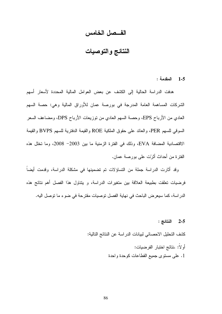### الفــصل الخامس

النتائج والتوصيات

المقدمة :  $1 - 5$ 

هدفت الدراسة الحالية إلى الكشف عن بعض العوامل المالية المحددة لأسعار أسهم الشركات المساهمة العامة المدرجة في بورصة عمان للأوراق المالية وهي: حصة السهم العادي من الأرباح EPS، وحصة السهم العادي من نوزيعات الأرباح DPS، ومضاعف السعر السوقي للسهم PER، والعائد على حقوق الملكية ROE والقيمة الدفترية للسهم BVPS والقيمة الاقتصادية المضافة EVA، وذلك في الفترة الزمنية ما بين 2003– 2008، وما تخلل هذه الفتر ة من أحداث أثر ّت علي بور صنة عمان.

وقد أثارت الدراسة جملة من التساؤلات تم تضمينها في مشكلة الدراسة، وقدمت أيضاً فرضيات تعلقت بطبيعة العلاقة بين متغيرات الدراسة، و يتناول هذا الفصل أهم نتائج هذه الدراسة، كما سيعرض الباحث في نهاية الفصل توصيات مقترحة في ضوء ما توصل اليه.

2-5 النتائج :

كشف التحليل الاحصائي لبيانات الدر اسة عن النتائج التالية:

أو لاً: .نتائج اختبار الفر ضبيات: 1. على مسنوى جميع القطاعات كوحدة واحدة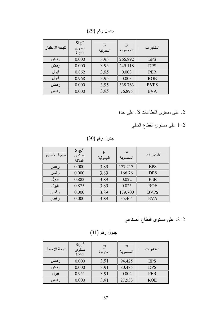جدول رقم (29)

| نتيجة الاختبار | $Sig.*$<br>مستوى<br>الدلالة | $\mathbf F$<br>الجدولية | $\mathbf F$<br>المحسوبة | المتغير ات  |
|----------------|-----------------------------|-------------------------|-------------------------|-------------|
| رفض            | 0.000                       | 3.95                    | 266.892                 | <b>EPS</b>  |
| رفض            | 0.000                       | 3.95                    | 249.118                 | <b>DPS</b>  |
| قبول           | 0.862                       | 3.95                    | 0.003                   | <b>PER</b>  |
| قبول           | 0.968                       | 3.95                    | 0.003                   | <b>ROE</b>  |
| رفض            | 0.000                       | 3.95                    | 338.763                 | <b>BVPS</b> |
| رفض            | 0.000                       | 3.95                    | 76.895                  | <b>EVA</b>  |

### 2. على مستوى القطاعات كل على حدة

2–1 على مسنوى القطاع المالي

جدول رقم (30)

| نتيجة الاختبار | $Sig.*$<br>مستوى<br>الدلالة | F<br>الجدو لية | F<br>المحسوبة | المتغير ات  |
|----------------|-----------------------------|----------------|---------------|-------------|
| رفض            | 0.000                       | 3.89           | 177.217.      | <b>EPS</b>  |
| رفض            | 0.000                       | 3.89           | 166.76        | <b>DPS</b>  |
| قبول           | 0.883                       | 3.89           | 0.022         | <b>PER</b>  |
| قبول           | 0.875                       | 3.89           | 0.025         | <b>ROE</b>  |
| رفض            | 0.000                       | 3.89           | 179.700       | <b>BVPS</b> |
| رفض            | 0.000                       | 3.89           | 35.464        | <b>EVA</b>  |

2-2. على مستوى القطاع الصناعي

جدول رقم (31)

| نتيجة الاختبار | $Sig.*$<br>مستوى<br>الدلالة | الجدولية | $\mathbf F$<br>المحسوبة | المتغير ات |
|----------------|-----------------------------|----------|-------------------------|------------|
| رفض            | 0.000                       | 3.91     | 94.425                  | <b>EPS</b> |
| رفض            | 0.000                       | 3.91     | 80.485                  | <b>DPS</b> |
| قبول           | 0.951                       | 3.91     | 0.004                   | <b>PER</b> |
| لفض            | 0.000                       | 3.91     | 27.533                  | <b>ROE</b> |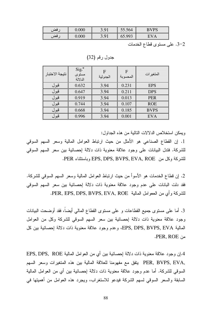| فضد | 000 | $\Omega$<br><u>J.Ji</u> | 55.564               | <b>BVPS</b> |
|-----|-----|-------------------------|----------------------|-------------|
| فضد | 000 | $\Omega$                | QQ<br><u> UJ.JJJ</u> | $\Delta$    |

3-2. على مستوى قطاع الخدمات

جدول رقم (32)

| نتيجة الاختبار | $Sig.*$<br>مستوى<br>الدلالة | $\mathbf F$<br>الجدو لية | F<br>المحسوبة | المتغير ات  |
|----------------|-----------------------------|--------------------------|---------------|-------------|
| قبول           | 0.632                       | 3.94                     | 0.231         | <b>EPS</b>  |
| قبول           | 0.647                       | 3.94                     | 0.211         | <b>DPS</b>  |
| قبول           | 0.919                       | 3.94                     | 0.013         | <b>PER</b>  |
| قبول           | 0.744                       | 3.94                     | 0.107         | <b>ROE</b>  |
| قبول           | 0.668                       | 3.94                     | 0.185         | <b>BVPS</b> |
| قبول           | 0.996                       | 3.94                     | 0.001         | <b>EVA</b>  |

ويمكن استخلاص الدلالات التالية من هذه الجداول:

1. إن القطاع الصناعي هو الأمثل من حيث ارتباط العوامل المالية وسعر السهم السوقي للشركة. فتدل البيانات على وجود علاقة معنوية ذات دلالة إحصائية بين سعر السهم السوقي للشركة وكل من EPS, DPS, BVPS, EVA, ROE وباستثناء PER.

2. إن قطاع الخدمات هو الأسوأ من حيث ارتباط العوامل المالية وسعر السهم السوفي للشركة. فقد دلت البانات على عدم وجود علاقة معنوية ذات دلالة إحصائية بين سعر السهم السوقى للشركة وأي من الععوامل المالية PER, EPS, DPS, BVPS, EVA, ROE.

3. أما على مستوى جميع القطاعات و على مستوى القطاع المالي أيضاً، فقد أوضحت البيانات وجود علاقة معنوية ذات دلالة إحصائية بين سعر السهم السوقى للشركة وكل من العوامل المالية EPS, DPS, BVPS, EVA، وعدم وجود علاقة معنوية ذات دلالة إحصائية بين كل APER, ROE

4.إن وجود علاقة معنوية ذات دلالة إحصائية بين أي من العوامل المالية EPS, DPS, ROE ,PER, BVPS, EVA يتفق مع مفهومنا للعلاقة المالية بين هذه المتغيرات وسعر السهم السوقي للشركة. أما عدم وجود علاقة معنوية ذات دلالة اِحصائية بين أي من العوامل المالية السابقة والسعر السوقي لسهم الشركة فيدعو للاستغراب، ويجرد هذه العوامل من أهميتها في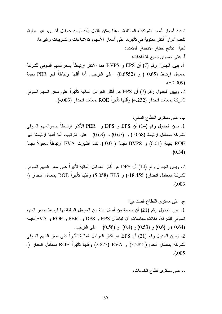تحديد أسعار أسهم الشركات المختلفة. وهنا بمكن القول بأنه توجد عوامل أخرى، غير مالية، نلعب أدوارًا أكثر معنوية في تأثيرها على أسعار الأسهم، كالإشاعات والتسريبات وغيرها. ثانياً: نتائج اختبار الانحدار المتعدد:

أ. علي مستوى جميع القطاعات:

1. يبين الجدول رقم (7) أن EPS و BVPS هما الأكثر ارتباطا بسعرالسهم السوقي للشركة بمعامل ارتباط (0.65 ) و (0.6552) على الترتيب. أما أقلها ارتباطا فهو PER بقيمة  $(-0.009)$ 

2. ويبين الجدول رقم (7) أن EPS هو أكثر العوامل المالية تأثيرا على سعر السهم السوقي للشركة بمعامل انحدار (4.232) وأقلها تأثيرا ROE بمعامل انحدار (003.-).

ب. علمي مستوى القطاع المالمي:

1. يبين الجدول رقم (14) أن EPS و DPS و PER الأكثر ارتباطا بسعرالسهم السوقي للشركة بمعامل ارتباط (0.68 ) و (0.67) و (0.69) على الترتيب. أما أقلها ارتباطا فهو ROE بقيمة (0.01) و BVPS بقيمة (0.01-). كما أظهرت EVA ارتباطاً معقولاً بقيمة  $(0.34)$ 

2. ويبين الجدول رقم (14) أن DPS هو أكثر العوامل المالية تأثيرا على سعر السهم السوقي للشركة بمعامل انحدار( 18.455-) و EPS (5.058) وأقلها تأثيرا ROE بمعامل انحدار (-.( .003

ج. على مستوى القطاع الصناعي: 1. يبين الجدول رقم (21) أن خمسة من أصل ستة من العوامل المالية لمها ارتباط بسعر السهم السوقي للشركة. فكانت معاملات الإرتباط ل EPS و PER و ROE و EVA و EVA و EVA (0.64 ) و (0.6) و (0.5) و (0.56) على النرنيب. 2. ويبين الجدول رقم (21) أن EPS هو أكثر العوامل المالية تأثيرا على سعر السهم السوقي للشركة بمعامل انحدار( 3.282) و EVA (2.823) وأقلها تأثيرا ROE بمعامل انحدار (-.( .005

د. علمي مستوى قطاع الخدمات: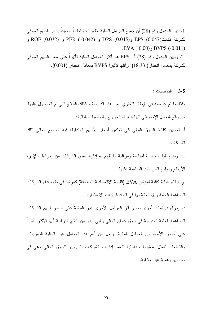1. يبين الجدول رقم (28) أن جميع العوامل المالية أظهرت ارتباطا ضعيفا بسعر السهم السوقي للشركة فكانت(0.047) BPS (0.045 و DPS (0.045 و ROE (0.032 و ROE (0.032 و  $EVA(0.00)$ , BVPS  $(-0.011)$ 

2. وبيبن الجدول رقم (28) أن EPS هو أكثر العوامل المالية تأثير اً على سعر السهم السوقي للشركة بمعامل انحدار( 18.33) وأقلها تأثيراً BVPS بمعامل انحدار (0.001).

3-5 التوصيات:

وفقًا لما نم عرضه في الإطار النظري ً من هذه الدراسة و كذلك النتائج التي نم الحصول عليها من و اقع التحليل الإحصائي للبيانات، تم الخر وج بالتوصيات التالية:

أ. تحسين كفاءة السوق المالي كي تعكس أسعار الأسهم المتداولة فيه الوضع المالي لتلك الشر كات.

ب. وضـع اَليات مناسبة لمنابعة ومراقبة ما نقوم به إدارة بعض الشركات من إجراءات لإدارة الأرباح ونوقيع الجز اءات المناسبة عليها.

ج. إيلاء عناية كافية لمؤشر EVA (القيمة الاقتصادية المضافة) كمرشد في نقييم أداء الشركات المساهمة العامة والاستعانة بها في اتخاذ قرارات الاستثمار.

د. إجراء دراسات أخرى تختبر أثر العوامل الأخرى غير المالية على أسعار أسهم الشركات المساهمة العامة المدرجة في سوق عمان المالي والتي يبدو من نتائج الدراسة أنها الأكثر تأثيرا على أسعار الأسهم من العوامل المالية. ولعل من أهم هذه العوامل غير المالية التسريبات والشائعات نتمثل بمعلومات داخلية نتعمد إدارات الشركات بتسريبها للسوق المالي وهي في معظمها وهمية غبر حقيقية.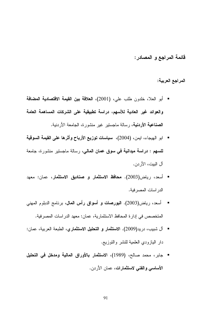قائمة المراجع و المصادر:

المراجع العربية:

- أبو العلا، خلدون طلب على، (2001)، العلاقة بين القيمة الاقتصادية المضافة والعوائد غير العادية للأسهم، دراسة تطبيقية على الشركات المساهمة العامة **الصناعية الأردنية**، رسالة ماجستير غير منشورة، الجامعة الأردنية.
- ابو الهيجاء، ايمن، (2004)، سياسات توزيع الأرباح وأثرها على القيمة السوقية للسهم : دراسة ميدانية في سوق عمان المالي، رسالة ماجستير منشورة، جامعة آل البيت، الأر دن.
- أسعد، رياض(2003). محافظ الاستثمار و **صناديق الاستثمار**، عمان: معهد الدر اسات المصر فية.
- أسعد، رياض(2003). ا**لنورصات و أسواق رأس المال**، برنامج الدبلوم المهنى المتخصص في إدارة المحافظ الاستثمارية، عمان: معهد الدراسات المصرفية.
- آل شبيب، دريد(2009). الا**ستثمار و التحليل الاستثماري**، الطبعة العربية، عمان: دار البازودي العلمية للنشر والتوزيع.
- جابر ، محمد صـالح، (1989)، الاستثمار بـالأوراق المالية ومدخل في التحليل الأساسي والفني لاستثمارات، عمان الأردن.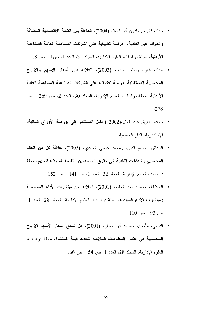- حداد، فايز، وخلدون أبو العلا، (2004)، العلاقة بين القيمة الاقتصادية المضافة والعوائد غير العادية، دراسة تطبيقية على الشركات المساهمة العامة الصناعية الأردنية، مجلة دراسات، العلوم الإدارية، المجلد 31، العدد 1، ص1 – ص 8,
- حداد، فايز، وسامر حداد، (2003)، ا**لـعلاقة بين أسعار الأسه**م والأ**رباح** المحاسبية المستقبلية، دراسة تطبيقية على الشركات الصناعية المساهمة العامة الأر**دنية**، مجلة در اسات، العلوم الإدارية، المجلد 30، العدد 2، ص 269 – ص .278
- حماد، طارق عبد العال،(2002 ) **دنيل المستثمر إلى بورصة الأوراق المالية**، الإسكندرية، الدار الجامعية..
- الخداش، حسام الدين، ومحمد عيسى العبادي، (2005)، علاقة كل من العائد المحاسبي والتدفقات النقدية إلى حقوق المساهمين بالقيمة السوقية للسهم، مجلة  $\sim 152$  در اسات، العلوم الإدارية، المجلد 32، العدد 1، ص 141 – ص
- الخلايلة، محمود عبد الحليم، (2001)، العلاقة بين مؤشرات الأداء المحاسبية ومؤشرات الأداء السوقية، مجلة در اسات، العلوم الإدارية، المجلد 28، العدد 1،  $.110 - 93$  ص
- الدبعي، مأمون، ومحمد أبو نصار، (2001)، هل ت**سبق أسعار الأسه**م الأ**رباح المحاسبية ف***ى* **عكس المعلومات الملائمة لتحديد قيمة المنشأة**، مجلة دراسات، العلوم الإدارية، المجلد 28، العدد 1، ص 54 – ص 66.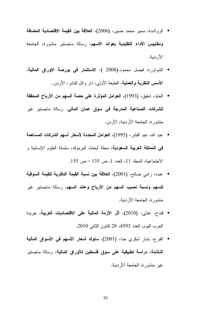- الرواشدة، سمير محمد حسين، (2006)، ا**لعلاقة بين القيمة الاقتصادية المضافة ومقاييس الأداء التقليدية بعوائد الأسهم،** رسالة ماجستير منشورة، الجامعة الأردنية.
- الشواورة، فيصل محمود،(2008 )، الاستثمار في بورصة الأوراق المالية، **الأسس النظرية والـعملية**، الطبعة الأولـى، دار وائل للنشر، الأردن..
- العابد، شفيق، (1993)، العوامل المؤثرة على حصة السهم من الأرباح المحققة ل**لشركات الصناعية المدرجة في سوق عمان المالي.** رسالة ماجستير غير منشور ة، الجامعة الأر دنبة، الأر دن.
- عبد الله، عبد القادر ، (1995)، العوامل المحددة لأسعار أسهم الشركات المساهمة **في المملكة العربية السعودية**، مجلة أبحاث اليرموك، سلسلة العلوم الإنسانية و  $\cdot 155$  الاجتماعية، المجلد 11، العدد 1، ص 135 - ص
- عبده، رامي صالح، (2001)، العلاقة بين نسبة القيمة الدفترية للقيمة السوقية للسهم ونسبة نصيب السهم من الأرباح وعائد السهم، رسالة ماجستير غير منشورة، الجامعة الأردنية.
- قندح، عدلي، (2010)، أثَّر الأزمة المالية على الاقتصاديات العربية، جريدة العرب اليوم، العدد 4593، 28 كانون الثاني 2010.
- القرع، بشار شكري حنا، (2001)، **سلوك أسعار الأسهم في الأسواق المالية** ال**ناشئة، دراسة تطبيقية على سوق فلسطين للأوراق المالية،** رسالة ماجستير غير ًمنشور ة، الجامعة الأردنية.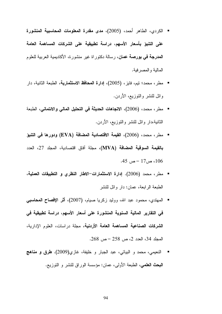- الكردي، الطاهر أحمد، (2005)، مدى مقدرة المعلومات المحاسبية المنشورة على التنبؤ بأسعار الأسهم، دراسة تطبيقية على الشركات المساهمة العامة **المدرجة في بورصة عمان**، رسالة دكتوراة غير منشورة، الأكاديمية العربية للعلوم المالية والمصر فية.
- مطر ، محمد؛ نيم، فايز ، (2005)، إ**دارة المحافظ الاستثمارية**، الطبعة الثانية، دار و ائل للنشر و النوز يـع، الأر دن.
- مطرٍ ، محمد، (2006)، الاتجاهات الحديثة في التحليل المالي والائتماني، الطبعة الثانية،دار وائل للنشر والتوزيع، الأردن.
- مطر ، محمد، (2006)، القيمة الاقتصادية المضافة (EVA) ودورها في التنبؤ بِالقيمة السوقية المضافة (MVA)، مجلة آفاق اقتصادية، المجلد 27، العدد .45 ص 17 $-17$ ص 45.
- مطر ، محمد (2006). إدارة الاستثمارات−الاطار النظرى و التطبيقات العملية، الطبعة الر ابعة، عمان: دار و ائل للنشر
- المهتدي، محمود عبد الله، ووليد زكريا صيام، (2007)، أثر الإفصاح المحاسبي في التقارير المالية السنوية المنشورة على أسعار الأسهم، دراسة تطبيقية في الشركات الصناعية المساهمة العامة الأردنية، مجلة در اسات، العلوم الإدارية، المجلد 34، العدد 2، ص 258 – ص 268.
- النعيمي، محمد و البياتي، عبد الجبار و خليفة، غازي(2009). **طرق و مناهج** ال**بحث الطمي،** الطبعة الأولى، عمان: مؤسسة الوراق للنشر و التوزيع.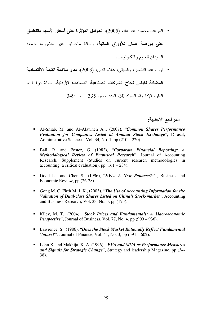- الموعد، محمود عبد الله، (2005)، العوامل المؤثرة على أسعار الأسهم بالتطبيق **على بورصة عمان للأوراق المالية**، رسالة ماجستير غير منشورة، جامعة السو دان للعلوم و النكنو لو جبا.
- نور، عبد الناصر، والسبتي، علاء الدين، (2003)، م**دى ملائمة القيمة الاقتصادية** المضافة لقياس نجاح الشركات الصناعية المساهمة الأردنية، مجلة دراسات، العلوم الإدارية، المجلد 30، العدد ، ص 335 – ص 349.

المر اجع الأجنبية:

- Al-Shiab, M. and Al-Alawneh A.., (2007), "*Common Shares Performance Evaluation for Companies Listed at Amman Stock Exchange*", Dirasat, Administrative Sciences, Vol. 34, No. 1, pp (210 – 220).
- Ball, R. and Foster, G. (1982), "*Corporate Financial Reporting: A Methodological Review of Empirical Research*", Journal of Accounting Research, Supplement (Studies on current research methodologies in accounting: a critical evaluation), pp  $(161 – 234)$ .
- Dodd L.J and Chen S., (1996), "*EVA: A New Panacea?"* , Business and Economic Review, pp (26-28).
- Gong M. C, Firth M. J. K., (2003), "*The Use of Accounting Information for the Valuation of Dual-class Shares Listed on China's Stock-market*", Accounting and Business Research, Vol. 33, No. 3, pp (123).
- Kiley, M. T., (2004), "*Stock Prices and Fundamentals: A Macroeconomic Perspective*", Journal of Business, Vol. 77, No. 4, pp (909 – 936).
- Lawrence, S., (1986), "*Does the Stock Market Rationally Reflect Fundamental Values?*", Journal of Finance, Vol. 41, No. 3, pp (591 – 602).
- Lehn K. and Makhija, K. A, (1996), "*EVA and MVA as Performance Measures and Signals for Strategic Change*", Strategy and leadership Magazine, pp (34- 38).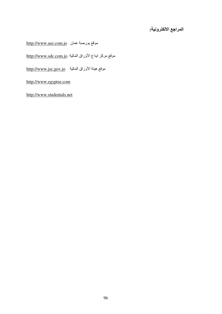## المراجع الالكترونية:

 $\underline{http://www.ase.com.jo}$  موقع بورصة عمان (

موقع مركز ايداع الأوراق المالية http://www.sdc.com.jo

 $\frac{\text{http://www.jsc.gov.jo}}{\text{http://www.jsc.gov.jo}}$ 

http://www.egyptse.com

http://www.studentals.net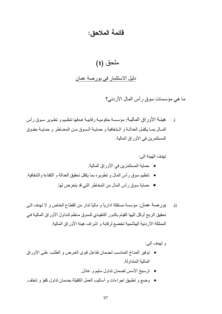## قائمة الملاحق:

## ملحق (1)

### دليل الاستثمار في بورصة عمان

ما هي مؤسسات سوق ر أس المال الأردني؟

i هيئــة الأوراق الماليــة: مؤسسة حكوميـة رقابيـة هـدفها تنظـيم و تطـوير سـوق رأس المبال بمبا يكفي العدالية و الشفافية و حمايية السوق مين المخياطر و حمايية حقبوق المستثمر ين في الأور اق المالية.

#### تهدف الهبئة الى:

- حماية المستثمر بن في الأور اق المالية ِ
- تنظيم سوق رأس المال و تطويره بما يكفل تحقيق العدالة و الكفاءة والشفافية.
	- حماية سو ق ر أس المال من المخاطر التي قد يتعر ض لها ِ
- ii. بورصنة عمان: مؤسسة مستقلة ادارياً و مالياً تدار من القطاع الخاص و لا تهدف الـي تحقيق الربح أوكل اليها القيام بالدور التنفيذي كسوق منظم لتداول الأوراق الماليـة فـي المملكة الأردنية الهاشمية تخضع لرقابة و اشراف هيئة الأوراق المالية.

و تهدف الي:

- توفير المناخ المناسب لضمان تفاعل قوى العرض و الطلب على الأوراق المالية المتداولة.
	- ترسيخ الأسس لضمان تداول سليم و عادل.
- وضع و تطبيق اجراءات و أساليب العمل الكفيلة بضمان تداول كفؤ و شفاف.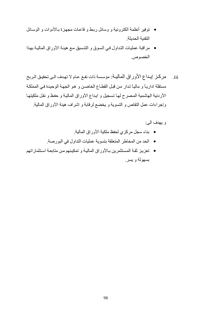- توفير أنظمة الكترونية و وسائل ربط و قاعات مجهزة بـالأدوات و الوسـائل التقنية الحديثة.
- مراقبة عمليات التداول في السوق و التنسيق مـع هيئـة الأوراق الماليـة بهذا الخصوص.
- iii. مركز إيداع الأوراق المالية: مؤسسة ذات نفع عام لا تهدف الي تحقيق الربح مستقلة اداريـًا و ماليـًا تدار من قبل القطـاع الخاصـن و هو الجهـة الوحيدة فـي المملكـة الأر دنية الماشمية المصرح لمها تسجيل و ايداع الأوراق المالية و حفظ و نقل ملكيتها وإجراءات عمل النقاص و التسوية و يخضع لرقابة و اشراف هيئة الأوراق المالية

و بهدف الي:

- بناء سجل مركزي لحفظ ملكية الأوراق المالية<sub>.</sub>
- الحد من المخاطر المتعلقة بنسوية عمليات النداول في البور صنة.
- تعزيز ثقة المستثمرين بـالأوراق الماليـة و تمكينهم من متابعـة استثماراتهم بسهولة و بسر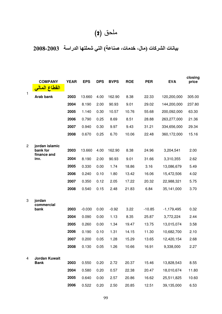# ملحق (2)

# بيانات الشركات (مال، خدمات، صناعة) التي شملتها الدراسة 2003-2008

|              | <b>COMPANY</b>               | <b>YEAR</b> | <b>EPS</b> | <b>DPS</b> | <b>BVPS</b> | <b>ROE</b>     | <b>PER</b> | <b>EVA</b>   | closing<br>price |
|--------------|------------------------------|-------------|------------|------------|-------------|----------------|------------|--------------|------------------|
| $\mathbf{1}$ | القطاع الم                   |             |            |            |             |                |            |              |                  |
|              | Arab bank                    | 2003        | 13.660     | 4.00       | 162.90      | 8.38           | 22.33      | 120,200,000  | 305.00           |
|              |                              | 2004        | 8.190      | 2.00       | 90.93       | 9.01           | 29.02      | 144,200,000  | 237.80           |
|              |                              | 2005        | 1.140      | 0.30       | 10.57       | 10.76          | 55.68      | 200,092,000  | 63.30            |
|              |                              | 2006        | 0.790      | 0.25       | 8.69        | 8.51           | 28.88      | 263,277,000  | 21.36            |
|              |                              | 2007        | 0.940      | 0.30       | 9.97        | 9.43           | 31.21      | 334,656,000  | 29.34            |
|              |                              | 2008        | 0.670      | 0.25       | 6.70        | 10.06          | 22.48      | 360,172,000  | 15.16            |
| 2            | jordan islamic               |             |            |            |             |                |            |              |                  |
|              | bank for<br>finance and      | 2003        | 13.660     | 4.00       | 162.90      | 8.38           | 24.96      | 3,204,541    | 2.00             |
|              | inv.                         | 2004        | 8.190      | 2.00       | 90.93       | 9.01           | 31.66      | 3,310,355    | 2.62             |
|              |                              | 2005        | 0.330      | 0.00       | 1.74        | 18.86          | 3.16       | 13,086,679   | 5.49             |
|              |                              | 2006        | 0.240      | 0.10       | 1.80        | 13.42          | 16.06      | 15,472,506   | 4.02             |
|              |                              | 2007        | 0.350      | 0.12       | 2.05        | 17.22          | 20.32      | 22,988,321   | 5.75             |
|              |                              | 2008        | 0.540      | 0.15       | 2.48        | 21.83          | 6.84       | 35,141,000   | 3.70             |
| 3            | jordan                       |             |            |            |             |                |            |              |                  |
|              | commercial                   |             |            |            |             |                |            |              |                  |
|              | bank                         | 2003        | $-0.030$   | 0.00       | $-0.92$     | 3.22           | $-10.85$   | $-1,179,495$ | 0.32             |
|              |                              | 2004        | 0.090      | 0.00       | 1.13        | 8.35           | 25.87      | 3,772,224    | 2.44             |
|              |                              | 2005        | 0.260      | 0.00       | 1.34        | 19.47          | 13.75      | 13,015,074   | 3.58             |
|              |                              | 2006        | 0.190      | 0.10       | 1.31        | 14.15          | 11.30      | 10,682,700   | 2.10             |
|              |                              | 2007        | 0.200      | 0.05       | 1.28        | 15.29          | 13.65      | 12,420,154   | 2.68             |
|              |                              | 2008        | 0.130      | 0.05       | 1.26        | 10.66          | 16.91      | 9,338,000    | 2.27             |
| 4            | Jordan Kuwait<br><b>Bank</b> | 2003        | 0.550      | 0.20       | 2.72        | 20.37          | 15.46      | 13,828,543   | 8.55             |
|              |                              | 2004        | 0.580      | 0.20       | 0.57        |                | 20.47      | 18,010,674   | 11.80            |
|              |                              | 2005        | 0.640      | 0.00       | 2.57        | 22.38<br>20.86 | 16.62      | 25,511,825   | 10.60            |
|              |                              | 2006        |            | 0.20       | 2.50        |                |            |              |                  |
|              |                              |             | 0.522      |            |             | 20.85          | 12.51      | 39,135,000   | 6.53             |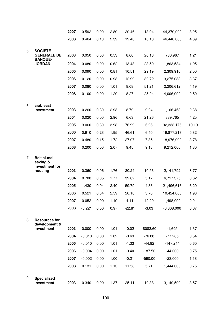|   |                                                        | 2007 | 0.592    | 0.00 | 2.89 | 20.46    | 13.94      | 44,379,000   | 8.25  |
|---|--------------------------------------------------------|------|----------|------|------|----------|------------|--------------|-------|
|   |                                                        | 2008 | 0.464    | 0.10 | 2.39 | 19.40    | 10.10      | 46,440,000   | 4.69  |
|   |                                                        |      |          |      |      |          |            |              |       |
| 5 | <b>SOCIETE</b><br><b>GENERALE DE</b><br><b>BANQUE-</b> | 2003 | 0.050    | 0.00 | 0.53 | 8.66     | 26.18      | 736,967      | 1.21  |
|   | <b>JORDAN</b>                                          | 2004 | 0.080    | 0.00 | 0.62 | 13.48    | 23.50      | 1,863,534    | 1.95  |
|   |                                                        | 2005 | 0.090    | 0.00 | 0.81 | 10.51    | 29.19      | 2,309,916    | 2.50  |
|   |                                                        | 2006 | 0.120    | 0.00 | 0.93 | 12.99    | 30.72      | 3,275,083    | 3.37  |
|   |                                                        | 2007 | 0.080    | 0.00 | 1.01 | 8.08     | 51.21      | 2,206,612    | 4.19  |
|   |                                                        | 2008 | 0.100    | 0.00 | 1.20 | 8.27     | 25.24      | 4,006,000    | 2.50  |
|   |                                                        |      |          |      |      |          |            |              |       |
| 6 | arab east<br>investment                                | 2003 | 0.260    | 0.30 | 2.93 | 8.79     | 9.24       | 1,166,463    | 2.38  |
|   |                                                        | 2004 | 0.020    | 0.00 | 2.96 | 6.63     | 21.26      | 889,765      | 4.25  |
|   |                                                        | 2005 | 3.060    | 0.30 | 3.98 | 76.99    | 6.26       | 32,333,176   | 19.19 |
|   |                                                        | 2006 | 0.910    | 0.23 | 1.95 | 46.61    | 6.40       | 19,877,217   | 5.82  |
|   |                                                        | 2007 | 0.480    | 0.15 | 1.72 | 27.97    | 7.85       | 18,976,992   | 3.78  |
|   |                                                        | 2008 | 0.200    | 0.00 | 2.07 | 9.45     | 9.18       | 9,212,000    | 1.80  |
| 7 | <b>Beit al-mal</b><br>saving &<br>investment for       |      |          |      |      |          |            |              |       |
|   | housing                                                | 2003 | 0.360    | 0.06 | 1.76 | 20.24    | 10.56      | 2,141,792    | 3.77  |
|   |                                                        | 2004 | 0.700    | 0.05 | 1.77 | 39.62    | 5.17       | 6,717,375    | 3.62  |
|   |                                                        | 2005 | 1.430    | 0.04 | 2.40 | 59.79    | 4.33       | 21,496,616   | 6.20  |
|   |                                                        | 2006 | 0.521    | 0.04 | 2.59 | 20.10    | 3.70       | 10,424,000   | 1.93  |
|   |                                                        | 2007 | 0.052    | 0.00 | 1.19 | 4.41     | 42.20      | 1,498,000    | 2.21  |
|   |                                                        | 2008 | $-0.221$ | 0.00 | 0.97 | $-22.81$ | $-3.03$    | $-6,308,000$ | 0.67  |
| 8 | <b>Resources for</b><br>development &                  |      |          |      |      |          |            |              |       |
|   | Investment                                             | 2003 | 0.000    | 0.00 | 1.01 | $-0.02$  | $-8082.60$ | $-1,695$     | 1.37  |
|   |                                                        | 2004 | $-0.010$ | 0.00 | 1.02 | $-0.69$  | $-76.88$   | $-77,265$    | 0.54  |
|   |                                                        | 2005 | $-0.010$ | 0.00 | 1.01 | $-1.33$  | $-44.82$   | $-147,244$   | 0.60  |
|   |                                                        | 2006 | $-0.004$ | 0.00 | 1.01 | $-0.40$  | $-187.50$  | $-44,000$    | 0.75  |
|   |                                                        | 2007 | $-0.002$ | 0.00 | 1.00 | $-0.21$  | $-590.00$  | $-23,000$    | 1.18  |
|   |                                                        | 2008 | 0.131    | 0.00 | 1.13 | 11.58    | 5.71       | 1,444,000    | 0.75  |
| 9 | <b>Specialized</b><br>Investment                       | 2003 | 0.340    | 0.00 | 1.37 | 25.11    | 10.38      | 3,149,599    | 3.57  |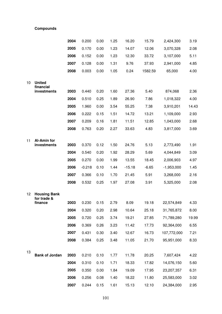#### **Compounds**

|    |                                           | 2004 | 0.200    | 0.00 | 1.25 | 16.20    | 15.79   | 2,424,300    | 3.19  |
|----|-------------------------------------------|------|----------|------|------|----------|---------|--------------|-------|
|    |                                           | 2005 | 0.170    | 0.00 | 1.23 | 14.07    | 12.06   | 3,070,328    | 2.08  |
|    |                                           | 2006 | 0.152    | 0.00 | 1.23 | 12.30    | 33.72   | 3,107,000    | 5.11  |
|    |                                           | 2007 | 0.128    | 0.00 | 1.31 | 9.76     | 37.93   | 2,941,000    | 4.85  |
|    |                                           | 2008 | 0.003    | 0.00 | 1.05 | 0.24     | 1582.59 | 65,000       | 4.00  |
| 10 | <b>United</b><br>financial<br>investments | 2003 | 0.440    | 0.20 | 1.60 | 27.36    | 5.40    | 874,068      | 2.36  |
|    |                                           | 2004 | 0.510    | 0.25 | 1.89 | 26.90    | 7.86    | 1,018,322    | 4.00  |
|    |                                           | 2005 | 1.960    | 0.00 | 3.54 | 55.25    | 7.38    | 3,910,201    | 14.43 |
|    |                                           | 2006 | 0.222    | 0.15 | 1.51 | 14.72    | 13.21   | 1,109,000    | 2.93  |
|    |                                           | 2007 | 0.209    | 0.16 | 1.81 | 11.51    | 12.85   | 1,043,000    | 2.68  |
|    |                                           | 2008 | 0.763    | 0.20 | 2.27 | 33.63    | 4.83    | 3,817,000    | 3.69  |
|    |                                           |      |          |      |      |          |         |              |       |
| 11 | Al-Amin for<br>investments                | 2003 | 0.370    | 0.12 | 1.50 | 24.76    | 5.13    | 2,773,490    | 1.91  |
|    |                                           | 2004 | 0.540    | 0.20 | 1.92 | 28.29    | 5.69    | 4,044,849    | 3.09  |
|    |                                           | 2005 | 0.270    | 0.00 | 1.99 | 13.55    | 18.45   | 2,006,903    | 4.97  |
|    |                                           | 2006 | $-0.218$ | 0.10 | 1.44 | $-15.18$ | $-6.65$ | $-1,953,000$ | 1.45  |
|    |                                           | 2007 | 0.366    | 0.10 | 1.70 | 21.45    | 5.91    | 3,268,000    | 2.16  |
|    |                                           | 2008 | 0.532    | 0.25 | 1.97 | 27.08    | 3.91    | 5,325,000    | 2.08  |
| 12 | <b>Housing Bank</b><br>for trade &        |      |          |      |      |          |         |              |       |
|    | finance                                   | 2003 | 0.230    | 0.15 | 2.79 | 8.09     | 19.18   | 22,574,849   | 4.33  |
|    |                                           | 2004 | 0.320    | 0.20 | 2.98 | 10.64    | 25.18   | 31,765,872   | 8.00  |
|    |                                           | 2005 | 0.720    | 0.25 | 3.74 | 19.21    | 27.85   | 71,789,280   | 19.99 |
|    |                                           | 2006 | 0.369    | 0.26 | 3.23 | 11.42    | 17.73   | 92,364,000   | 6.55  |
|    |                                           | 2007 | 0.431    | 0.30 | 3.40 | 12.67    | 16.73   | 107,772,000  | 7.21  |
|    |                                           | 2008 | 0.384    | 0.25 | 3.48 | 11.05    | 21.70   | 95,951,000   | 8.33  |
| 13 | <b>Bank of Jordan</b>                     | 2003 | 0.210    | 0.10 | 1.77 | 11.78    | 20.25   | 7,607,424    | 4.22  |
|    |                                           | 2004 | 0.310    | 0.10 | 1.71 | 18.33    | 17.82   | 14,076,150   | 5.60  |
|    |                                           | 2005 | 0.350    | 0.00 | 1.84 | 19.09    | 17.95   | 23,207,357   | 6.31  |
|    |                                           | 2006 | 0.256    | 0.08 | 1.40 | 18.22    | 11.80   | 25,583,000   | 3.02  |
|    |                                           | 2007 | 0.244    | 0.15 | 1.61 | 15.13    | 12.10   | 24,384,000   | 2.95  |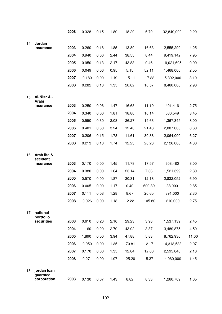|    |                                        | 2008 | 0.328    | 0.15 | 1.80 | 18.29    | 6.70      | 32,849,000   | 2.20  |
|----|----------------------------------------|------|----------|------|------|----------|-----------|--------------|-------|
| 14 | Jordan                                 |      |          |      |      |          |           |              |       |
|    | <b>Insurance</b>                       | 2003 | 0.260    | 0.18 | 1.85 | 13.80    | 16.63     | 2,555,299    | 4.25  |
|    |                                        | 2004 | 0.940    | 0.06 | 2.44 | 38.55    | 8.44      | 9,419,142    | 7.95  |
|    |                                        | 2005 | 0.950    | 0.13 | 2.17 | 43.83    | 9.46      | 19,021,695   | 9.00  |
|    |                                        | 2006 | 0.049    | 0.06 | 0.95 | 5.15     | 52.11     | 1,468,000    | 2.55  |
|    |                                        | 2007 | $-0.180$ | 0.00 | 1.19 | $-15.11$ | $-17.22$  | $-5,392,000$ | 3.10  |
|    |                                        | 2008 | 0.282    | 0.13 | 1.35 | 20.82    | 10.57     | 8,460,000    | 2.98  |
| 15 | <b>Al-Nisr Al-</b><br><b>Arabi</b>     |      |          |      |      |          |           |              |       |
|    | <b>Insurance</b>                       | 2003 | 0.250    | 0.06 | 1.47 | 16.68    | 11.19     | 491,416      | 2.75  |
|    |                                        | 2004 | 0.340    | 0.00 | 1.81 | 18.80    | 10.14     | 680,549      | 3.45  |
|    |                                        | 2005 | 0.550    | 0.30 | 2.08 | 26.27    | 14.63     | 1,367,345    | 8.00  |
|    |                                        | 2006 | 0.401    | 0.30 | 3.24 | 12.40    | 21.43     | 2,007,000    | 8.60  |
|    |                                        | 2007 | 0.206    | 0.15 | 1.78 | 11.61    | 30.38     | 2,064,000    | 6.27  |
|    |                                        | 2008 | 0.213    | 0.10 | 1.74 | 12.23    | 20.23     | 2,126,000    | 4.30  |
| 16 | Arab life &<br>accident                |      |          |      |      |          |           |              |       |
|    | insurance                              | 2003 | 0.170    | 0.00 | 1.45 | 11.78    | 17.57     | 608,480      | 3.00  |
|    |                                        | 2004 | 0.380    | 0.00 | 1.64 | 23.14    | 7.36      | 1,521,399    | 2.80  |
|    |                                        | 2005 | 0.570    | 0.00 | 1.87 | 30.31    | 12.18     | 2,832,052    | 6.90  |
|    |                                        | 2006 | 0.005    | 0.00 | 1.17 | 0.40     | 600.89    | 38,000       | 2.85  |
|    |                                        | 2007 | 0.111    | 0.08 | 1.28 | 8.67     | 20.65     | 891,000      | 2.30  |
|    |                                        | 2008 | $-0.026$ | 0.00 | 1.18 | $-2.22$  | $-105.80$ | $-210,000$   | 2.75  |
| 17 | national<br>portfolio                  |      |          |      |      |          |           |              |       |
|    | securities                             | 2003 | 0.610    | 0.20 | 2.10 | 29.23    | 3.98      | 1,537,139    | 2.45  |
|    |                                        | 2004 | 1.160    | 0.20 | 2.70 | 43.02    | 3.87      | 3,489,875    | 4.50  |
|    |                                        | 2005 | 1.890    | 0.50 | 3.94 | 47.88    | 5.83      | 8,762,930    | 11.00 |
|    |                                        | 2006 | $-0.950$ | 0.00 | 1.35 | $-70.81$ | $-2.17$   | 14,313,533   | 2.07  |
|    |                                        | 2007 | 0.170    | 0.00 | 1.35 | 12.84    | 12.60     | 2,595,840    | 2.18  |
|    |                                        | 2008 | $-0.271$ | 0.00 | 1.07 | $-25.20$ | $-5.37$   | $-4,060,000$ | 1.45  |
| 18 | jordan loan<br>guarntee<br>corporation | 2003 | 0.130    | 0.07 | 1.43 | 8.82     | 8.33      | 1,260,709    | 1.05  |
|    |                                        |      |          |      |      |          |           |              |       |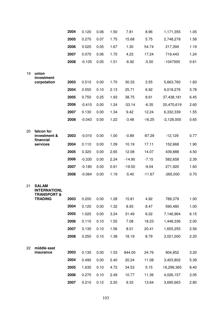|    |                                                               | 2004 | 0.120    | 0.06 | 1.50 | 7.81           | 8.96         | 1,171,355               | 1.05         |
|----|---------------------------------------------------------------|------|----------|------|------|----------------|--------------|-------------------------|--------------|
|    |                                                               | 2005 | 0.270    | 0.07 | 1.75 | 15.68          | 5.75         | 2,748,278               | 1.58         |
|    |                                                               | 2006 | 0.020    | 0.05 | 1.67 | 1.30           | 54.74        | 217,394                 | 1.19         |
|    |                                                               | 2007 | 0.070    | 0.06 | 1.70 | 4.23           | 17.24        | 719,443                 | 1.24         |
|    |                                                               | 2008 | $-0.105$ | 0.05 | 1.51 | $-6.92$        | $-5.50$      | $-1047000$              | 0.61         |
| 19 | union<br>investment                                           | 2003 | 0.510    | 0.00 | 1.70 |                |              | 5,663,760               |              |
|    | corpotation                                                   | 2004 | 0.550    | 0.10 | 2.13 | 30.33<br>25.71 | 3.55<br>6.92 |                         | 1.83         |
|    |                                                               | 2005 | 0.750    | 0.25 | 1.93 | 38.75          | 8.61         | 9,018,276<br>37,438,181 | 3.78<br>6.45 |
|    |                                                               | 2006 | $-0.410$ | 0.00 | 1.24 | $-33.14$       | $-6.35$      | 20,470,619              | 2.60         |
|    |                                                               | 2007 | 0.130    | 0.00 | 1.34 | 9.42           | 12.24        | 6,332,339               | 1.55         |
|    |                                                               | 2008 | $-0.043$ | 0.00 | 1.22 | $-3.48$        | $-16.25$     | $-2,128,000$            | 0.65         |
|    |                                                               |      |          |      |      |                |              |                         |              |
| 20 | falcon for<br>investment &<br>financial                       | 2003 | $-0.010$ | 0.00 | 1.00 | $-0.89$        | $-87.29$     | $-12,129$               | 0.77         |
|    | services                                                      | 2004 | 0.110    | 0.00 | 1.09 | 10.19          | 17.11        | 152,668                 | 1.90         |
|    |                                                               | 2005 | 0.320    | 0.00 | 2.65 | 12.08          | 14.07        | 439,888                 | 4.50         |
|    |                                                               | 2006 | $-0.330$ | 0.00 | 2.24 | $-14.90$       | $-7.15$      | 582,658                 | 2.39         |
|    |                                                               | 2007 | $-0.180$ | 0.00 | 0.91 | $-19.50$       | $-9.04$      | 271,920                 | 1.60         |
|    |                                                               | 2008 | $-0.064$ | 0.00 | 1.19 | $-5.40$        | $-11.67$     | $-265,000$              | 0.70         |
| 21 | <b>SALAM</b><br><b>INTERNATIONL</b><br><b>TRANSPORT &amp;</b> |      |          |      |      |                |              |                         |              |
|    | <b>TRADING</b>                                                | 2003 | 0.200    | 0.00 | 1.28 | 15.81          | 4.92         | 789,379                 | 1.00         |
|    |                                                               | 2004 | 0.120    | 0.00 | 1.32 | 8.93           | 8.47         | 590,480                 | 1.00         |
|    |                                                               | 2005 | 1.020    | 0.00 | 3.24 | 31.49          | 6.02         | 7,146,964               | 6.15         |
|    |                                                               | 2006 | 0.110    | 0.10 | 1.55 | 7.08           | 18.23        | 1,448,336               | 2.00         |
|    |                                                               | 2007 | 0.130    | 0.10 | 1.56 | 8.01           | 20.41        | 1,655,255               | 2.56         |
|    |                                                               | 2008 | 0.250    | 0.10 | 1.38 | 18.19          | 8.79         | 3,021,000               | 2.20         |
| 22 | middle east<br>insurance                                      | 2003 | 0.130    | 0.00 | 1.53 | 844.00         | 24.76        | 904,852                 | 3.20         |
|    |                                                               | 2004 | 0.490    | 0.00 | 2.40 | 20.24          | 11.08        | 3,403,802               | 5.39         |
|    |                                                               | 2005 | 1.630    | 0.10 | 4.72 | 34.53          | 5.15         | 16,299,365              | 8.40         |
|    |                                                               | 2006 | 0.270    | 0.10 | 2.49 | 10.77          | 11.36        | 4,026,157               | 3.05         |
|    |                                                               | 2007 | 0.210    | 0.12 | 2.20 | 9.33           | 13.64        | 3,695,663               | 2.80         |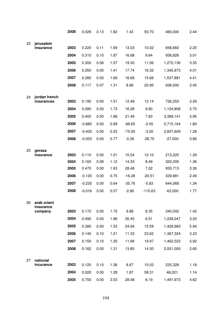| 23 |                             | 2008 | 0.026          | 0.13 | 1.82 | 1.43     | 93.70     | 469,000           | 2.44         |
|----|-----------------------------|------|----------------|------|------|----------|-----------|-------------------|--------------|
|    | jerusalem                   |      |                |      |      |          |           |                   |              |
|    | insurance                   | 2003 | 0.220          | 0.11 | 1.69 | 13.03    | 10.02     | 658,660           | 2.20         |
|    |                             | 2004 | 0.310          | 0.10 | 1.87 | 16.68    | 9.64      | 936,826           | 3.01         |
|    |                             | 2005 | 0.300          | 0.06 | 1.57 | 19.30    | 11.06     | 1,272,136         | 3.35         |
|    |                             | 2006 | 0.250          | 0.00 | 1.41 | 17.74    | 16.32     | 1,345,973         | 4.01         |
|    |                             | 2007 | 0.280          | 0.00 | 1.69 | 16.68    | 15.66     | 1,537,881         | 4.41         |
|    |                             | 2008 | 0.117          | 0.07 | 1.31 | 8.96     | 20.95     | 936,000           | 2.45         |
|    |                             |      |                |      |      |          |           |                   |              |
| 24 | jordan french<br>insurances | 2003 | 0.190          | 0.00 | 1.51 | 12.49    | 12.14     | 726,253           | 2.29         |
|    |                             | 2004 | 0.280          | 0.00 | 1.73 | 16.28    | 9.60      | 1,124,808         | 2.70         |
|    |                             | 2005 | 0.400          | 0.00 | 1.86 | 21.49    | 7.83      | 3,399,141         | 2.95         |
|    |                             | 2006 | $-0.880$       | 0.00 | 0.99 | $-88.65$ | $-2.05$   | 5,715,164         | 1.80         |
|    |                             | 2007 | $-0.400$       | 0.00 | 0.53 | $-75.50$ | $-3.20$   | 2,607,609         | 1.28         |
|    |                             | 2008 | $-0.003$       | 0.00 | 0.77 | $-0.39$  | $-28.70$  | $-27,000$         | 0.86         |
|    |                             |      |                |      |      |          |           |                   |              |
| 25 | gerasa<br>insurance         | 2003 | 0.110          | 0.00 | 1.01 | 10.54    | 12.10     | 213,220           | 1.29         |
|    |                             | 2004 | 0.160          | 0.08 | 1.12 | 14.33    | 8.49      | 320,305           | 1.36         |
|    |                             | 2005 | 0.470          | 0.00 | 1.63 | 28.48    | 7.22      | 930,713           | 3.36         |
|    |                             | 2006 | $-0.120$       | 0.00 | 0.75 | $-16.28$ | $-20.51$  | 339,981           | 2.49         |
|    |                             | 2007 | $-0.230$       | 0.00 | 0.64 | $-35.76$ | $-5.83$   | 644,068           | 1.34         |
|    |                             | 2008 | $-0.016$       | 0.00 | 0.57 | $-2.80$  | $-110.63$ | $-63,000$         | 1.77         |
| 26 | arab orient                 |      |                |      |      |          |           |                   |              |
|    | insurance<br>company        | 2003 | 0.170          | 0.00 | 1.72 | 9.88     | 8.35      | 340,002           | 1.42         |
|    |                             | 2004 | 0.490          | 0.00 | 1.86 | 26.45    | 6.51      | 1,228,047         | 3.20         |
|    |                             | 2005 | 0.380          | 0.00 | 1.53 | 24.94    | 15.59     | 1,428,983         | 5.94         |
|    |                             | 2006 | 0.140          | 0.10 | 1.21 | 11.33    | 23.62     | 1,367,324         | 3.23         |
|    |                             | 2007 | 0.150          | 0.10 | 1.25 | 11.68    | 19.97     | 1,462,523         | 2.92         |
|    |                             |      |                |      |      | 13.85    | 14.30     | 2,001,000         |              |
|    |                             | 2008 | 0.182          | 0.00 | 1.31 |          |           |                   | 2.60         |
|    |                             |      |                |      |      |          |           |                   |              |
| 27 | national<br>incurance       | 2003 |                | 0.10 | 1.36 | 8.67     | 10.03     |                   |              |
|    |                             | 2004 | 0.120<br>0.020 | 0.00 | 1.28 | 1.87     | 58.31     | 235,328<br>48,021 | 1.18<br>1.14 |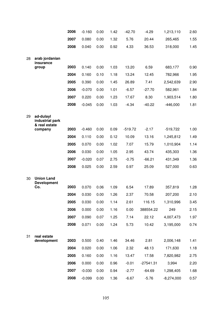|    |                                               | 2006 | $-0.160$ | 0.00 | 1.42 | $-42.70$  | $-4.29$     | 1,213,110    | 2.60 |
|----|-----------------------------------------------|------|----------|------|------|-----------|-------------|--------------|------|
|    |                                               | 2007 | 0.080    | 0.00 | 1.32 | 5.76      | 20.44       | 265,465      | 1.55 |
|    |                                               | 2008 | 0.040    | 0.00 | 0.92 | 4.33      | 36.53       | 318,000      | 1.45 |
| 28 | arab jordanian<br>insurance                   |      |          |      |      |           |             |              |      |
|    | group                                         | 2003 | 0.140    | 0.00 | 1.03 | 13.20     | 6.59        | 683,177      | 0.90 |
|    |                                               | 2004 | 0.160    | 0.10 | 1.18 | 13.24     | 12.45       | 782,966      | 1.95 |
|    |                                               | 2005 | 0.390    | 0.00 | 1.45 | 26.89     | 7.41        | 2,542,639    | 2.90 |
|    |                                               | 2006 | $-0.070$ | 0.00 | 1.01 | $-6.57$   | $-27.70$    | 582,961      | 1.84 |
|    |                                               | 2007 | 0.220    | 0.00 | 1.23 | 17.67     | 8.30        | 1,903,514    | 1.80 |
|    |                                               | 2008 | $-0.045$ | 0.00 | 1.03 | $-4.34$   | $-40.22$    | $-446,000$   | 1.81 |
| 29 | ad-dulayl<br>industrial park<br>& real estate |      |          |      |      |           |             |              |      |
|    | company                                       | 2003 | $-0.460$ | 0.00 | 0.09 | $-519.72$ | $-2.17$     | $-519,722$   | 1.00 |
|    |                                               | 2004 | 0.110    | 0.00 | 0.12 | 10.09     | 13.16       | 1,245,812    | 1.49 |
|    |                                               | 2005 | 0.070    | 0.00 | 1.02 | 7.07      | 15.79       | 1,010,904    | 1.14 |
|    |                                               | 2006 | 0.030    | 0.00 | 1.05 | 2.95      | 43.74       | 435,303      | 1.36 |
|    |                                               | 2007 | $-0.020$ | 0.07 | 2.75 | $-0.75$   | $-66.21$    | 431,349      | 1.36 |
|    |                                               | 2008 | 0.025    | 0.00 | 2.59 | 0.97      | 25.09       | 527,000      | 0.63 |
| 30 | <b>Union Land</b><br><b>Development</b>       |      |          |      |      |           |             |              |      |
|    | Co.                                           | 2003 | 0.070    | 0.06 | 1.09 | 6.54      | 17.89       | 357,819      | 1.28 |
|    |                                               | 2004 | 0.030    | 0.00 | 1.26 | 2.37      | 70.58       | 207,200      | 2.10 |
|    |                                               | 2005 | 0.030    | 0.00 | 1.14 | 2.61      | 116.15      | 1,310,996    | 3.45 |
|    |                                               | 2006 | 0.000    | 0.00 | 1.16 | 0.00      | 388554.22   | 249          | 2.15 |
|    |                                               | 2007 | 0.090    | 0.07 | 1.25 | 7.14      | 22.12       | 4,007,473    | 1.97 |
|    |                                               | 2008 | 0.071    | 0.00 | 1.24 | 5.73      | 10.42       | 3,195,000    | 0.74 |
| 31 | real estate<br>development                    | 2003 | 0.500    | 0.40 | 1.46 | 34.46     | 2.81        | 2,006,148    | 1.41 |
|    |                                               | 2004 | 0.020    | 0.00 | 1.06 | 2.32      | 48.13       | 171,630      | 1.18 |
|    |                                               | 2005 | 0.160    | 0.00 | 1.16 | 13.47     | 17.58       | 7,820,982    | 2.75 |
|    |                                               | 2006 | 0.000    | 0.00 | 0.96 | $-0.01$   | $-27541.31$ | 3,994        | 2.20 |
|    |                                               | 2007 | $-0.030$ | 0.00 | 0.94 | $-2.77$   | $-64.69$    | 1,298,405    | 1.68 |
|    |                                               | 2008 | $-0.099$ | 0.00 | 1.36 | $-6.67$   | $-5.76$     | $-8,274,000$ | 0.57 |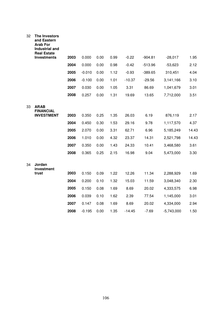| 32 | The Investors<br>and Eastern<br><b>Arab For</b><br><b>Industrial and</b><br><b>Real Estate</b> |      |          |      |      |          |           |              |       |
|----|------------------------------------------------------------------------------------------------|------|----------|------|------|----------|-----------|--------------|-------|
|    | <b>Investments</b>                                                                             | 2003 | 0.000    | 0.00 | 0.99 | $-0.22$  | $-904.81$ | $-28,017$    | 1.95  |
|    |                                                                                                | 2004 | 0.000    | 0.00 | 0.98 | $-0.42$  | $-513.96$ | $-53,623$    | 2.12  |
|    |                                                                                                | 2005 | $-0.010$ | 0.00 | 1.12 | $-0.93$  | $-389.65$ | 310,451      | 4.04  |
|    |                                                                                                | 2006 | $-0.100$ | 0.00 | 1.01 | $-10.37$ | $-29.56$  | 3,141,166    | 3.10  |
|    |                                                                                                | 2007 | 0.030    | 0.00 | 1.05 | 3.31     | 86.69     | 1,041,679    | 3.01  |
|    |                                                                                                | 2008 | 0.257    | 0.00 | 1.31 | 19.69    | 13.65     | 7,712,000    | 3.51  |
| 33 | <b>ARAB</b><br><b>FINANCIAL</b>                                                                |      |          |      |      |          |           |              |       |
|    | <b>INVESTMENT</b>                                                                              | 2003 | 0.350    | 0.25 | 1.35 | 26.03    | 6.19      | 876,119      | 2.17  |
|    |                                                                                                | 2004 | 0.450    | 0.30 | 1.53 | 29.16    | 9.78      | 1,117,570    | 4.37  |
|    |                                                                                                | 2005 | 2.070    | 0.00 | 3.31 | 62.71    | 6.96      | 5,185,249    | 14.43 |
|    |                                                                                                | 2006 | 1.010    | 0.00 | 4.32 | 23.37    | 14.31     | 2,521,798    | 14.43 |
|    |                                                                                                | 2007 | 0.350    | 0.00 | 1.43 | 24.33    | 10.41     | 3,468,580    | 3.61  |
|    |                                                                                                | 2008 | 0.365    | 0.25 | 2.15 | 16.98    | 9.04      | 5,473,000    | 3.30  |
| 34 | Jordan<br>investment                                                                           |      |          |      |      |          |           |              |       |
|    | trust                                                                                          | 2003 | 0.150    | 0.09 | 1.22 | 12.26    | 11.34     | 2,288,929    | 1.69  |
|    |                                                                                                | 2004 | 0.200    | 0.10 | 1.32 | 15.03    | 11.59     | 3,048,340    | 2.30  |
|    |                                                                                                | 2005 | 0.150    | 0.08 | 1.69 | 8.69     | 20.02     | 4,333,575    | 6.98  |
|    |                                                                                                | 2006 | 0.039    | 0.10 | 1.62 | 2.39     | 77.54     | 1,145,000    | 3.01  |
|    |                                                                                                | 2007 | 0.147    | 0.08 | 1.69 | 8.69     | 20.02     | 4,334,000    | 2.94  |
|    |                                                                                                | 2008 | -0.195   | 0.00 | 1.35 | $-14.45$ | $-7.69$   | $-5,743,000$ | 1.50  |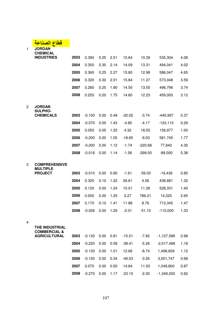| <mark>قطاع الصناعة</mark> |  |
|---------------------------|--|
|                           |  |

| $\mathbf{1}$ | <b>JORDAN</b><br><b>CHEMICAL</b>                 |      |          |      |      |          |           |              |      |
|--------------|--------------------------------------------------|------|----------|------|------|----------|-----------|--------------|------|
|              | <b>INDUSTRIES</b>                                | 2003 | 0.390    | 0.25 | 2.51 | 15.64    | 10.39     | 535,304      | 4.08 |
|              |                                                  | 2004 | 0.300    | 0.30 | 2.14 | 14.09    | 13.31     | 494,041      | 4.02 |
|              |                                                  | 2005 | 0.360    | 0.25 | 2.27 | 15.80    | 12.98     | 586,047      | 4.65 |
|              |                                                  | 2006 | 0.320    | 0.30 | 2.01 | 15.84    | 11.27     | 573,048      | 3.59 |
|              |                                                  | 2007 | 0.280    | 0.25 | 1.90 | 14.50    | 13.55     | 496,796      | 3.74 |
|              |                                                  | 2008 | 0.255    | 0.20 | 1.75 | 14.60    | 12.23     | 459,000      | 3.12 |
| 2            | <b>JORDAN</b><br><b>SULPHO-</b>                  |      |          |      |      |          |           |              |      |
|              | <b>CHEMICALS</b>                                 | 2003 | $-0.100$ | 0.00 | 0.49 | $-20.02$ | $-3.74$   | -445,997     | 0.37 |
|              |                                                  | 2004 | $-0.070$ | 0.00 | 1.43 | $-4.85$  | $-4.17$   | $-103, 115$  | 0.29 |
|              |                                                  | 2005 | 0.050    | 0.05 | 1.25 | 4.32     | 18.55     | 159,977      | 1.00 |
|              |                                                  | 2006 | $-0.200$ | 0.00 | 1.05 | $-18.65$ | $-9.03$   | 581,745      | 1.77 |
|              |                                                  | 2007 | $-0.200$ | 0.00 | 1.12 | $-1.74$  | $-220.68$ | 77,942       | 4.30 |
|              |                                                  | 2008 | $-0.018$ | 0.00 | 1.14 | $-1.56$  | $-299.00$ | $-89,000$    | 5.38 |
| 3            | <b>COMPREHENSIVE</b><br><b>MULTIPLE</b>          |      |          |      |      |          |           |              |      |
|              | <b>PROJECT</b>                                   | 2003 | $-0.010$ | 0.00 | 0.90 | $-1.61$  | $-59.03$  | $-19,436$    | 0.85 |
|              |                                                  | 2004 | 0.320    | 0.10 | 1.22 | 26.61    | 4.06      | 438,681      | 1.32 |
|              |                                                  | 2005 | 0.120    | 0.00 | 1.24 | 10.01    | 11.26     | 528,331      | 1.40 |
|              |                                                  | 2006 | 0.000    | 0.00 | 1.25 | 0.27     | 786.21    | 14,325       | 2.65 |
|              |                                                  | 2007 | 0.170    | 0.10 | 1.41 | 11.88    | 8.76      | 713,345      | 1.47 |
|              |                                                  | 2008 | $-0.026$ | 0.00 | 1.29 | $-2.01$  | $-51.10$  | $-110,000$   | 1.33 |
| 4            | <b>THE INDUSTRIAL</b><br><b>COMMERCIAL &amp;</b> |      |          |      |      |          |           |              |      |
|              | <b>AGRICULTURAL</b>                              | 2003 | $-0.130$ | 0.00 | 0.81 | $-15.51$ | $-7.82$   | $-1,127,588$ | 0.98 |
|              |                                                  | 2004 | $-0.220$ | 0.00 | 0.58 | $-38.41$ | $-5.26$   | $-2,017,498$ | 1.18 |
|              |                                                  | 2005 | $-0.130$ | 0.00 | 1.01 | 12.66    | $-8.74$   | 1,498,609    | 1.12 |
|              |                                                  | 2006 | $-0.120$ | 0.00 | 0.34 | $-49.03$ | $-3.26$   | 3,001,747    | 0.68 |
|              |                                                  | 2007 | 0.070    | 0.00 | 0.50 | 14.64    | 11.93     | 1,049,800    | 0.87 |
|              |                                                  | 2008 | $-0.270$ | 0.00 | 1.17 | $-23.15$ | $-2.30$   | $-1,349,000$ | 0.62 |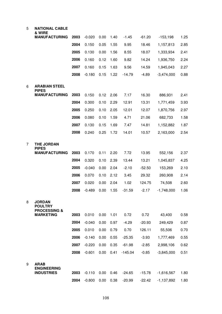| 5 | <b>NATIONAL CABLE</b><br>& WIRE                            |      |          |      |      |          |          |              |      |
|---|------------------------------------------------------------|------|----------|------|------|----------|----------|--------------|------|
|   | <b>MANUFACTURING</b>                                       | 2003 | $-0.020$ | 0.00 | 1.40 | $-1.45$  | $-61.20$ | $-153,198$   | 1.25 |
|   |                                                            | 2004 | 0.150    | 0.05 | 1.55 | 9.95     | 18.46    | 1,157,813    | 2.85 |
|   |                                                            | 2005 | 0.130    | 0.00 | 1.56 | 8.55     | 18.07    | 1,333,934    | 2.41 |
|   |                                                            | 2006 | 0.160    | 0.12 | 1.60 | 9.82     | 14.24    | 1,936,750    | 2.24 |
|   |                                                            | 2007 | 0.160    | 0.15 | 1.63 | 9.56     | 14.59    | 1,945,043    | 2.27 |
|   |                                                            | 2008 | $-0.180$ | 0.15 | 1.22 | $-14.79$ | $-4.89$  | $-3,474,000$ | 0.88 |
| 6 | <b>ARABIAN STEEL</b>                                       |      |          |      |      |          |          |              |      |
|   | <b>PIPES</b>                                               |      |          |      |      |          |          |              |      |
|   | <b>MANUFACTURING</b>                                       | 2003 | 0.150    | 0.12 | 2.06 | 7.17     | 16.30    | 886,931      | 2.41 |
|   |                                                            | 2004 | 0.300    | 0.10 | 2.29 | 12.91    | 13.31    | 1,771,459    | 3.93 |
|   |                                                            | 2005 | 0.250    | 0.10 | 2.05 | 12.01    | 12.07    | 1,870,756    | 2.97 |
|   |                                                            | 2006 | 0.080    | 0.10 | 1.59 | 4.71     | 21.06    | 682,733      | 1.58 |
|   |                                                            | 2007 | 0.130    | 0.15 | 1.69 | 7.47     | 14.81    | 1,152,882    | 1.87 |
|   |                                                            | 2008 | 0.240    | 0.25 | 1.72 | 14.01    | 10.57    | 2,163,000    | 2.54 |
| 7 | <b>THE JORDAN</b><br><b>PIPES</b>                          |      |          |      |      |          |          |              |      |
|   | <b>MANUFACTURING</b>                                       | 2003 | 0.170    | 0.11 | 2.20 | 7.72     | 13.95    | 552,156      | 2.37 |
|   |                                                            | 2004 | 0.320    | 0.10 | 2.39 | 13.44    | 13.21    | 1,045,837    | 4.25 |
|   |                                                            | 2005 | $-0.040$ | 0.00 | 2.04 | $-2.10$  | $-52.50$ | 153,269      | 2.10 |
|   |                                                            | 2006 | 0.070    | 0.10 | 2.12 | 3.45     | 29.32    | 260,908      | 2.14 |
|   |                                                            | 2007 | 0.020    | 0.00 | 2.04 | 1.02     | 124.75   | 74,508       | 2.60 |
|   |                                                            | 2008 | $-0.489$ | 0.00 | 1.55 | $-31.59$ | $-2.17$  | $-1,748,000$ | 1.06 |
| 8 | <b>JORDAN</b><br><b>POULTRY</b><br><b>PROCESSING &amp;</b> |      |          |      |      |          |          |              |      |
|   | <b>MARKETING</b>                                           | 2003 | 0.010    | 0.00 | 1.01 | 0.72     | 0.72     | 43,400       | 0.58 |
|   |                                                            | 2004 | $-0.040$ | 0.00 | 0.97 | $-4.29$  | $-20.93$ | 249,429      | 0.87 |
|   |                                                            | 2005 | 0.010    | 0.00 | 0.79 | 0.70     | 126.11   | 55,506       | 0.70 |
|   |                                                            | 2006 | $-0.140$ | 0.00 | 0.55 | $-25.35$ | $-3.93$  | 1,777,469    | 0.55 |
|   |                                                            | 2007 | $-0.220$ | 0.00 | 0.35 | $-61.98$ | $-2.85$  | 2,998,106    | 0.62 |
|   |                                                            | 2008 | $-0.601$ | 0.00 | 0.41 | -145.04  | $-0.85$  | $-3,845,000$ | 0.51 |
| 9 | <b>ARAB</b>                                                |      |          |      |      |          |          |              |      |
|   | <b>ENGINEERING</b><br><b>INDUSTRIES</b>                    | 2003 | $-0.110$ | 0.00 | 0.46 | $-24.65$ | $-15.78$ | $-1,616,567$ | 1.80 |
|   |                                                            | 2004 | $-0.800$ | 0.00 | 0.38 | $-20.99$ | $-22.42$ | $-1,137,892$ | 1.80 |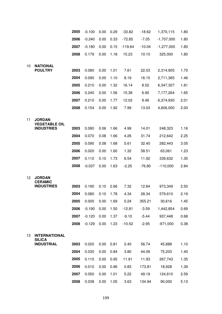|    |                                       | 2005 | $-0.100$ | 0.00 | 0.29 | $-33.82$  | $-18.62$ | 1,370,115    | 1.80 |
|----|---------------------------------------|------|----------|------|------|-----------|----------|--------------|------|
|    |                                       | 2006 | $-0.240$ | 0.00 | 0.33 | $-72.85$  | $-7.05$  | $-1,707,000$ | 1.80 |
|    |                                       | 2007 | $-0.180$ | 0.00 | 0.15 | $-119.64$ | $-10.04$ | $-1,277,000$ | 1.80 |
|    |                                       | 2008 | 0.179    | 0.00 | 1.18 | 15.23     | 10.10    | 325,000      | 1.80 |
|    |                                       |      |          |      |      |           |          |              |      |
| 10 | <b>NATIONAL</b><br><b>POULTRY</b>     | 2003 | 0.080    | 0.00 | 1.01 | 7.61      | 22.03    | 2,314,905    | 1.70 |
|    |                                       | 2004 | 0.090    | 0.00 | 1.10 | 8.19      | 16.15    | 2,711,365    | 1.46 |
|    |                                       | 2005 | 0.210    | 0.00 | 1.32 | 16.14     | 8.52     | 6,347,307    | 1.81 |
|    |                                       | 2006 | 0.240    | 0.00 | 1.56 | 15.38     | 6.90     | 7,177,264    | 1.65 |
|    |                                       | 2007 | 0.210    | 0.00 | 1.77 | 12.02     | 9.46     | 6,374,930    | 2.01 |
|    |                                       | 2008 | 0.154    | 0.00 | 1.92 | 7.99      | 13.03    | 4,606,000    | 2.00 |
|    |                                       |      |          |      |      |           |          |              |      |
| 11 | <b>JORDAN</b><br><b>VEGETABLE OIL</b> |      |          |      |      |           |          |              |      |
|    | <b>INDUSTRIES</b>                     | 2003 | 0.080    | 0.06 | 1.66 | 4.99      | 14.01    | 248,323      | 1.16 |
|    |                                       | 2004 | 0.070    | 0.08 | 1.66 | 4.26      | 31.74    | 212,642      | 2.25 |
|    |                                       | 2005 | 0.090    | 0.08 | 1.68 | 5.61      | 32.40    | 282,443      | 3.05 |
|    |                                       | 2006 | 0.020    | 0.00 | 1.60 | 1.32      | 58.51    | 63,061       | 1.23 |
|    |                                       | 2007 | 0.110    | 0.10 | 1.73 | 6.54      | 11.92    | 339,632      | 1.35 |
|    |                                       | 2008 | $-0.037$ | 0.00 | 1.63 | $-2.25$   | $-76.80$ | $-110,000$   | 2.84 |
| 12 | <b>JORDAN</b>                         |      |          |      |      |           |          |              |      |
|    | <b>CERAMIC</b><br><b>INDUSTRIES</b>   | 2003 | 0.190    | 0.10 | 2.66 | 7.32      | 12.84    | 973,349      | 2.50 |
|    |                                       | 2004 | 0.080    | 0.10 | 1.78 | 4.34      | 28.34    | 579,610      | 2.19 |
|    |                                       | 2005 | 0.000    | 0.00 | 1.69 | 0.24      | 355.21   | 30,616       | 1.45 |
|    |                                       | 2006 | $-0.190$ | 0.00 | 1.50 | $-12.81$  | $-3.59$  | 1,442,854    | 0.69 |
|    |                                       | 2007 | $-0.120$ | 0.00 | 1.37 | $-9.10$   | $-5.44$  | 937,448      | 0.68 |
|    |                                       | 2008 | $-0.129$ | 0.00 | 1.23 | $-10.52$  | $-2.95$  | $-971,000$   | 0.38 |
|    |                                       |      |          |      |      |           |          |              |      |
| 13 | <b>INTERNATIONAL</b><br><b>SILICA</b> |      |          |      |      |           |          |              |      |
|    | <b>INDUSTRIAL</b>                     | 2003 | 0.020    | 0.00 | 0.81 | 2.40      | 56.74    | 45,888       | 1.10 |
|    |                                       | 2004 | 0.030    | 0.00 | 0.84 | 3.80      | 44.06    | 75,203       | 1.40 |
|    |                                       | 2005 | 0.110    | 0.00 | 0.95 | 11.91     | 11.93    | 267,743      | 1.35 |
|    |                                       | 2006 | 0.010    | 0.00 | 0.96 | 0.83      | 173.81   | 18,928       | 1.39 |
|    |                                       | 2007 | 0.050    | 0.00 | 1.01 | 5.22      | 49.19    | 124,610      | 2.59 |
|    |                                       | 2008 | 0.038    | 0.00 | 1.05 | 3.63      | 134.94   | 90,000       | 5.13 |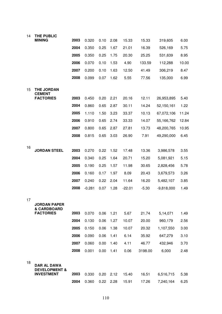| 14 | THE PUBLIC                                    |      |          |      |      |          |         |              |       |
|----|-----------------------------------------------|------|----------|------|------|----------|---------|--------------|-------|
|    | <b>MINING</b>                                 | 2003 | 0.320    | 0.10 | 2.08 | 15.33    | 15.33   | 319,605      | 6.00  |
|    |                                               | 2004 | 0.350    | 0.25 | 1.67 | 21.01    | 16.39   | 526,169      | 5.75  |
|    |                                               | 2005 | 0.350    | 0.25 | 1.75 | 20.30    | 25.25   | 531,639      | 8.95  |
|    |                                               | 2006 | 0.070    | 0.10 | 1.53 | 4.90     | 133.59  | 112,288      | 10.00 |
|    |                                               | 2007 | 0.200    | 0.10 | 1.63 | 12.50    | 41.49   | 306,219      | 8.47  |
|    |                                               | 2008 | 0.099    | 0.07 | 1.62 | 5.55     | 77.56   | 135,000      | 6.99  |
| 15 | <b>THE JORDAN</b><br><b>CEMENT</b>            |      |          |      |      |          |         |              |       |
|    | <b>FACTORIES</b>                              | 2003 | 0.450    | 0.20 | 2.21 | 20.16    | 12.11   | 26,953,895   | 5.40  |
|    |                                               | 2004 | 0.860    | 0.65 | 2.87 | 30.11    | 14.24   | 52,150,161   | 1.22  |
|    |                                               | 2005 | 1.110    | 1.50 | 3.23 | 33.37    | 10.13   | 67,072,106   | 11.24 |
|    |                                               | 2006 | 0.910    | 0.65 | 2.74 | 33.33    | 14.07   | 55,166,762   | 12.84 |
|    |                                               | 2007 | 0.800    | 0.65 | 2.87 | 27.81    | 13.73   | 48,200,765   | 10.95 |
|    |                                               | 2008 | 0.815    | 0.65 | 3.03 | 26.90    | 7.91    | 49,290,000   | 6.45  |
| 16 |                                               |      |          |      |      |          |         |              |       |
|    | <b>JORDAN STEEL</b>                           | 2003 | 0.270    | 0.22 | 1.52 | 17.48    | 13.36   | 3,986,578    | 3.55  |
|    |                                               | 2004 | 0.340    | 0.25 | 1.64 | 20.71    | 15.20   | 5,081,921    | 5.15  |
|    |                                               | 2005 | 0.190    | 0.25 | 1.57 | 11.98    | 30.65   | 2,828,456    | 5.78  |
|    |                                               | 2006 | 0.160    | 0.17 | 1.97 | 8.09     | 20.43   | 3,679,573    | 3.26  |
|    |                                               | 2007 | 0.240    | 0.22 | 2.04 | 11.64    | 16.20   | 5,482,107    | 3.85  |
|    |                                               | 2008 | $-0.281$ | 0.07 | 1.28 | $-22.01$ | $-5.30$ | $-9,818,000$ | 1.49  |
| 17 |                                               |      |          |      |      |          |         |              |       |
|    | JORDAN PAPER<br>& CARDBOARD                   |      |          |      |      |          |         |              |       |
|    | <b>FACTORIES</b>                              | 2003 | 0.070    | 0.06 | 1.21 | 5.67     | 21.74   | 5,14,071     | 1.49  |
|    |                                               | 2004 | 0.130    | 0.06 | 1.27 | 10.07    | 20.00   | 960,179      | 2.56  |
|    |                                               | 2005 | 0.150    | 0.06 | 1.38 | 10.07    | 20.32   | 1,107,550    | 3.00  |
|    |                                               | 2006 | 0.090    | 0.06 | 1.41 | 6.14     | 35.92   | 647,279      | 3.10  |
|    |                                               | 2007 | 0.060    | 0.00 | 1.40 | 4.11     | 46.77   | 432,946      | 3.70  |
|    |                                               | 2008 | 0.001    | 0.00 | 1.41 | 0.06     | 3198.00 | 6,000        | 2.48  |
| 18 | DAR AL DAWA                                   |      |          |      |      |          |         |              |       |
|    | <b>DEVELOPMENT &amp;</b><br><b>INVESTMENT</b> | 2003 | 0.330    | 0.20 | 2.12 | 15.40    | 16.51   | 6,516,715    | 5.38  |
|    |                                               | 2004 | 0.360    | 0.22 | 2.28 | 15.91    | 17.26   | 7,240,164    | 6.25  |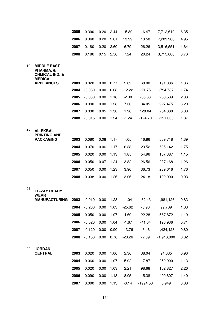|    |                                                                                                     | 2005         | 0.390             | 0.20         | 2.44         | 15.80           | 16.47             | 7,712,610          | 6.35         |
|----|-----------------------------------------------------------------------------------------------------|--------------|-------------------|--------------|--------------|-----------------|-------------------|--------------------|--------------|
|    |                                                                                                     | 2006         | 0.360             | 0.20         | 2.61         | 13.99           | 13.58             | 7,289,986          | 4.95         |
|    |                                                                                                     | 2007         | 0.180             | 0.20         | 2.60         | 6.79            | 26.26             | 3,516,551          | 4.64         |
|    |                                                                                                     | 2008         | 0.186             | 0.15         | 2.56         | 7.24            | 20.24             | 3,715,000          | 3.76         |
| 19 | <b>MIDDLE EAST</b><br>PHARMA. &<br><b>CHMICAL IND. &amp;</b><br><b>MEDICAL</b><br><b>APPLIANCES</b> | 2003         | 0.020             | 0.00         | 0.77         | 2.62            | 68.00             | 191,086            | 1.36         |
|    |                                                                                                     | 2004         | $-0.080$          | 0.00         | 0.68         | $-12.22$        | $-21.75$          | $-794,787$         | 1.74         |
|    |                                                                                                     | 2005         | $-0.030$          | 0.00         | 1.18         | $-2.30$         | $-85.63$          | 268,539            | 2.33         |
|    |                                                                                                     | 2006         | 0.090             | 0.00         | 1.28         | 7.36            | 34.05             | 927,475            | 3.20         |
|    |                                                                                                     | 2007         | 0.030             | 0.05         | 1.30         | 1.98            | 128.04            | 254,380            | 3.30         |
|    |                                                                                                     | 2008         | $-0.015$          | 0.00         | 1.24         | $-1.24$         | -124.70           | $-151,000$         | 1.87         |
| 20 | <b>AL-EKBAL</b><br><b>PRINTING AND</b><br><b>PACKAGING</b>                                          | 2003         | 0.080             | 0.08         | 1.17         | 7.05            | 16.86             | 659,718            | 1.39         |
|    |                                                                                                     | 2004         | 0.070             | 0.06         | 1.17         | 6.38            | 23.52             | 595,142            | 1.75         |
|    |                                                                                                     | 2005         | 0.020             | 0.00         | 1.13         | 1.85            | 54.96             | 167,387            | 1.15         |
|    |                                                                                                     | 2006         | 0.050             | 0.07         | 1.24         | 3.82            | 26.56             | 237,168            | 1.26         |
|    |                                                                                                     | 2007         | 0.050             | 0.00         | 1.23         | 3.90            | 36.73             | 239,616            | 1.76         |
|    |                                                                                                     | 2008         | 0.038             | 0.00         | 1.26         | 3.06            | 24.18             | 192,000            | 0.93         |
| 21 | <b>EL-ZAY READY</b><br><b>WEAR</b>                                                                  |              |                   |              |              |                 |                   |                    |              |
|    | <b>MANUFACTURING</b>                                                                                | 2003         | $-0.010$          | 0.00         | 1.28         | $-1.04$         | $-62.43$          | 1,981,426          | 0.83         |
|    |                                                                                                     | 2004<br>2005 | $-0.260$          | 0.00         | 1.03         | $-25.62$        | $-3.90$           | 99,709             | 1.03         |
|    |                                                                                                     | 2006         | 0.050<br>$-0.020$ | 0.00<br>0.00 | 1.07<br>1.04 | 4.60<br>$-1.67$ | 22.28<br>$-41.04$ | 567,872<br>198,936 | 1.10<br>0.71 |
|    |                                                                                                     | 2007         | $-0.120$          | 0.00         | 0.90         | $-13.76$        | $-6.46$           | 1,424,423          | 0.80         |
|    |                                                                                                     | 2008         | $-0.153$          | 0.00         | 0.76         | $-20.26$        | $-2.09$           | $-1,916,000$       | 0.32         |
|    |                                                                                                     |              |                   |              |              |                 |                   |                    |              |
| 22 | <b>JORDAN</b><br><b>CENTRAL</b>                                                                     | 2003         | 0.020             | 0.00         | 1.00         | 2.36            | 38.04             | 94,635             | 0.90         |
|    |                                                                                                     | 2004         | 0.060             | 0.00         | 1.07         | 5.92            | 17.87             | 252,900            | 1.13         |
|    |                                                                                                     | 2005         | 0.020             | 0.00         | 1.03         | 2.21            | 98.68             | 102,827            | 2.26         |
|    |                                                                                                     | 2006         | 0.090             | 0.00         | 1.13         | 8.05            | 15.38             | 409,607            | 1.40         |
|    |                                                                                                     | 2007         | 0.000             | 0.00         | 1.13         | $-0.14$         | $-1994.53$        | 6,949              | 3.08         |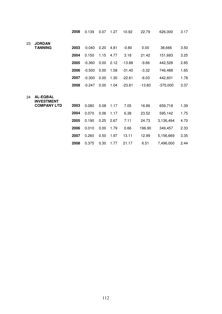|    |                                      | 2008 | 0.139    | 0.07 | 1.27 | 10.92    | 22.79    | 626,000    | 3.17 |
|----|--------------------------------------|------|----------|------|------|----------|----------|------------|------|
| 23 | <b>JORDAN</b>                        |      |          |      |      |          |          |            |      |
|    | <b>TANNING</b>                       | 2003 | $-0.040$ | 0.20 | 4.81 | $-0.80$  | 0.00     | 38,666     | 3.50 |
|    |                                      | 2004 | 0.150    | 1.15 | 4.77 | 3.18     | 21.42    | 151,693    | 3.25 |
|    |                                      | 2005 | $-0.360$ | 0.00 | 2.12 | $-13.88$ | $-9.66$  | 442,528    | 2.85 |
|    |                                      | 2006 | $-0.500$ | 0.00 | 1.58 | $-31.40$ | $-3.32$  | 746,488    | 1.65 |
|    |                                      | 2007 | $-0.300$ | 0.00 | 1.30 | $-22.61$ | $-6.03$  | 442,601    | 1.78 |
|    |                                      | 2008 | $-0.247$ | 0.00 | 1.04 | $-23.81$ | $-13.60$ | $-370,000$ | 3.37 |
| 24 | <b>AL-EQBAL</b><br><b>INVESTMENT</b> |      |          |      |      |          |          |            |      |
|    | <b>COMPANY LTD</b>                   | 2003 | 0.080    | 0.08 | 1.17 | 7.05     | 16.86    | 659,718    | 1.39 |
|    |                                      | 2004 | 0.070    | 0.06 | 1.17 | 6.38     | 23.52    | 595,142    | 1.75 |
|    |                                      | 2005 | 0.190    | 0.25 | 2.67 | 7.11     | 24.73    | 3,136,494  | 4.70 |
|    |                                      | 2006 | 0.010    | 0.00 | 1.79 | 0.66     | 196.90   | 349,457    | 2.33 |
|    |                                      | 2007 | 0.260    | 0.50 | 1.97 | 13.11    | 12.99    | 5,156,669  | 3.35 |
|    |                                      | 2008 | 0.375    | 0.30 | 1.77 | 21.17    | 6.51     | 7,496,000  | 2.44 |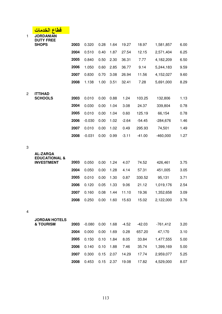|                | قطاع<br>الخدم                                        |      |          |      |      |         |          |                        |      |
|----------------|------------------------------------------------------|------|----------|------|------|---------|----------|------------------------|------|
| $\mathbf{1}$   | <b>JORDANIAN</b><br><b>DUTY FREE</b><br><b>SHOPS</b> | 2003 | 0.320    | 0.28 | 1.64 | 19.27   | 18.97    | 1,581,857              | 6.00 |
|                |                                                      | 2004 | 0.510    | 0.40 | 1.87 | 27.54   | 12.15    | 2,571,404              | 6.25 |
|                |                                                      | 2005 | 0.840    | 0.50 | 2.30 | 36.31   | 7.77     |                        | 6.50 |
|                |                                                      | 2006 | 1.050    | 0.60 | 2.85 |         |          | 4,182,209              |      |
|                |                                                      | 2007 |          |      |      | 36.77   | 9.14     | 5,244,183<br>4,152,027 | 9.59 |
|                |                                                      |      | 0.830    | 0.70 | 3.08 | 26.94   | 11.56    |                        | 9.60 |
|                |                                                      | 2008 | 1.138    | 1.00 | 3.51 | 32.41   | 7.28     | 5,691,000              | 8.29 |
| $\overline{2}$ | <b>ITTIHAD</b><br><b>SCHOOLS</b>                     | 2003 | 0.010    | 0.00 | 0.88 | 1.24    | 103.25   | 132,806                | 1.13 |
|                |                                                      | 2004 | 0.030    | 0.00 | 1.04 | 3.08    | 24.37    | 339,804                | 0.78 |
|                |                                                      | 2005 | 0.010    | 0.00 | 1.04 | 0.60    | 125.19   | 66,154                 | 0.78 |
|                |                                                      | 2006 | $-0.030$ | 0.00 | 1.02 | $-2.64$ | $-54.45$ | $-284,676$             | 1.46 |
|                |                                                      | 2007 | 0.010    | 0.00 | 1.02 | 0.49    | 295.93   | 74,501                 | 1.49 |
|                |                                                      | 2008 | $-0.031$ | 0.00 | 0.99 | $-3.11$ | $-41.00$ | $-460,000$             | 1.27 |
|                |                                                      |      |          |      |      |         |          |                        |      |
| 3              |                                                      |      |          |      |      |         |          |                        |      |
|                | <b>AL-ZARQA</b><br><b>EDUCATIONAL &amp;</b>          |      |          |      |      |         |          |                        |      |
|                | <b>INVESTMENT</b>                                    | 2003 | 0.050    | 0.00 | 1.24 | 4.07    | 74.52    | 426,461                | 3.75 |
|                |                                                      | 2004 | 0.050    | 0.00 | 1.28 | 4.14    | 57.31    | 451,005                | 3.05 |
|                |                                                      | 2005 | 0.010    | 0.00 | 1.30 | 0.87    | 330.52   | 95,131                 | 3.71 |
|                |                                                      | 2006 | 0.120    | 0.05 | 1.33 | 9.06    | 21.12    | 1,019,176              | 2.54 |
|                |                                                      | 2007 | 0.160    | 0.08 | 1.44 | 11.10   | 19.36    | 1,352,658              | 3.09 |
|                |                                                      | 2008 | 0.250    | 0.00 | 1.60 | 15.63   | 15.02    | 2,122,000              | 3.76 |
| 4              |                                                      |      |          |      |      |         |          |                        |      |
|                | <b>JORDAN HOTELS</b>                                 |      |          |      |      |         |          |                        |      |
|                | <b>&amp; TOURISM</b>                                 | 2003 | $-0.080$ | 0.00 | 1.68 | $-4.52$ | $-42.03$ | $-761,412$             | 3.20 |
|                |                                                      | 2004 | 0.000    | 0.00 | 1.69 | 0.28    | 657.20   | 47,170                 | 3.10 |
|                |                                                      | 2005 | 0.150    | 0.10 | 1.84 | 8.05    | 33.84    | 1,477,555              | 5.00 |
|                |                                                      | 2006 | 0.140    | 0.10 | 1.88 | 7.46    | 35.74    | 1,399,169              | 5.00 |
|                |                                                      | 2007 | 0.300    | 0.15 | 2.07 | 14.29   | 17.74    | 2,959,077              | 5.25 |
|                |                                                      | 2008 | 0.453    | 0.15 | 2.37 | 19.08   | 17.82    | 4,529,000              | 8.07 |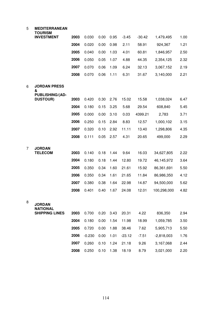#### **MEDITERRANEAN**

|   | TOURISM                                   |      |       |      |      |         |          |             |      |
|---|-------------------------------------------|------|-------|------|------|---------|----------|-------------|------|
|   | <b>INVESTMENT</b>                         | 2003 | 0.030 | 0.00 | 0.95 | $-3.45$ | $-30.42$ | 1,479,495   | 1.00 |
|   |                                           | 2004 | 0.020 | 0.00 | 0.98 | 2.11    | 58.91    | 924,367     | 1.21 |
|   |                                           | 2005 | 0.040 | 0.00 | 1.03 | 4.01    | 60.81    | 1,846,957   | 2.50 |
|   |                                           | 2006 | 0.050 | 0.05 | 1.07 | 4.88    | 44.35    | 2,354,125   | 2.32 |
|   |                                           | 2007 | 0.070 | 0.06 | 1.09 | 6.24    | 32.13    | 3,067,152   | 2.19 |
|   |                                           | 2008 | 0.070 | 0.06 | 1.11 | 6.31    | 31.67    | 3,140,000   | 2.21 |
| 6 | <b>JORDAN PRESS</b><br>&                  |      |       |      |      |         |          |             |      |
|   | <b>PUBLISHING/(AD-</b><br><b>DUSTOUR)</b> | 2003 | 0.420 | 0.30 | 2.76 | 15.02   | 15.58    | 1,038,024   | 6.47 |
|   |                                           | 2004 | 0.180 | 0.15 | 3.25 | 5.68    | 29.54    | 608,840     | 5.45 |
|   |                                           | 2005 | 0.000 | 0.00 | 3.10 | 0.03    | 4399.21  | 2,783       | 3.71 |
|   |                                           | 2006 | 0.250 | 0.15 | 2.84 | 8.83    | 12.57    | 1,000,102   | 3.15 |
|   |                                           | 2007 | 0.320 | 0.10 | 2.92 | 11.11   | 13.40    | 1,298,806   | 4.35 |
|   |                                           | 2008 | 0.111 | 0.05 | 2.57 | 4.31    | 20.65    | 499,000     | 2.29 |
| 7 | <b>JORDAN</b>                             |      |       |      |      |         |          |             |      |
|   | <b>TELECOM</b>                            | 2003 | 0.140 | 0.18 | 1.44 | 9.64    | 16.03    | 34,627,805  | 2.22 |
|   |                                           | 2004 | 0.180 | 0.18 | 1.44 | 12.80   | 19.72    | 46,145,972  | 3.64 |
|   |                                           | 2005 | 0.350 | 0.34 | 1.60 | 21.61   | 15.92    | 86,361,691  | 5.50 |
|   |                                           | 2006 | 0.350 | 0.34 | 1.61 | 21.65   | 11.84    | 86,986,350  | 4.12 |
|   |                                           | 2007 | 0.380 | 0.38 | 1.64 | 22.98   | 14.87    | 94,500,000  | 5.62 |
|   |                                           | 2008 | 0.401 | 0.40 | 1.67 | 24.08   | 12.01    | 100,298,000 | 4.82 |
| 8 | <b>JORDAN</b><br><b>NATIONAL</b>          |      |       |      |      |         |          |             |      |
|   | <b>SHIPPING LINES</b>                     | 2003 | 0.700 | 0.20 | 3.43 | 20.31   | 4.22     | 836,350     | 2.94 |
|   |                                           | 2004 | 0.180 | 0.00 | 1.54 | 11.98   | 18.99    | 1,059,785   | 3.50 |
|   |                                           | 2005 | 0.720 | 0.00 | 1.88 | 38.46   | 7.62     | 5,905,713   | 5.50 |

 -0.230 0.00 1.01 -23.12 -7.51 -2,818,003 1.76 0.260 0.10 1.24 21.18 9.26 3,167,068 2.44

0.250 0.10 1.38 18.19 8.79 3,021,000 2.20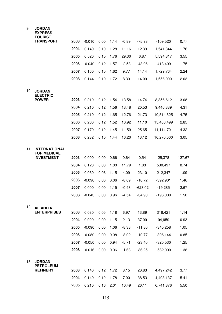| 9  | <b>JORDAN</b><br><b>EXPRESS</b><br><b>TOURIST</b> |      |          |      |      |         |           |             |        |
|----|---------------------------------------------------|------|----------|------|------|---------|-----------|-------------|--------|
|    | <b>TRANSPORT</b>                                  | 2003 | $-0.010$ | 0.00 | 1.14 | $-0.89$ | $-75.93$  | $-109,520$  | 0.77   |
|    |                                                   | 2004 | 0.140    | 0.10 | 1.28 | 11.16   | 12.33     | 1,541,344   | 1.76   |
|    |                                                   | 2005 | 0.520    | 0.15 | 1.76 | 29.30   | 6.87      | 5,594,317   | 3.55   |
|    |                                                   | 2006 | $-0.040$ | 0.12 | 1.57 | $-2.53$ | $-43.96$  | $-413,409$  | 1.75   |
|    |                                                   | 2007 | 0.160    | 0.15 | 1.62 | 9.77    | 14.14     | 1,729,764   | 2.24   |
|    |                                                   | 2008 | 0.144    | 0.10 | 1.72 | 8.39    | 14.09     | 1,556,000   | 2.03   |
| 10 | <b>JORDAN</b><br><b>ELECTRIC</b>                  |      |          |      |      |         |           |             |        |
|    | <b>POWER</b>                                      | 2003 | 0.210    | 0.12 | 1.54 | 13.58   | 14.74     | 8,356,612   | 3.08   |
|    |                                                   | 2004 | 0.210    | 0.12 | 1.56 | 13.48   | 20.53     | 9,446,339   | 4.31   |
|    |                                                   | 2005 | 0.210    | 0.12 | 1.65 | 12.76   | 21.73     | 10,514,525  | 4.75   |
|    |                                                   | 2006 | 0.260    | 0.12 | 1.52 | 16.92   | 11.10     | 15,406,499  | 2.85   |
|    |                                                   | 2007 | 0.170    | 0.12 | 1.45 | 11.59   | 25.65     | 11,114,701  | 4.32   |
|    |                                                   | 2008 | 0.232    | 0.10 | 1.44 | 16.20   | 13.12     | 16,270,000  | 3.05   |
| 11 | <b>INTERNATIONAL</b><br><b>FOR MEDICAL</b>        |      |          |      |      |         |           |             |        |
|    | <b>INVESTMENT</b>                                 | 2003 | 0.000    | 0.00 | 0.66 | 0.64    | 0.54      | 25,378      | 127.67 |
|    |                                                   | 2004 | 0.120    | 0.00 | 1.00 | 11.79   | 1.03      | 530,497     | 8.74   |
|    |                                                   | 2005 | 0.050    | 0.06 | 1.15 | 4.09    | 23.10     | 212,347     | 1.09   |
|    |                                                   | 2006 | $-0.090$ | 0.00 | 0.06 | $-8.69$ | $-16.72$  | $-392,901$  | 1.46   |
|    |                                                   | 2007 | 0.000    | 0.00 | 1.15 | $-0.43$ | $-623.02$ | $-19,285$   | 2.67   |
|    |                                                   | 2008 | $-0.043$ | 0.00 | 0.96 | $-4.54$ | $-34.90$  | $-196,000$  | 1.50   |
| 12 | <b>AL AHLIA</b><br><b>ENTERPRISES</b>             | 2003 | 0.080    | 0.05 | 1.18 | 6.97    | 13.89     | 318,421     | 1.14   |
|    |                                                   | 2004 | 0.020    | 0.00 | 1.15 | 2.13    | 37.99     | 94,959      | 0.93   |
|    |                                                   | 2005 | $-0.090$ | 0.00 | 1.06 | $-8.38$ | $-11.80$  | $-345,258$  | 1.05   |
|    |                                                   | 2006 | $-0.080$ | 0.00 | 0.98 | $-8.02$ | $-10.77$  | $-306, 144$ | 0.85   |
|    |                                                   | 2007 | $-0.050$ | 0.00 | 0.94 | $-5.71$ | $-23.40$  | $-320,530$  | 1.25   |
|    |                                                   | 2008 | $-0.016$ | 0.00 | 0.96 | $-1.63$ | $-86.25$  | $-582,000$  | 1.38   |
|    |                                                   |      |          |      |      |         |           |             |        |
| 13 | <b>JORDAN</b><br><b>PETROLEUM</b>                 |      |          |      |      |         |           |             |        |
|    | <b>REFINERY</b>                                   | 2003 | 0.140    | 0.12 | 1.72 | 8.15    | 26.83     | 4,497,242   | 3.77   |
|    |                                                   | 2004 | 0.140    | 0.12 | 1.78 | 7.90    | 38.53     | 4,493,137   | 5.41   |
|    |                                                   | 2005 | 0.210    | 0.16 | 2.01 | 10.49   | 26.11     | 6,741,876   | 5.50   |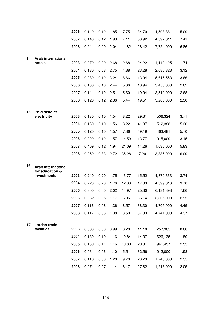|    |                                              | 2006 | 0.140 | 0.12 | 1.85 | 7.75  | 34.79 | 4,598,881 | 5.00 |
|----|----------------------------------------------|------|-------|------|------|-------|-------|-----------|------|
|    |                                              | 2007 | 0.140 | 0.12 | 1.93 | 7.11  | 53.92 | 4,397,811 | 7.41 |
|    |                                              | 2008 | 0.241 | 0.20 | 2.04 | 11.82 | 28.42 | 7,724,000 | 6.86 |
|    |                                              |      |       |      |      |       |       |           |      |
| 14 | <b>Arab international</b><br>hotels          | 2003 | 0.070 | 0.00 | 2.68 | 2.68  | 24.22 | 1,149,425 | 1.74 |
|    |                                              | 2004 | 0.130 | 0.08 | 2.75 | 4.88  | 23.28 | 2,680,323 | 3.12 |
|    |                                              | 2005 | 0.280 | 0.12 | 3.24 | 8.66  | 13.04 | 5,615,553 | 3.66 |
|    |                                              | 2006 | 0.138 | 0.10 | 2.44 | 5.66  | 18.94 | 3,458,000 | 2.62 |
|    |                                              | 2007 | 0.141 | 0.12 | 2.51 | 5.60  | 19.04 | 3,519,000 | 2.68 |
|    |                                              | 2008 | 0.128 | 0.12 | 2.36 | 5.44  | 19.51 | 3,203,000 | 2.50 |
|    |                                              |      |       |      |      |       |       |           |      |
| 15 | <b>Irbid disteict</b><br>electricity         | 2003 | 0.130 | 0.10 | 1.54 | 8.22  | 29.31 | 506,324   | 3.71 |
|    |                                              | 2004 | 0.130 | 0.10 | 1.56 | 8.22  | 41.37 | 512,388   | 5.30 |
|    |                                              | 2005 | 0.120 | 0.10 | 1.57 | 7.36  | 49.19 | 463,481   | 5.70 |
|    |                                              | 2006 | 0.229 | 0.12 | 1.57 | 14.59 | 13.77 | 915,000   | 3.15 |
|    |                                              | 2007 | 0.409 | 0.12 | 1.94 | 21.09 | 14.26 | 1,635,000 | 5.83 |
|    |                                              | 2008 | 0.959 | 0.83 | 2.72 | 35.28 | 7.29  | 3,835,000 | 6.99 |
|    |                                              |      |       |      |      |       |       |           |      |
| 16 | <b>Arab international</b><br>for education & |      |       |      |      |       |       |           |      |
|    | <b>Investments</b>                           | 2003 | 0.240 | 0.20 | 1.75 | 13.77 | 15.52 | 4,879,633 | 3.74 |
|    |                                              | 2004 | 0.220 | 0.20 | 1.76 | 12.33 | 17.03 | 4,399,016 | 3.70 |
|    |                                              | 2005 | 0.300 | 0.00 | 2.02 | 14.97 | 25.30 | 6,131,893 | 7.66 |
|    |                                              | 2006 | 0.082 | 0.05 | 1.17 | 6.96  | 36.14 | 3,305,000 | 2.95 |
|    |                                              | 2007 | 0.116 | 0.08 | 1.36 | 8.57  | 38.30 | 4,705,000 | 4.45 |
|    |                                              | 2008 | 0.117 | 0.08 | 1.38 | 8.50  | 37.33 | 4,741,000 | 4.37 |
| 17 | Jordan trade                                 |      |       |      |      |       |       |           |      |
|    | facilities                                   | 2003 | 0.060 | 0.00 | 0.99 | 6.20  | 11.10 | 257,365   | 0.68 |
|    |                                              | 2004 | 0.130 | 0.10 | 1.16 | 10.84 | 14.37 | 626,135   | 1.80 |
|    |                                              | 2005 | 0.130 | 0.11 | 1.16 | 10.80 | 20.31 | 941,457   | 2.55 |
|    |                                              | 2006 | 0.061 | 0.06 | 1.10 | 5.51  | 32.56 | 912,000   | 1.98 |
|    |                                              | 2007 | 0.116 | 0.00 | 1.20 | 9.70  | 20.23 | 1,743,000 | 2.35 |
|    |                                              | 2008 | 0.074 | 0.07 | 1.14 | 6.47  | 27.82 | 1,216,000 | 2.05 |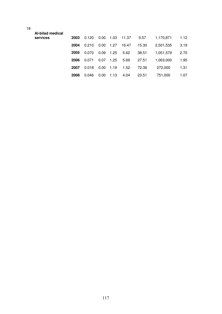| Al-bilad medical |      |       |      |      |       |       |           |      |
|------------------|------|-------|------|------|-------|-------|-----------|------|
| services         | 2003 | 0.120 | 0.00 | 1.03 | 11.37 | 9.57  | 1,170,871 | 1.12 |
|                  | 2004 | 0.210 | 0.00 | 1.27 | 16.47 | 15.30 | 2,501,535 | 3.19 |
|                  | 2005 | 0.070 | 0.09 | 1.25 | 5.62  | 38.51 | 1.051.579 | 2.70 |
|                  | 2006 | 0.071 | 0.07 | 1.25 | 5.69  | 27.51 | 1.063.000 | 1.95 |
|                  | 2007 | 0.018 | 0.00 | 1.19 | 1.52  | 72.36 | 272,000   | 1.31 |
|                  | 2008 | 0.046 | 0.00 | 1.13 | 4.04  | 23.51 | 751.000   | 1.07 |
|                  |      |       |      |      |       |       |           |      |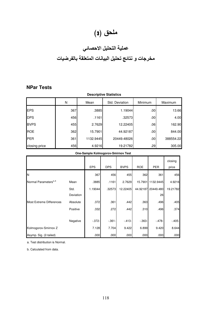## ملحق (3)

## عملية التحليل الاحصا*ئي*

## مخرجات و نتائج تحليل البيانات المتعلقة بالفرضيات

#### **NPar Tests**

| <b>Descriptive Statistics</b> |     |           |                |         |           |  |  |  |  |
|-------------------------------|-----|-----------|----------------|---------|-----------|--|--|--|--|
|                               | N   | Mean      | Std. Deviation | Minimum | Maximum   |  |  |  |  |
| <b>EPS</b>                    | 367 | .3885     | 1.19044        | .00     | 13.66     |  |  |  |  |
| <b>DPS</b>                    | 456 | .1161     | .32573         | .00     | 4.00      |  |  |  |  |
| <b>BVPS</b>                   | 455 | 2.7629    | 12.22405       | .06     | 162.90    |  |  |  |  |
| <b>ROE</b>                    | 362 | 15.7901   | 44.92187       | .00     | 844.00    |  |  |  |  |
| PER                           | 361 | 1132.9445 | 20449.48026    | .00     | 388554.22 |  |  |  |  |
| closing price                 | 456 | 4.9216    | 19.21782       | .29     | 305.00    |  |  |  |  |

#### **One-Sample Kolmogorov-Smirnov Test**

|                                   |                   | <b>EPS</b> | <b>DPS</b> | <b>BVPS</b> | <b>ROE</b> | PER               | closing<br>price |
|-----------------------------------|-------------------|------------|------------|-------------|------------|-------------------|------------------|
| N                                 |                   | 367        | 456        | 455         | 362        | 361               | 456              |
| Normal Parameters <sup>a,,b</sup> | Mean              | .3885      | .1161      | 2.7629      |            | 15.7901 1132.9445 | 4.9216           |
|                                   | Std.<br>Deviation | 1.19044    | .32573     | 12.22405    | 44.92187   | 20449.480<br>26   | 19.21782         |
| <b>Most Extreme Differences</b>   | Absolute          | .372       | .361       | .442        | .363       | .496              | .405             |
|                                   | Positive          | .332       | .272       | .442        | .310       | .496              | .374             |
|                                   | Negative          | $-372-$    | $-0.361 -$ | $-413-$     | $-0.363-$  | $-478-$           | $-405-$          |
| Kolmogorov-Smirnov Z              |                   | 7.128      | 7.704      | 9.422       | 6.899      | 9.420             | 8.644            |
| Asymp. Sig. (2-tailed)            |                   | .000       | .000       | .000        | .000       | .000              | .000             |

a. Test distribution is Normal.

b. Calculated from data.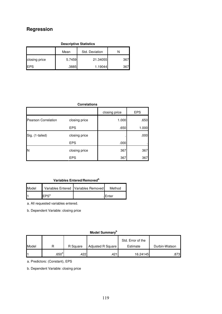## **Regression**

| <b>Descriptive Statistics</b> |        |          |     |  |  |  |  |  |  |
|-------------------------------|--------|----------|-----|--|--|--|--|--|--|
| Std. Deviation<br>Mean        |        |          |     |  |  |  |  |  |  |
| closing price                 | 5.7459 | 21.34055 | 367 |  |  |  |  |  |  |
| <b>IEPS</b>                   | .3885  | 1.19044  | 367 |  |  |  |  |  |  |

|                            | <b>Correlations</b> |               |            |
|----------------------------|---------------------|---------------|------------|
|                            |                     | closing price | <b>EPS</b> |
| <b>Pearson Correlation</b> | closing price       | 1.000         | .650       |
|                            | <b>EPS</b>          | .650          | 1.000      |
| Sig. (1-tailed)            | closing price       |               | .000       |
|                            | <b>EPS</b>          | .000          |            |
| IN                         | closing price       | 367           | 367        |
|                            | <b>EPS</b>          | 367           | 367        |

#### **Variables Entered/Removed<sup>b</sup>**

| Model |                      | Variables Entered   Variables Removed | Method        |
|-------|----------------------|---------------------------------------|---------------|
|       | $I$ FPS <sup>a</sup> |                                       | <b>IEnter</b> |

a. All requested variables entered.

b. Dependent Variable: closing price

**Model Summary<sup>b</sup>**

|       |                 |          |                          | Std. Error of the |               |
|-------|-----------------|----------|--------------------------|-------------------|---------------|
| Model |                 | R Square | <b>Adjusted R Square</b> | Estimate          | Durbin-Watson |
|       | .650 $^{\circ}$ | .4221    | .421                     | 16.24145          | .873          |

a. Predictors: (Constant), EPS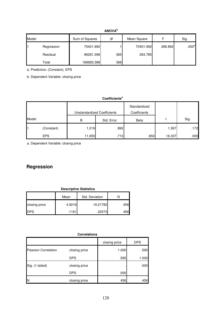#### **ANOVA<sup>b</sup>**

| Model |            | Sum of Squares | df  | Mean Square |         | Sig.              |
|-------|------------|----------------|-----|-------------|---------|-------------------|
|       | Regression | 70401.992      |     | 70401.992   | 266.892 | .000 <sup>a</sup> |
|       | Residual   | 96281.396      | 365 | 263.785     |         |                   |
|       | Total      | 166683.388     | 366 |             |         |                   |

a. Predictors: (Constant), EPS

b. Dependent Variable: closing price

#### **Coefficients<sup>a</sup>**

|       |            | <b>Unstandardized Coefficients</b> |            | Standardized<br>Coefficients |        |      |
|-------|------------|------------------------------------|------------|------------------------------|--------|------|
| Model |            | B                                  | Std. Error | Beta                         |        | Sig. |
| 1     | (Constant) | 1.219                              | .892       |                              | 1.367  | .172 |
|       | <b>EPS</b> | 11.650                             | .713       | .650                         | 16.337 | .000 |

a. Dependent Variable: closing price

## **Regression**

| <b>Descriptive Statistics</b> |        |                |     |  |  |  |
|-------------------------------|--------|----------------|-----|--|--|--|
|                               | Mean   | Std. Deviation |     |  |  |  |
| closing price                 | 4.9216 | 19.21782       | 456 |  |  |  |
| <b>IDPS</b>                   | .1161  | .32573         | 456 |  |  |  |

#### **Correlations**

|                            |               | closing price | <b>DPS</b> |
|----------------------------|---------------|---------------|------------|
| <b>Pearson Correlation</b> | closing price | 1.000         | .595       |
|                            | <b>DPS</b>    | .595          | 1.000      |
| Sig. (1-tailed)            | closing price |               | .000       |
|                            | <b>DPS</b>    | .000          |            |
| N                          | closing price | 456           | 456        |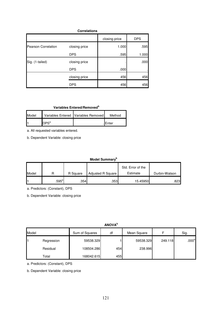| <b>Correlations</b>        |               |               |            |  |  |  |
|----------------------------|---------------|---------------|------------|--|--|--|
|                            |               | closing price | <b>DPS</b> |  |  |  |
| <b>Pearson Correlation</b> | closing price | 1.000         | .595       |  |  |  |
|                            | <b>DPS</b>    | .595          | 1.000      |  |  |  |
| Sig. (1-tailed)            | closing price |               | .000       |  |  |  |
|                            | <b>DPS</b>    | .000          |            |  |  |  |
|                            | closing price | 456           | 456        |  |  |  |
|                            | <b>DPS</b>    | 456           | 456        |  |  |  |

#### **Variables Entered/Removed<sup>b</sup>**

| Model |                  | Variables Entered   Variables Removed | Method        |
|-------|------------------|---------------------------------------|---------------|
| ŀ     | $\mathsf{IPS}^a$ |                                       | <b>IEnter</b> |

a. All requested variables entered.

b. Dependent Variable: closing price

#### **Model Summary<sup>b</sup>**

|       |                     |          |                          | Std. Error of the |               |
|-------|---------------------|----------|--------------------------|-------------------|---------------|
| Model |                     | R Square | <b>Adjusted R Square</b> | Estimate          | Durbin-Watson |
|       | $.595$ <sup>a</sup> | .354     | .353                     | 15.45950          | .823∎         |

a. Predictors: (Constant), DPS

b. Dependent Variable: closing price

**ANOVA<sup>b</sup>**

| Model |            | Sum of Squares | df  | Mean Square |         | Sig.              |
|-------|------------|----------------|-----|-------------|---------|-------------------|
|       | Regression | 59538.329      |     | 59538.329   | 249.118 | .000 <sup>a</sup> |
|       | Residual   | 108504.286     | 454 | 238.996     |         |                   |
|       | Total      | 168042.615     | 455 |             |         |                   |

a. Predictors: (Constant), DPS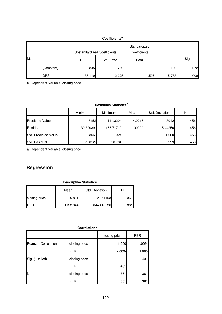#### **Coefficients<sup>a</sup>**

|       | <b>Unstandardized Coefficients</b> |        | Standardized<br>Coefficients |      |        |      |
|-------|------------------------------------|--------|------------------------------|------|--------|------|
| Model |                                    | B      | Std. Error                   | Beta |        | Sig. |
|       | (Constant)                         | .845   | .769                         |      | 1.100  | .272 |
|       | <b>DPS</b>                         | 35.119 | 2.225                        | .595 | 15.783 | .000 |

a. Dependent Variable: closing price

**Residuals Statistics<sup>a</sup>**

|                        | <b>Minimum</b> | Maximum   | Mean   | Std. Deviation | N   |
|------------------------|----------------|-----------|--------|----------------|-----|
| <b>Predicted Value</b> | .8452          | 141.3204  | 4.9216 | 11.43912       | 456 |
| Residual               | -139.32039-    | 166.71719 | .00000 | 15.44250       | 456 |
| Std. Predicted Value   | $-0.356 -$     | 11.924    | .000   | 1.000          | 456 |
| Std. Residual          | $-9.012-$      | 10.784    | .000   | .999           | 456 |

a. Dependent Variable: closing price

## **Regression**

| <b>Descriptive Statistics</b> |           |                |      |  |  |
|-------------------------------|-----------|----------------|------|--|--|
|                               | Mean      | Std. Deviation |      |  |  |
| closing price                 | 5.8112    | 21.51153       | 361I |  |  |
| <b>I</b> PER                  | 1132.9445 | 20449.48026    | 3611 |  |  |

#### **Correlations**

|                            |               | closing price | <b>PER</b> |
|----------------------------|---------------|---------------|------------|
| <b>Pearson Correlation</b> | closing price | 1.000         | $-0.009 -$ |
|                            | <b>PER</b>    | $-0.09 -$     | 1.000      |
| Sig. (1-tailed)            | closing price |               | .431       |
|                            | <b>PER</b>    | .431          |            |
| N                          | closing price | 361           | 361        |
|                            | <b>PER</b>    | 361           | 361        |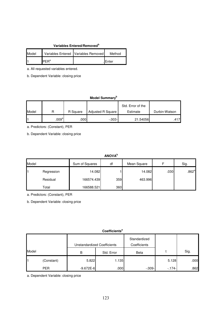#### **Variables Entered/Removed<sup>b</sup>**

| Model | Variables Entered Variables Removed | Method  |
|-------|-------------------------------------|---------|
| ŀ     | PFR <sup>a</sup>                    | . Enter |

a. All requested variables entered.

b. Dependent Variable: closing price

#### **Model Summary<sup>b</sup>**

|       |                   |          |                   | Std. Error of the |               |
|-------|-------------------|----------|-------------------|-------------------|---------------|
| Model |                   | R Square | Adjusted R Square | Estimate          | Durbin-Watson |
|       | .009 <sup>a</sup> | 000      | $-.003-$          | 21.54056          | .417          |

a. Predictors: (Constant), PER

b. Dependent Variable: closing price

#### **ANOVA<sup>b</sup>**

| Model |            | Sum of Squares | df  | Mean Square | ►    | Sig.              |
|-------|------------|----------------|-----|-------------|------|-------------------|
|       | Regression | 14.082         |     | 14.082      | .030 | .862 <sup>a</sup> |
|       | Residual   | 166574.439     | 359 | 463.996     |      |                   |
|       | Total      | 166588.521     | 360 |             |      |                   |

a. Predictors: (Constant), PER

b. Dependent Variable: closing price

#### **Coefficients<sup>a</sup>**

|       |            | <b>Unstandardized Coefficients</b> |            | Standardized<br>Coefficients |         |      |
|-------|------------|------------------------------------|------------|------------------------------|---------|------|
| Model |            | В                                  | Std. Error | Beta                         |         | Sig. |
| l1    | (Constant) | 5.822                              | 1.135      |                              | 5.128   | .000 |
|       | <b>PER</b> | $-9.672E - 6$                      | .000       | $-.009-$                     | $-174-$ | .862 |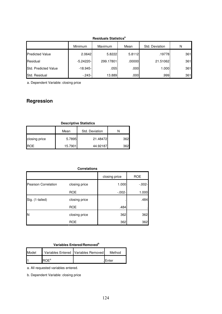|                        | <b>Minimum</b> | Maximum   | Mean              | Std. Deviation | N   |
|------------------------|----------------|-----------|-------------------|----------------|-----|
| <b>Predicted Value</b> | 2.0642         | 5.8222    | 5.8112            | .19778         | 361 |
| Residual               | $-5.24220-$    | 299.17801 | .00000            | 21.51062       | 361 |
| Std. Predicted Value   | $-18.945-$     | .055      | .000 <sub>1</sub> | 1.000          | 361 |
| Std. Residual          | $-243-$        | 13.889    | .000              | .999           | 361 |

**Residuals Statistics<sup>a</sup>**

a. Dependent Variable: closing price

## **Regression**

| <b>Descriptive Statistics</b> |         |          |     |  |  |  |
|-------------------------------|---------|----------|-----|--|--|--|
| Std. Deviation<br>Mean        |         |          |     |  |  |  |
| closing price                 | 5.7895  | 21.48472 | 362 |  |  |  |
| <b>IROE</b>                   | 15.7901 | 44.92187 | 362 |  |  |  |

#### **Correlations**

|                            |               | closing price | <b>ROE</b> |
|----------------------------|---------------|---------------|------------|
| <b>Pearson Correlation</b> | closing price | 1.000         | $-0.002 -$ |
|                            | <b>ROE</b>    | $-0.002 -$    | 1.000      |
| Sig. (1-tailed)            | closing price |               | .484       |
|                            | <b>ROE</b>    | .484          |            |
| N                          | closing price | 362           | 362        |
|                            | <b>ROE</b>    | 362           | 362        |

#### **Variables Entered/Removed<sup>b</sup>**

| Model |       | Variables Entered   Variables Removed | Method  |
|-------|-------|---------------------------------------|---------|
|       | IR∩Fª |                                       | .IEnter |

a. All requested variables entered.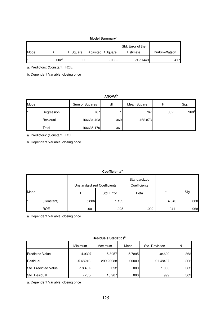#### **Model Summary<sup>b</sup>**

|       |                   |          |                          | Std. Error of the |               |
|-------|-------------------|----------|--------------------------|-------------------|---------------|
| Model |                   | R Square | <b>Adjusted R Square</b> | Estimate          | Durbin-Watson |
|       | .002 <sup>a</sup> | .000.    | $-0.003 -$               | 21.51449          | .417          |

a. Predictors: (Constant), ROE

b. Dependent Variable: closing price

#### **ANOVA<sup>b</sup>**

| Model |            | Sum of Squares | df  | Mean Square |      | Sig.              |
|-------|------------|----------------|-----|-------------|------|-------------------|
|       | Regression | .767           |     | .767        | .002 | .968 <sup>a</sup> |
|       | Residual   | 166634.403     | 360 | 462.873     |      |                   |
|       | Total      | 166635.170     | 361 |             |      |                   |

a. Predictors: (Constant), ROE

b. Dependent Variable: closing price

#### **Coefficients<sup>a</sup>**

|                |            |           | <b>Unstandardized Coefficients</b> | Standardized<br>Coefficients |          |      |
|----------------|------------|-----------|------------------------------------|------------------------------|----------|------|
| Model          |            | B         | Std. Error                         | Beta                         |          | Sig. |
| $\blacksquare$ | (Constant) | 5.806     | 1.199                              |                              | 4.843    | .000 |
|                | <b>ROE</b> | $-0.01 -$ | .025                               | $-0.002 -$                   | $-041 -$ | .968 |

a. Dependent Variable: closing price

#### **Residuals Statistics<sup>a</sup>**

|                        | Minimum     | Maximum   | Mean   | Std. Deviation | N   |
|------------------------|-------------|-----------|--------|----------------|-----|
| <b>Predicted Value</b> | 4.9397      | 5.8057    | 5.7895 | .04609         | 362 |
| Residual               | $-5.48240-$ | 299.20288 | .00000 | 21.48467       | 362 |
| Std. Predicted Value   | $-18.437-$  | .352      | .000   | 1.000          | 362 |
| Std. Residual          | $-255-$     | 13.907    | .000   | .999           | 362 |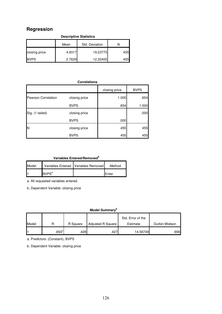## **Regression**

| <b>Descriptive Statistics</b> |        |                |      |  |  |
|-------------------------------|--------|----------------|------|--|--|
|                               | Mean   | Std. Deviation |      |  |  |
| closing price                 | 4.9317 | 19.23775       | 455  |  |  |
| <b>BVPS</b>                   | 2.7629 | 12.22405       | 4551 |  |  |

#### **Correlations**

|                            |               | closing price | <b>BVPS</b> |
|----------------------------|---------------|---------------|-------------|
| <b>Pearson Correlation</b> | closing price | 1.000         | .654        |
|                            | <b>BVPS</b>   | .654          | 1.000       |
| Sig. (1-tailed)            | closing price |               | .000        |
|                            | <b>BVPS</b>   | .000          |             |
| IN                         | closing price | 455           | 455         |
|                            | <b>BVPS</b>   | 455           | 455         |

### **Variables Entered/Removed<sup>b</sup>**

| Model |                         | Variables Entered   Variables Removed | Method  |
|-------|-------------------------|---------------------------------------|---------|
| ŀ     | <b>BVPS<sup>a</sup></b> |                                       | .IEnter |

a. All requested variables entered.

b. Dependent Variable: closing price

#### **Model Summary<sup>b</sup>**

|       |                   |          |                          | Std. Error of the |               |
|-------|-------------------|----------|--------------------------|-------------------|---------------|
| Model |                   | R Square | <b>Adjusted R Square</b> | Estimate          | Durbin-Watson |
|       | .654 <sup>a</sup> | .4281    | .427                     | 14.56749          | .906          |

a. Predictors: (Constant), BVPS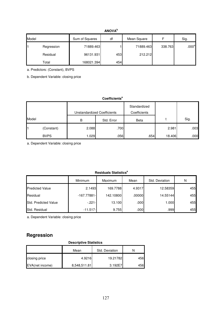#### **ANOVA<sup>b</sup>**

| Model |            | Sum of Squares | df  | Mean Square |         | Sig.              |
|-------|------------|----------------|-----|-------------|---------|-------------------|
|       | Regression | 71889.463      |     | 71889.463   | 338.763 | .000 <sup>a</sup> |
|       | Residual   | 96131.931      | 453 | 212.212     |         |                   |
|       | Total      | 168021.394     | 454 |             |         |                   |

a. Predictors: (Constant), BVPS

b. Dependent Variable: closing price

#### **Coefficients<sup>a</sup>**

|       |             |       | Unstandardized Coefficients | Standardized<br>Coefficients |        |      |
|-------|-------------|-------|-----------------------------|------------------------------|--------|------|
| Model |             | B     | Std. Error                  | Beta                         |        | Sig. |
| l1    | (Constant)  | 2.088 | .700                        |                              | 2.981  | .003 |
|       | <b>BVPS</b> | .029  | .056                        | .654                         | 18.406 | .000 |

a. Dependent Variable: closing price

#### **Residuals Statistics<sup>a</sup>**

|                        | <b>Minimum</b> | <b>Maximum</b> | Mean   | Std. Deviation | N   |
|------------------------|----------------|----------------|--------|----------------|-----|
| <b>Predicted Value</b> | 2.1493         | 169.7788       | 4.9317 | 12.58359       | 455 |
| Residual               | $-167.77881 -$ | 142.10800      | .00000 | 14.55144       | 455 |
| Std. Predicted Value   | $-221-$        | 13.100         | .000   | 1.000          | 455 |
| Std. Residual          | $-11.517-$     | 9.755          | .000   | .9991          | 455 |

a. Dependent Variable: closing price

### **Regression**

#### **Descriptive Statistics**

|                 | Mean         | Std. Deviation |      |
|-----------------|--------------|----------------|------|
| closing price   | 4.9216       | 19.21782       | 456  |
| EVA(net income) | 8,548,511.81 | 3.192E7        | 4561 |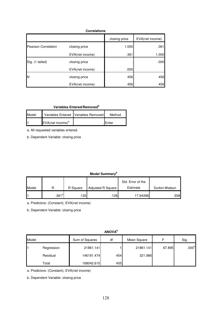| <b>Correlations</b>        |                 |               |                 |  |  |
|----------------------------|-----------------|---------------|-----------------|--|--|
|                            |                 | closing price | EVA(net income) |  |  |
| <b>Pearson Correlation</b> | closing price   | 1.000         | .361            |  |  |
|                            | EVA(net income) | .361          | 1.000           |  |  |
| Sig. (1-tailed)            | closing price   |               | .000            |  |  |
|                            | EVA(net income) | .000          |                 |  |  |
| N                          | closing price   | 456           | 456             |  |  |
|                            | EVA(net income) | 456           | 456             |  |  |

#### **Variables Entered/Removed<sup>b</sup>**

| Model |                                 | Variables Entered   Variables Removed | Method        |
|-------|---------------------------------|---------------------------------------|---------------|
| ŀ     | $EVA$ (net income) <sup>a</sup> |                                       | <b>IEnter</b> |

a. All requested variables entered.

b. Dependent Variable: closing price

#### **Model Summary<sup>b</sup>**

|       |          |          |                   | Std. Error of the |               |
|-------|----------|----------|-------------------|-------------------|---------------|
| Model |          | R Square | Adjusted R Square | Estimate          | Durbin-Watson |
|       | $.361^a$ | .130 .   | 128               | 17.94396          | .558          |

a. Predictors: (Constant), EVA(net income)

b. Dependent Variable: closing price

|       | <b>ANOVA</b> <sup>b</sup> |                |     |             |        |                   |  |  |
|-------|---------------------------|----------------|-----|-------------|--------|-------------------|--|--|
| Model |                           | Sum of Squares | df  | Mean Square | F      | Sig.              |  |  |
| l1    | Regression                | 21861.141      |     | 21861.141   | 67.895 | .000 <sup>a</sup> |  |  |
|       | Residual                  | 146181.474     | 454 | 321.986     |        |                   |  |  |
|       | Total                     | 168042.615     | 455 |             |        |                   |  |  |

a. Predictors: (Constant), EVA(net income)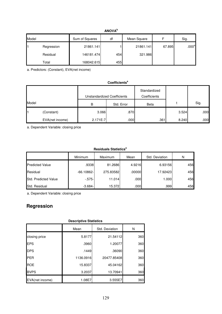#### **ANOVA<sup>b</sup>**

| Model |            | Sum of Squares | df  | Mean Square |        | Sig.              |
|-------|------------|----------------|-----|-------------|--------|-------------------|
|       | Regression | 21861.141      |     | 21861.141   | 67.895 | .000 <sup>a</sup> |
|       | Residual   | 146181.474     | 454 | 321.986     |        |                   |
|       | Total      | 168042.615     | 455 |             |        |                   |

a. Predictors: (Constant), EVA(net income)

#### **Coefficients<sup>a</sup>**

|       |                 | <b>Unstandardized Coefficients</b> |            | Standardized<br>Coefficients |       |      |
|-------|-----------------|------------------------------------|------------|------------------------------|-------|------|
| Model |                 | B                                  | Std. Error | <b>Beta</b>                  |       | Sig. |
| 11    | (Constant)      | 3.066                              | .870       |                              | 3.524 | .000 |
|       | EVA(net income) | 2.171E-7                           | .000       | .361                         | 8.240 | .000 |

a. Dependent Variable: closing price

#### **Residuals Statistics<sup>a</sup>**

|                        | Minimum       | Maximum   | Mean   | Std. Deviation | N   |
|------------------------|---------------|-----------|--------|----------------|-----|
| <b>Predicted Value</b> | .9338         | 81.2686   | 4.9216 | 6.93156        | 456 |
| Residual               | $-66.10862 -$ | 275.83582 | .00000 | 17.92423       | 456 |
| Std. Predicted Value   | $-575-$       | 11.014    | .000   | 1.000          | 456 |
| Std. Residual          | $-3.684-$     | 15.3721   | .000   | .999           | 456 |

a. Dependent Variable: closing price

## **Regression**

| <b>Descriptive Statistics</b> |           |                |     |  |  |  |  |
|-------------------------------|-----------|----------------|-----|--|--|--|--|
|                               | Mean      | Std. Deviation | N   |  |  |  |  |
| closing price                 | 5.8177    | 21.54112       | 360 |  |  |  |  |
| <b>EPS</b>                    | .3960     | 1.20077        | 360 |  |  |  |  |
| <b>DPS</b>                    | .1449     | .36090         | 360 |  |  |  |  |
| PER                           | 1136.0916 | 20477.85408    | 360 |  |  |  |  |
| <b>ROE</b>                    | 15.8337   | 45.04162       | 360 |  |  |  |  |
| <b>BVPS</b>                   | 3.2037    | 13.70941       | 360 |  |  |  |  |
| EVA(net income)               | 1.08E7    | 3.555E7        | 360 |  |  |  |  |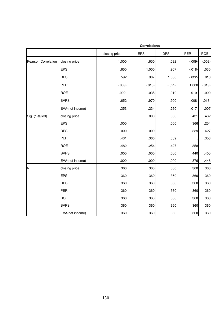|                     |                 | <b>Correlations</b> |            |            |            |            |  |  |
|---------------------|-----------------|---------------------|------------|------------|------------|------------|--|--|
|                     |                 | closing price       | <b>EPS</b> | <b>DPS</b> | PER        | <b>ROE</b> |  |  |
| Pearson Correlation | closing price   | 1.000               | .650       | .592       | $-0.09 -$  | $-0.002 -$ |  |  |
|                     | <b>EPS</b>      | .650                | 1.000      | .907       | $-0.018 -$ | .035       |  |  |
|                     | <b>DPS</b>      | .592                | .907       | 1.000      | $-0.022 -$ | .010       |  |  |
|                     | <b>PER</b>      | $-0.009 -$          | $-0.018 -$ | $-0.022 -$ | 1.000      | $-0.019 -$ |  |  |
|                     | <b>ROE</b>      | $-0.002 -$          | .035       | .010       | $-0.019 -$ | 1.000      |  |  |
|                     | <b>BVPS</b>     | .652                | .970       | .900       | $-0.008 -$ | $-0.013-$  |  |  |
|                     | EVA(net income) | .353                | .234       | .260       | $-0.017$   | .007       |  |  |
| Sig. (1-tailed)     | closing price   |                     | .000       | .000       | .431       | .482       |  |  |
|                     | <b>EPS</b>      | .000                |            | .000       | .366       | .254       |  |  |
|                     | <b>DPS</b>      | .000                | .000       |            | .339       | .427       |  |  |
|                     | PER             | .431                | .366       | .339       |            | .358       |  |  |
|                     | <b>ROE</b>      | .482                | .254       | .427       | .358       |            |  |  |
|                     | <b>BVPS</b>     | .000                | .000       | .000       | .440       | .405       |  |  |
|                     | EVA(net income) | .000                | .000       | .000       | .376       | .446       |  |  |
| N                   | closing price   | 360                 | 360        | 360        | 360        | 360        |  |  |
|                     | <b>EPS</b>      | 360                 | 360        | 360        | 360        | 360        |  |  |
|                     | <b>DPS</b>      | 360                 | 360        | 360        | 360        | 360        |  |  |
|                     | <b>PER</b>      | 360                 | 360        | 360        | 360        | 360        |  |  |
|                     | <b>ROE</b>      | 360                 | 360        | 360        | 360        | 360        |  |  |
|                     | <b>BVPS</b>     | 360                 | 360        | 360        | 360        | 360        |  |  |
|                     | EVA(net income) | 360                 | 360        | 360        | 360        | 360        |  |  |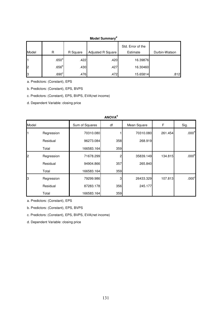#### **Model Summary<sup>d</sup>**

|       |                   |          |                   | Std. Error of the |               |
|-------|-------------------|----------|-------------------|-------------------|---------------|
| Model | R                 | R Square | Adjusted R Square | Estimate          | Durbin-Watson |
| Ι1    | .650 <sup>a</sup> | .422     | .420              | 16.39876          |               |
| l2    | .656 <sup>b</sup> | .430     | .427              | 16.30460          |               |
| 3     | .690 <sup>c</sup> | .476     | .472              | 15.65814          | .812          |

a. Predictors: (Constant), EPS

b. Predictors: (Constant), EPS, BVPS

c. Predictors: (Constant), EPS, BVPS, EVA(net income)

d. Dependent Variable: closing price

|       | <b>ANOVA</b> <sup>d</sup> |                |     |             |         |                   |  |  |
|-------|---------------------------|----------------|-----|-------------|---------|-------------------|--|--|
| Model |                           | Sum of Squares | df  | Mean Square | F       | Sig.              |  |  |
|       | Regression                | 70310.080      |     | 70310.080   | 261.454 | .000 <sup>a</sup> |  |  |
|       | Residual                  | 96273.084      | 358 | 268.919     |         |                   |  |  |
|       | Total                     | 166583.164     | 359 |             |         |                   |  |  |
| I2    | Regression                | 71678.299      | 2   | 35839.149   | 134.815 | .000 <sup>b</sup> |  |  |
|       | Residual                  | 94904.866      | 357 | 265.840     |         |                   |  |  |
|       | Total                     | 166583.164     | 359 |             |         |                   |  |  |
| 13    | Regression                | 79299.986      | 3   | 26433.329   | 107.813 | .000 <sup>c</sup> |  |  |
|       | Residual                  | 87283.178      | 356 | 245.177     |         |                   |  |  |
|       | Total                     | 166583.164     | 359 |             |         |                   |  |  |

a. Predictors: (Constant), EPS

b. Predictors: (Constant), EPS, BVPS

c. Predictors: (Constant), EPS, BVPS, EVA(net income)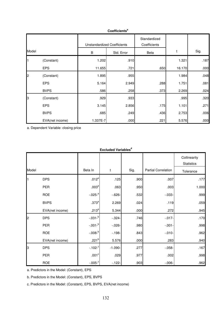|       |                 | <b>Unstandardized Coefficients</b> |            | Standardized<br>Coefficients |        |      |
|-------|-----------------|------------------------------------|------------|------------------------------|--------|------|
| Model |                 | B                                  | Std. Error | Beta                         | t      | Sig. |
| l1    | (Constant)      | 1.202                              | .910       |                              | 1.321  | .187 |
|       | <b>EPS</b>      | 11.655                             | .721       | .650                         | 16.170 | .000 |
| 2     | (Constant)      | 1.895                              | .955       |                              | 1.984  | .048 |
|       | <b>EPS</b>      | 5.164                              | 2.949      | .288                         | 1.751  | .081 |
|       | <b>BVPS</b>     | .586                               | .258       | .373                         | 2.269  | .024 |
| 3     | (Constant)      | .929                               | .933       |                              | .995   | .320 |
|       | <b>EPS</b>      | 3.145                              | 2.856      | .175                         | 1.101  | .271 |
|       | <b>BVPS</b>     | .685                               | .249       | .436                         | 2.753  | .006 |
|       | EVA(net income) | 1.337E-7                           | .000       | .221                         | 5.576  | .000 |

**Coefficients<sup>a</sup>**

a. Dependent Variable: closing price

|       | <b>Excluded Variablesd</b> |                         |            |      |                            |                                   |  |
|-------|----------------------------|-------------------------|------------|------|----------------------------|-----------------------------------|--|
|       |                            |                         |            |      |                            | Collinearity<br><b>Statistics</b> |  |
| Model |                            | Beta In                 | t          | Sig. | <b>Partial Correlation</b> | Tolerance                         |  |
|       | <b>DPS</b>                 | .012 <sup>a</sup>       | .125       | .900 | .007                       | .177                              |  |
|       | <b>PER</b>                 | .003 <sup>a</sup>       | .063       | .950 | .003                       | 1.000                             |  |
|       | <b>ROE</b>                 | $-.025-a$               | $-0.626 -$ | .532 | $-0.033 -$                 | .999                              |  |
|       | <b>BVPS</b>                | .373 <sup>a</sup>       | 2.269      | .024 | .119                       | .059                              |  |
|       | EVA(net income)            | .213 <sup>a</sup>       | 5.344      | .000 | .272                       | .945                              |  |
| 2     | <b>DPS</b>                 | $-.031 - ^{b}$          | $-324-$    | .746 | $-0.017 -$                 | .170                              |  |
|       | <b>PER</b>                 | $-.001 - ^{b}$          | $-0.026 -$ | .980 | $-0.01 -$                  | .998                              |  |
|       | <b>ROE</b>                 | $-.008 - ^{b}$          | $-198-$    | .843 | $-0.010 -$                 | .962                              |  |
|       | EVA(net income)            | .221 <sup>b</sup>       | 5.576      | .000 | .283                       | .940                              |  |
| 3     | <b>DPS</b>                 | $-0.102 -$ <sup>c</sup> | $-1.090 -$ | .277 | $-0.058 -$                 | .167                              |  |
|       | <b>PER</b>                 | $.001^{\circ}$          | .029       | .977 | .002                       | .998                              |  |
|       | <b>ROE</b>                 | $-.005 - ^c$            | $-122-$    | .903 | $-0.006 -$                 | .962                              |  |

a. Predictors in the Model: (Constant), EPS

b. Predictors in the Model: (Constant), EPS, BVPS

c. Predictors in the Model: (Constant), EPS, BVPS, EVA(net income)